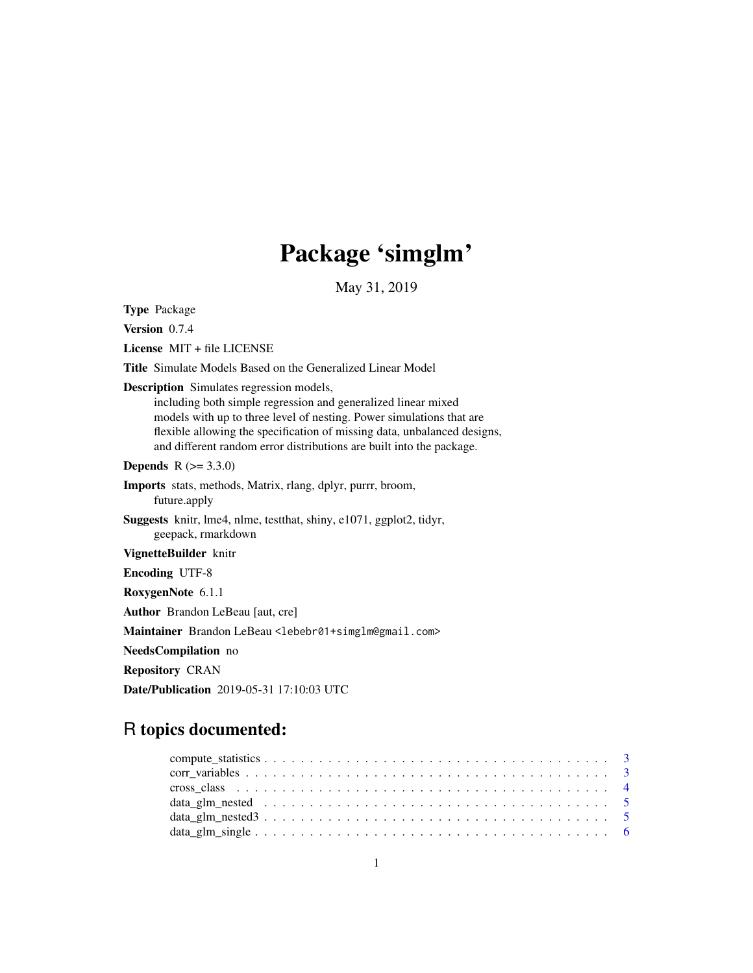# Package 'simglm'

May 31, 2019

<span id="page-0-0"></span>Type Package

Version 0.7.4

License MIT + file LICENSE

Title Simulate Models Based on the Generalized Linear Model

Description Simulates regression models,

including both simple regression and generalized linear mixed models with up to three level of nesting. Power simulations that are flexible allowing the specification of missing data, unbalanced designs, and different random error distributions are built into the package.

**Depends**  $R (= 3.3.0)$ 

Imports stats, methods, Matrix, rlang, dplyr, purrr, broom, future.apply

Suggests knitr, lme4, nlme, testthat, shiny, e1071, ggplot2, tidyr, geepack, rmarkdown

VignetteBuilder knitr

Encoding UTF-8

RoxygenNote 6.1.1

Author Brandon LeBeau [aut, cre]

Maintainer Brandon LeBeau <lebebr01+simglm@gmail.com>

NeedsCompilation no

Repository CRAN

Date/Publication 2019-05-31 17:10:03 UTC

# R topics documented: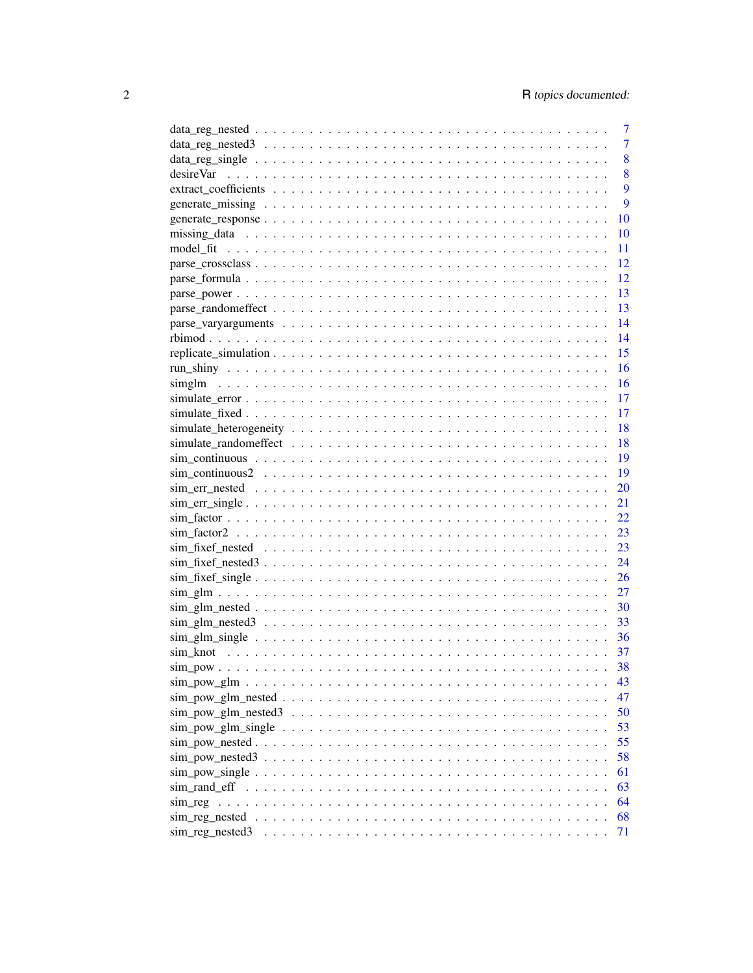| 7    |
|------|
| 7    |
| 8    |
| 8    |
| 9    |
| 9    |
| 10   |
| 10   |
| 11   |
| 12   |
| 12   |
| 13   |
| 13   |
| 14   |
| 14   |
| 15   |
| 16   |
| 16   |
| 17   |
| 17   |
| 18   |
| 18   |
| 19   |
| 19   |
| 20   |
| 21   |
| 22   |
| 23   |
| 23   |
| 24   |
| 26   |
| 27   |
| 30   |
| -33  |
| - 36 |
| 37   |
|      |
| 43   |
| 47   |
|      |
| 50   |
| 53   |
| 55   |
| 58   |
| 61   |
| 63   |
| 64   |
| 68   |
| 71   |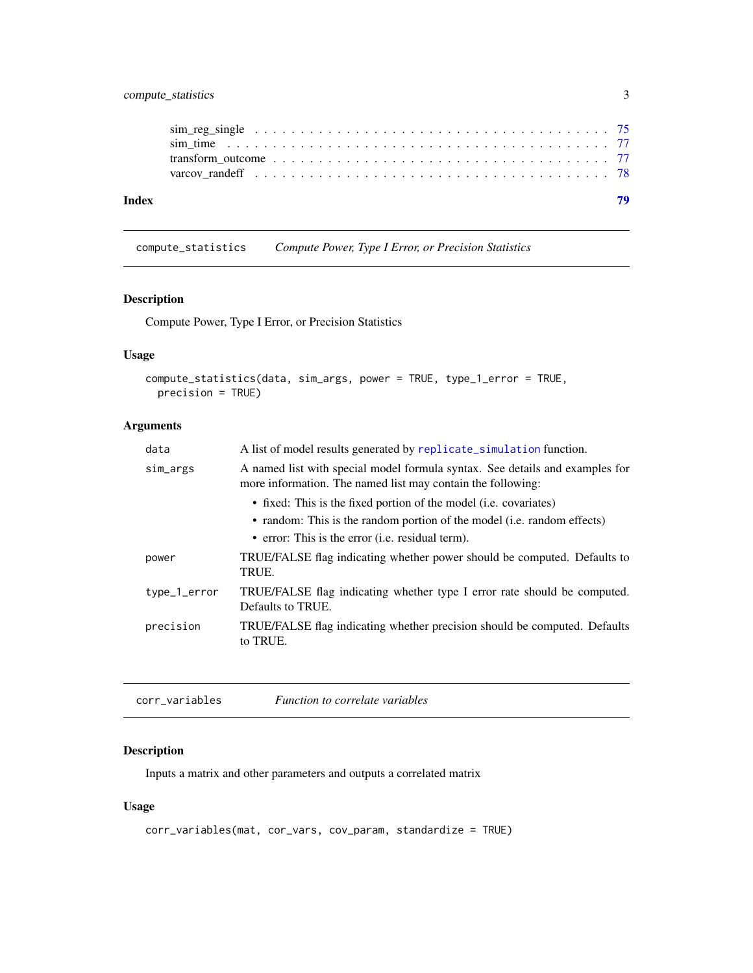# <span id="page-2-0"></span>compute\_statistics 3

| Index |  |
|-------|--|
|       |  |
|       |  |
|       |  |
|       |  |

# Description

Compute Power, Type I Error, or Precision Statistics

# Usage

```
compute_statistics(data, sim_args, power = TRUE, type_1_error = TRUE,
 precision = TRUE)
```
compute\_statistics *Compute Power, Type I Error, or Precision Statistics*

# Arguments

| data         | A list of model results generated by replicate_simulation function.                                                                         |
|--------------|---------------------------------------------------------------------------------------------------------------------------------------------|
| sim_args     | A named list with special model formula syntax. See details and examples for<br>more information. The named list may contain the following: |
|              | • fixed: This is the fixed portion of the model (i.e. covariates)                                                                           |
|              | • random: This is the random portion of the model (i.e. random effects)                                                                     |
|              | • error: This is the error (i.e. residual term).                                                                                            |
| power        | TRUE/FALSE flag indicating whether power should be computed. Defaults to<br>TRUE.                                                           |
| type_1_error | TRUE/FALSE flag indicating whether type I error rate should be computed.<br>Defaults to TRUE.                                               |
| precision    | TRUE/FALSE flag indicating whether precision should be computed. Defaults<br>to TRUE.                                                       |
|              |                                                                                                                                             |

corr\_variables *Function to correlate variables*

# Description

Inputs a matrix and other parameters and outputs a correlated matrix

#### Usage

```
corr_variables(mat, cor_vars, cov_param, standardize = TRUE)
```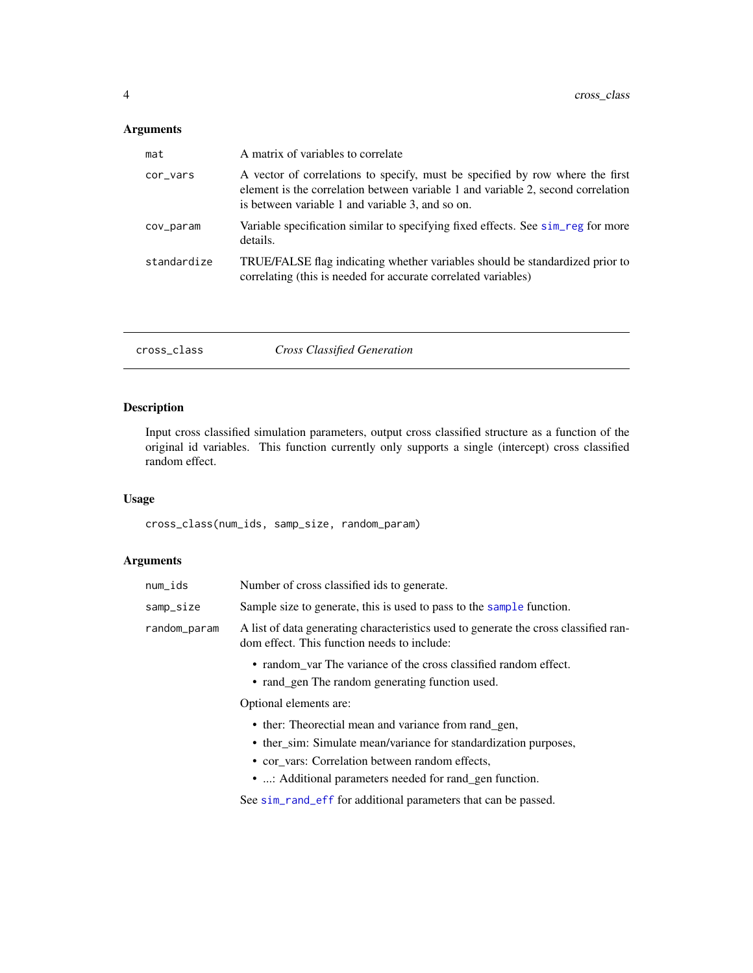# <span id="page-3-0"></span>Arguments

| mat         | A matrix of variables to correlate                                                                                                                                                                                    |
|-------------|-----------------------------------------------------------------------------------------------------------------------------------------------------------------------------------------------------------------------|
| cor_vars    | A vector of correlations to specify, must be specified by row where the first<br>element is the correlation between variable 1 and variable 2, second correlation<br>is between variable 1 and variable 3, and so on. |
| cov_param   | Variable specification similar to specifying fixed effects. See sim reg for more<br>details.                                                                                                                          |
| standardize | TRUE/FALSE flag indicating whether variables should be standardized prior to<br>correlating (this is needed for accurate correlated variables)                                                                        |

|--|--|--|

# Description

Input cross classified simulation parameters, output cross classified structure as a function of the original id variables. This function currently only supports a single (intercept) cross classified random effect.

# Usage

cross\_class(num\_ids, samp\_size, random\_param)

| num_ids      | Number of cross classified ids to generate.                                                                                         |
|--------------|-------------------------------------------------------------------------------------------------------------------------------------|
| samp_size    | Sample size to generate, this is used to pass to the sample function.                                                               |
| random_param | A list of data generating characteristics used to generate the cross classified ran-<br>dom effect. This function needs to include: |
|              | • random var The variance of the cross classified random effect.<br>• rand_gen The random generating function used.                 |
|              | Optional elements are:                                                                                                              |
|              | • ther: Theorectial mean and variance from rand_gen,<br>• ther_sim: Simulate mean/variance for standardization purposes,            |
|              | • cor vars: Correlation between random effects,<br>• : Additional parameters needed for rand_gen function.                          |
|              | See sim_rand_eff for additional parameters that can be passed.                                                                      |
|              |                                                                                                                                     |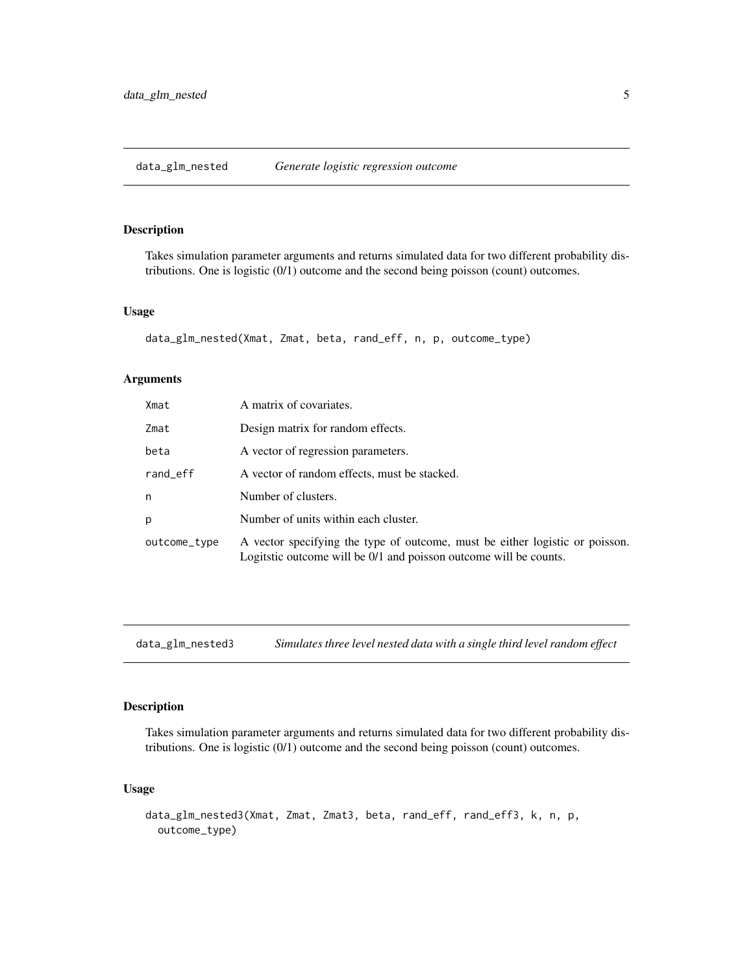#### <span id="page-4-0"></span>Description

Takes simulation parameter arguments and returns simulated data for two different probability distributions. One is logistic (0/1) outcome and the second being poisson (count) outcomes.

#### Usage

```
data_glm_nested(Xmat, Zmat, beta, rand_eff, n, p, outcome_type)
```
#### Arguments

| Xmat         | A matrix of covariates.                                                                                                                           |
|--------------|---------------------------------------------------------------------------------------------------------------------------------------------------|
| Zmat         | Design matrix for random effects.                                                                                                                 |
| beta         | A vector of regression parameters.                                                                                                                |
| rand_eff     | A vector of random effects, must be stacked.                                                                                                      |
| n            | Number of clusters.                                                                                                                               |
| p            | Number of units within each cluster.                                                                                                              |
| outcome_type | A vector specifying the type of outcome, must be either logistic or poisson.<br>Logitatic outcome will be 0/1 and poisson outcome will be counts. |

data\_glm\_nested3 *Simulates three level nested data with a single third level random effect*

# Description

Takes simulation parameter arguments and returns simulated data for two different probability distributions. One is logistic (0/1) outcome and the second being poisson (count) outcomes.

#### Usage

```
data_glm_nested3(Xmat, Zmat, Zmat3, beta, rand_eff, rand_eff3, k, n, p,
  outcome_type)
```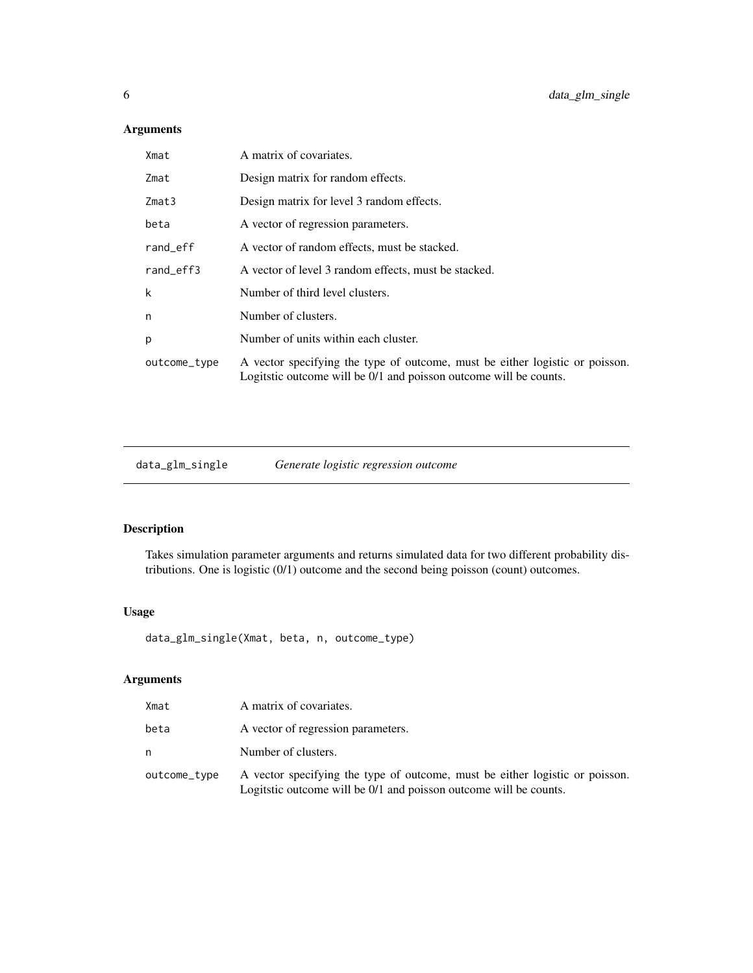# Arguments

| Xmat         | A matrix of covariates.                                                                                                                           |
|--------------|---------------------------------------------------------------------------------------------------------------------------------------------------|
| Zmat         | Design matrix for random effects.                                                                                                                 |
| Zmat3        | Design matrix for level 3 random effects.                                                                                                         |
| beta         | A vector of regression parameters.                                                                                                                |
| rand_eff     | A vector of random effects, must be stacked.                                                                                                      |
| rand_eff3    | A vector of level 3 random effects, must be stacked.                                                                                              |
| k            | Number of third level clusters.                                                                                                                   |
| n            | Number of clusters.                                                                                                                               |
| p            | Number of units within each cluster.                                                                                                              |
| outcome_type | A vector specifying the type of outcome, must be either logistic or poisson.<br>Logitstic outcome will be 0/1 and poisson outcome will be counts. |
|              |                                                                                                                                                   |

data\_glm\_single *Generate logistic regression outcome*

# Description

Takes simulation parameter arguments and returns simulated data for two different probability distributions. One is logistic (0/1) outcome and the second being poisson (count) outcomes.

#### Usage

data\_glm\_single(Xmat, beta, n, outcome\_type)

| Xmat         | A matrix of covariates.                                                                                                                           |
|--------------|---------------------------------------------------------------------------------------------------------------------------------------------------|
| beta         | A vector of regression parameters.                                                                                                                |
| n            | Number of clusters.                                                                                                                               |
| outcome_type | A vector specifying the type of outcome, must be either logistic or poisson.<br>Logitatic outcome will be 0/1 and poisson outcome will be counts. |

<span id="page-5-0"></span>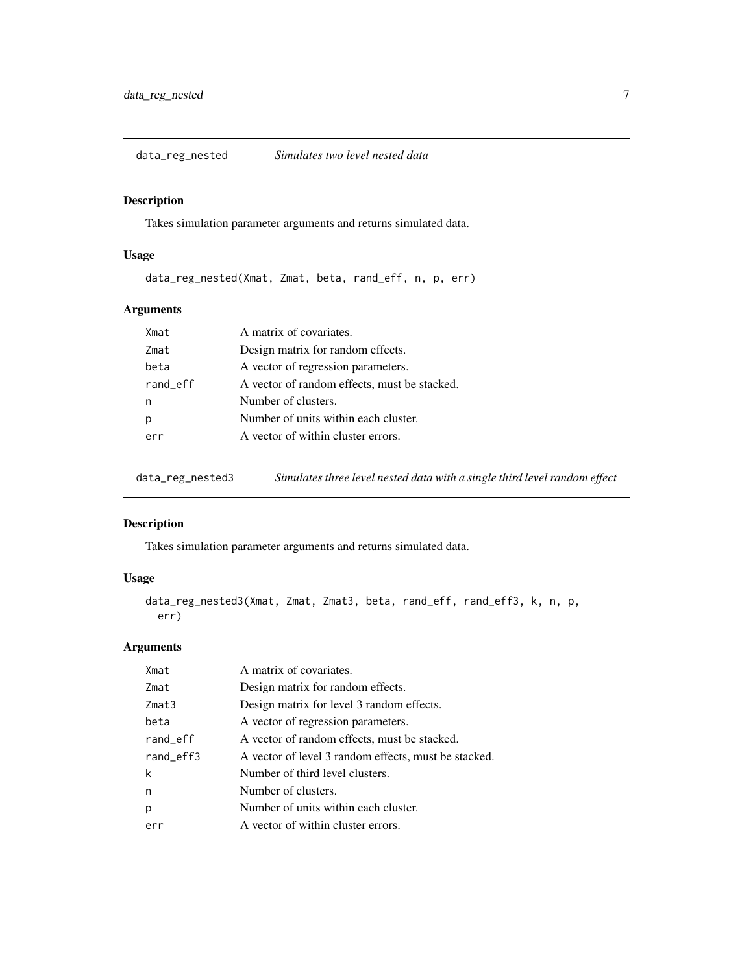<span id="page-6-0"></span>data\_reg\_nested *Simulates two level nested data*

#### Description

Takes simulation parameter arguments and returns simulated data.

#### Usage

data\_reg\_nested(Xmat, Zmat, beta, rand\_eff, n, p, err)

# Arguments

| Xmat     | A matrix of covariates.                      |
|----------|----------------------------------------------|
| Zmat     | Design matrix for random effects.            |
| beta     | A vector of regression parameters.           |
| rand_eff | A vector of random effects, must be stacked. |
| n        | Number of clusters.                          |
| p        | Number of units within each cluster.         |
| err      | A vector of within cluster errors.           |
|          |                                              |

data\_reg\_nested3 *Simulates three level nested data with a single third level random effect*

# Description

Takes simulation parameter arguments and returns simulated data.

# Usage

```
data_reg_nested3(Xmat, Zmat, Zmat3, beta, rand_eff, rand_eff3, k, n, p,
 err)
```

| Xmat      | A matrix of covariates.                              |
|-----------|------------------------------------------------------|
| Zmat      | Design matrix for random effects.                    |
| Zmat3     | Design matrix for level 3 random effects.            |
| beta      | A vector of regression parameters.                   |
| rand_eff  | A vector of random effects, must be stacked.         |
| rand_eff3 | A vector of level 3 random effects, must be stacked. |
| k         | Number of third level clusters.                      |
| n         | Number of clusters.                                  |
| p         | Number of units within each cluster.                 |
| err       | A vector of within cluster errors.                   |
|           |                                                      |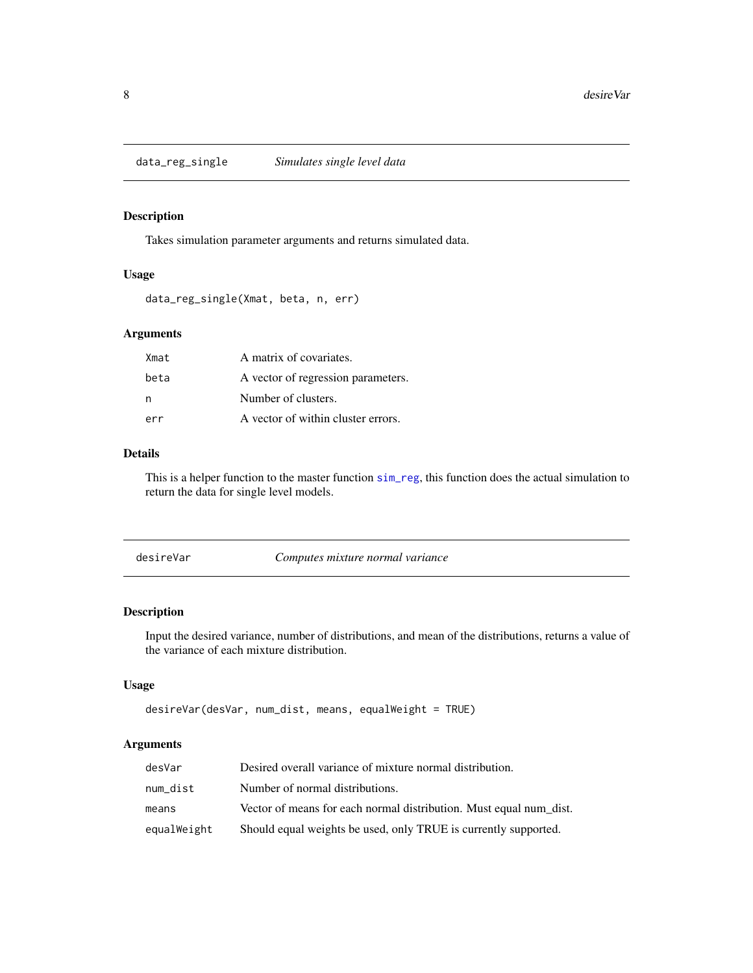<span id="page-7-0"></span>data\_reg\_single *Simulates single level data*

# Description

Takes simulation parameter arguments and returns simulated data.

#### Usage

```
data_reg_single(Xmat, beta, n, err)
```
# Arguments

| Xmat | A matrix of covariates.            |
|------|------------------------------------|
| beta | A vector of regression parameters. |
| n    | Number of clusters.                |
| err  | A vector of within cluster errors. |

# Details

This is a helper function to the master function [sim\\_reg](#page-63-1), this function does the actual simulation to return the data for single level models.

<span id="page-7-1"></span>

| desireVar | Computes mixture normal variance |  |
|-----------|----------------------------------|--|
|-----------|----------------------------------|--|

#### Description

Input the desired variance, number of distributions, and mean of the distributions, returns a value of the variance of each mixture distribution.

#### Usage

```
desireVar(desVar, num_dist, means, equalWeight = TRUE)
```

| desVar      | Desired overall variance of mixture normal distribution.           |
|-------------|--------------------------------------------------------------------|
| num dist    | Number of normal distributions.                                    |
| means       | Vector of means for each normal distribution. Must equal num_dist. |
| equalWeight | Should equal weights be used, only TRUE is currently supported.    |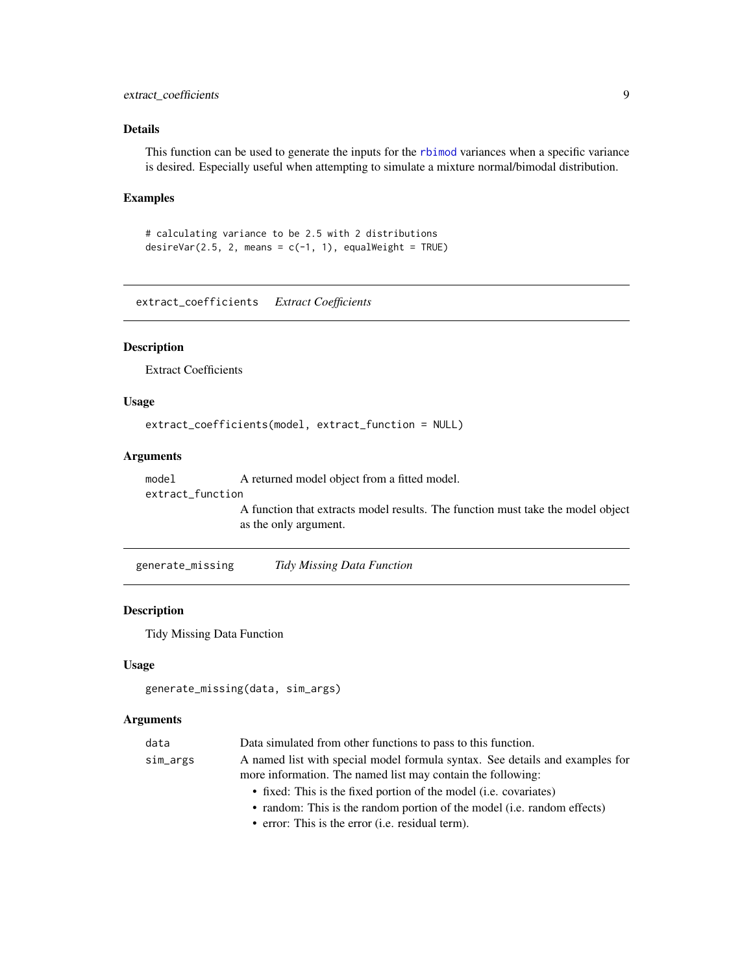# <span id="page-8-0"></span>extract\_coefficients 9

#### Details

This function can be used to generate the inputs for the [rbimod](#page-13-1) variances when a specific variance is desired. Especially useful when attempting to simulate a mixture normal/bimodal distribution.

#### Examples

```
# calculating variance to be 2.5 with 2 distributions
desireVar(2.5, 2, means = c(-1, 1), equalWeight = TRUE)
```
extract\_coefficients *Extract Coefficients*

#### Description

Extract Coefficients

#### Usage

```
extract_coefficients(model, extract_function = NULL)
```
#### Arguments

model A returned model object from a fitted model. extract\_function A function that extracts model results. The function must take the model object as the only argument.

generate\_missing *Tidy Missing Data Function*

#### Description

Tidy Missing Data Function

#### Usage

```
generate_missing(data, sim_args)
```

| data     | Data simulated from other functions to pass to this function.                |
|----------|------------------------------------------------------------------------------|
| sim_args | A named list with special model formula syntax. See details and examples for |
|          | more information. The named list may contain the following:                  |
|          | • fixed: This is the fixed portion of the model ( <i>i.e.</i> covariates)    |
|          | • random: This is the random portion of the model (i.e. random effects)      |
|          | • error: This is the error (i.e. residual term).                             |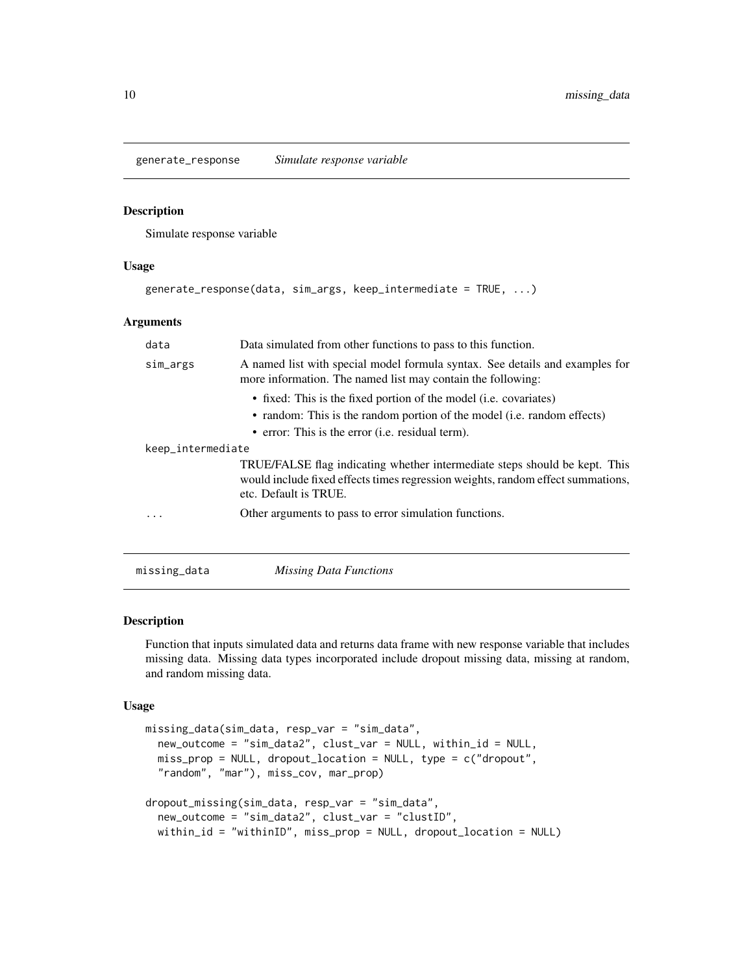<span id="page-9-0"></span>generate\_response *Simulate response variable*

#### Description

Simulate response variable

#### Usage

```
generate_response(data, sim_args, keep_intermediate = TRUE, ...)
```
#### **Arguments**

| data              | Data simulated from other functions to pass to this function.                                                                                                                          |
|-------------------|----------------------------------------------------------------------------------------------------------------------------------------------------------------------------------------|
| sim_args          | A named list with special model formula syntax. See details and examples for<br>more information. The named list may contain the following:                                            |
|                   | • fixed: This is the fixed portion of the model ( <i>i.e.</i> covariates)<br>• random: This is the random portion of the model (i.e. random effects)                                   |
|                   | • error: This is the error (i.e. residual term).                                                                                                                                       |
| keep_intermediate |                                                                                                                                                                                        |
|                   | TRUE/FALSE flag indicating whether intermediate steps should be kept. This<br>would include fixed effects times regression weights, random effect summations,<br>etc. Default is TRUE. |
| .                 | Other arguments to pass to error simulation functions.                                                                                                                                 |
|                   |                                                                                                                                                                                        |
| missing_data      | <b>Missing Data Functions</b>                                                                                                                                                          |

# Description

Function that inputs simulated data and returns data frame with new response variable that includes missing data. Missing data types incorporated include dropout missing data, missing at random, and random missing data.

#### Usage

```
missing_data(sim_data, resp_var = "sim_data",
 new_outcome = "sim_data2", clust_var = NULL, within_id = NULL,
 miss_prop = NULL, dropout_location = NULL, type = c("dropout",
  "random", "mar"), miss_cov, mar_prop)
dropout_missing(sim_data, resp_var = "sim_data",
 new_outcome = "sim_data2", clust_var = "clustID",
 within_id = "withinID", miss_prop = NULL, dropout_location = NULL)
```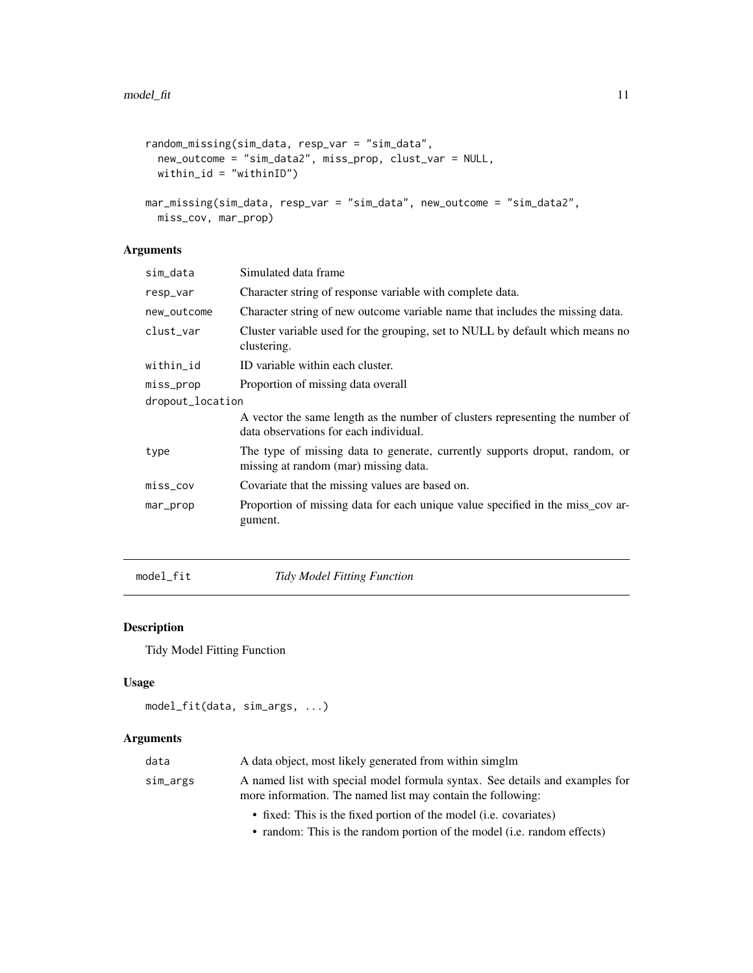```
random_missing(sim_data, resp_var = "sim_data",
 new_outcome = "sim_data2", miss_prop, clust_var = NULL,
 within_id = "withinID")
mar_missing(sim_data, resp_var = "sim_data", new_outcome = "sim_data2",
```
# miss\_cov, mar\_prop)

# Arguments

| sim_data         | Simulated data frame                                                                                                    |
|------------------|-------------------------------------------------------------------------------------------------------------------------|
| resp_var         | Character string of response variable with complete data.                                                               |
| new_outcome      | Character string of new outcome variable name that includes the missing data.                                           |
| clust_var        | Cluster variable used for the grouping, set to NULL by default which means no<br>clustering.                            |
| within_id        | ID variable within each cluster.                                                                                        |
| miss_prop        | Proportion of missing data overall                                                                                      |
| dropout_location |                                                                                                                         |
|                  | A vector the same length as the number of clusters representing the number of<br>data observations for each individual. |
| type             | The type of missing data to generate, currently supports droput, random, or<br>missing at random (mar) missing data.    |
| miss_cov         | Covariate that the missing values are based on.                                                                         |
| mar_prop         | Proportion of missing data for each unique value specified in the miss_cov ar-<br>gument.                               |
|                  |                                                                                                                         |

<span id="page-10-1"></span>model\_fit *Tidy Model Fitting Function*

# Description

Tidy Model Fitting Function

# Usage

```
model_fit(data, sim_args, ...)
```
#### Arguments

| data     | A data object, most likely generated from within simglm                                                                                     |
|----------|---------------------------------------------------------------------------------------------------------------------------------------------|
| sim_args | A named list with special model formula syntax. See details and examples for<br>more information. The named list may contain the following: |
|          | • fixed: This is the fixed portion of the model (i.e. covariates)                                                                           |
|          |                                                                                                                                             |

• random: This is the random portion of the model (i.e. random effects)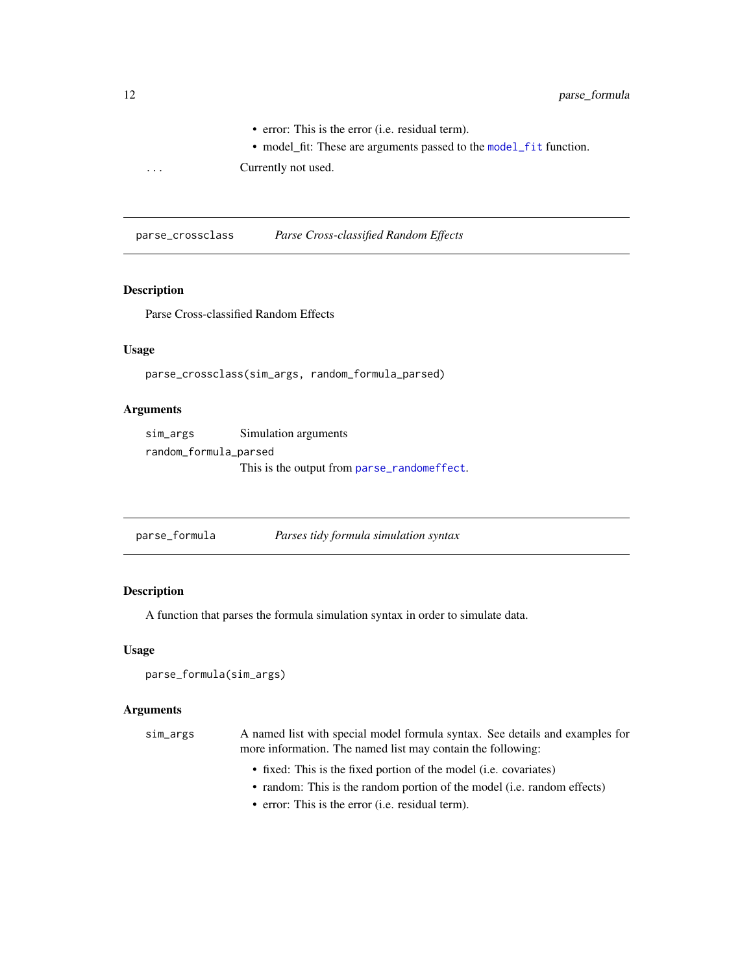• error: This is the error (i.e. residual term).

• model\_fit: These are arguments passed to the [model\\_fit](#page-10-1) function.

<span id="page-11-0"></span>... Currently not used.

parse\_crossclass *Parse Cross-classified Random Effects*

# Description

Parse Cross-classified Random Effects

#### Usage

```
parse_crossclass(sim_args, random_formula_parsed)
```
# Arguments

| sim_args              | Simulation arguments                        |
|-----------------------|---------------------------------------------|
| random_formula_parsed |                                             |
|                       | This is the output from parse_randomeffect. |

<span id="page-11-1"></span>

| parse_formula | Parses tidy formula simulation syntax |  |
|---------------|---------------------------------------|--|
|               |                                       |  |

# Description

A function that parses the formula simulation syntax in order to simulate data.

#### Usage

```
parse_formula(sim_args)
```
# Arguments

| sim_args | A named list with special model formula syntax. See details and examples for |
|----------|------------------------------------------------------------------------------|
|          | more information. The named list may contain the following:                  |
|          | • fixed: This is the fixed portion of the model (i.e. covariates)            |
|          | • random: This is the random portion of the model (i.e. random effects)      |

• error: This is the error (i.e. residual term).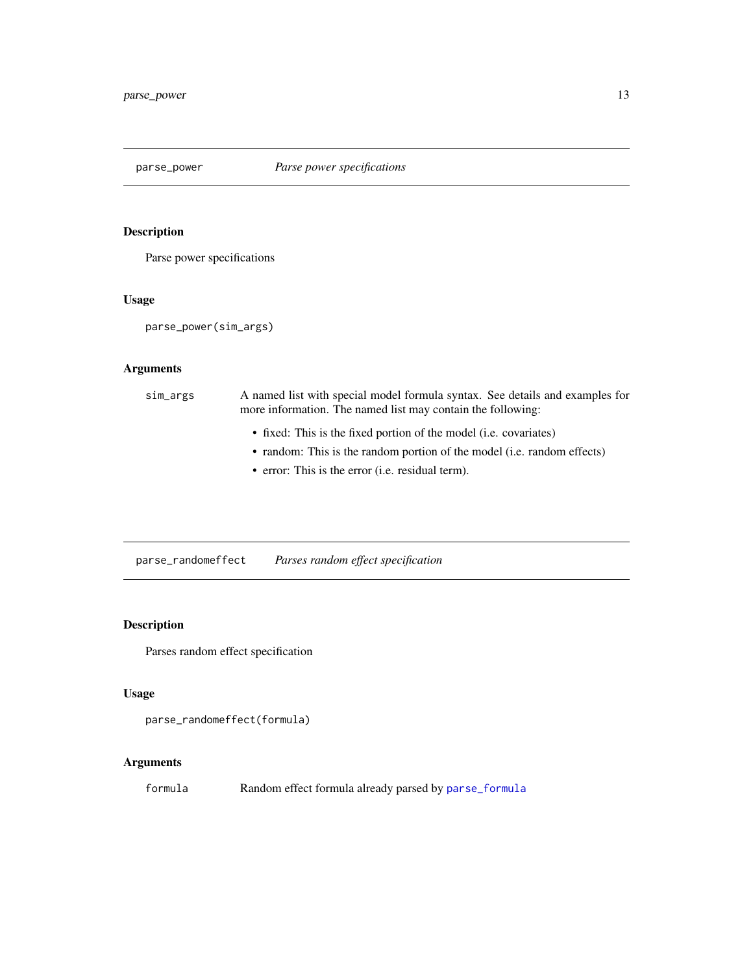<span id="page-12-0"></span>

# Description

Parse power specifications

#### Usage

parse\_power(sim\_args)

# Arguments

| sim_args | A named list with special model formula syntax. See details and examples for<br>more information. The named list may contain the following:  |
|----------|----------------------------------------------------------------------------------------------------------------------------------------------|
|          | • fixed: This is the fixed portion of the model (i.e. covariates)<br>• random: This is the random portion of the model (i.e. random effects) |

• error: This is the error (i.e. residual term).

<span id="page-12-1"></span>parse\_randomeffect *Parses random effect specification*

# Description

Parses random effect specification

# Usage

```
parse_randomeffect(formula)
```
# Arguments

formula Random effect formula already parsed by [parse\\_formula](#page-11-1)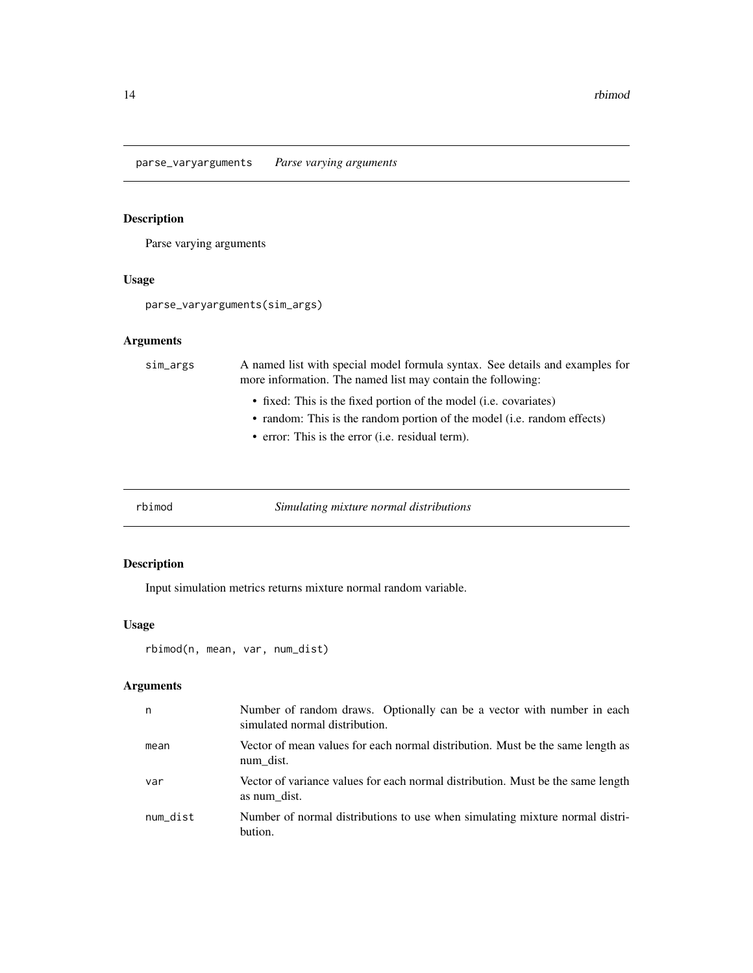<span id="page-13-0"></span>parse\_varyarguments *Parse varying arguments*

# Description

Parse varying arguments

# Usage

parse\_varyarguments(sim\_args)

# Arguments

| sim_args | A named list with special model formula syntax. See details and examples for<br>more information. The named list may contain the following: |
|----------|---------------------------------------------------------------------------------------------------------------------------------------------|
|          | • fixed: This is the fixed portion of the model (i.e. covariates)                                                                           |
|          | • random: This is the random portion of the model (i.e. random effects)                                                                     |
|          | • error: This is the error (i.e. residual term).                                                                                            |

<span id="page-13-1"></span>rbimod *Simulating mixture normal distributions*

# Description

Input simulation metrics returns mixture normal random variable.

# Usage

```
rbimod(n, mean, var, num_dist)
```

| n        | Number of random draws. Optionally can be a vector with number in each<br>simulated normal distribution. |
|----------|----------------------------------------------------------------------------------------------------------|
| mean     | Vector of mean values for each normal distribution. Must be the same length as<br>num dist.              |
| var      | Vector of variance values for each normal distribution. Must be the same length<br>as num dist.          |
| num dist | Number of normal distributions to use when simulating mixture normal distri-<br>bution.                  |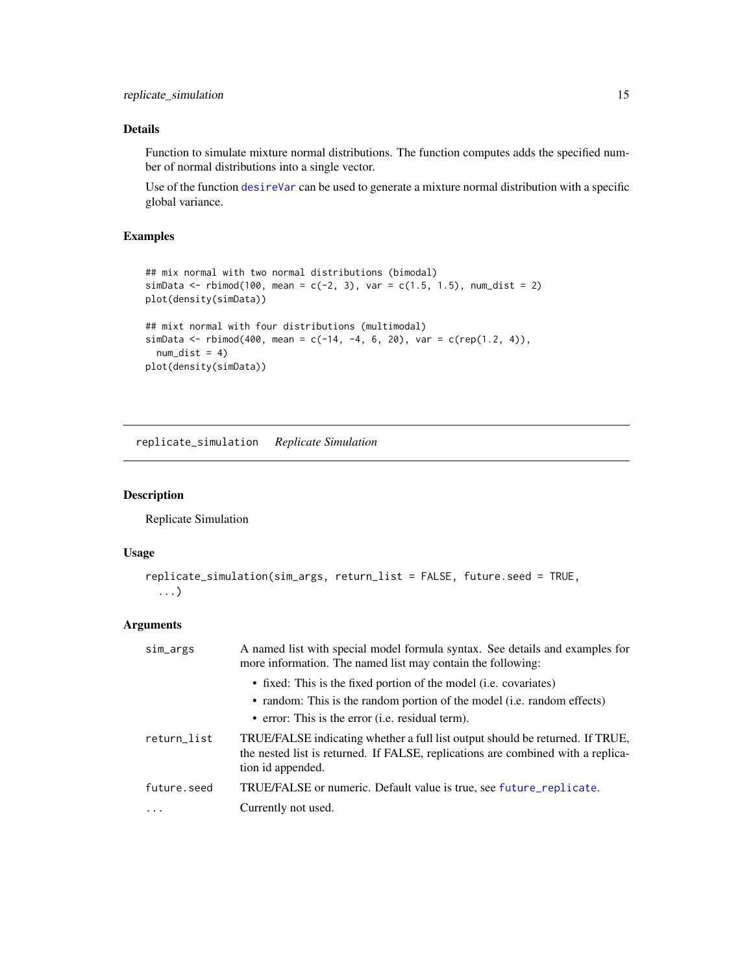# <span id="page-14-0"></span>Details

Function to simulate mixture normal distributions. The function computes adds the specified number of normal distributions into a single vector.

Use of the function [desireVar](#page-7-1) can be used to generate a mixture normal distribution with a specific global variance.

# Examples

```
## mix normal with two normal distributions (bimodal)
simData <- rbimod(100, mean = c(-2, 3), var = c(1.5, 1.5), num_dist = 2)
plot(density(simData))
## mixt normal with four distributions (multimodal)
simData <- rbimod(400, mean = c(-14, -4, 6, 20), var = c(rep(1.2, 4)),
 num\_dist = 4)
plot(density(simData))
```
<span id="page-14-1"></span>replicate\_simulation *Replicate Simulation*

#### Description

Replicate Simulation

# Usage

```
replicate_simulation(sim_args, return_list = FALSE, future.seed = TRUE,
  ...)
```

| sim_args    | A named list with special model formula syntax. See details and examples for<br>more information. The named list may contain the following:                                            |
|-------------|----------------------------------------------------------------------------------------------------------------------------------------------------------------------------------------|
|             | • fixed: This is the fixed portion of the model (i.e. covariates)                                                                                                                      |
|             | • random: This is the random portion of the model (i.e. random effects)                                                                                                                |
|             | • error: This is the error (i.e. residual term).                                                                                                                                       |
| return_list | TRUE/FALSE indicating whether a full list output should be returned. If TRUE,<br>the nested list is returned. If FALSE, replications are combined with a replica-<br>tion id appended. |
| future.seed | TRUE/FALSE or numeric. Default value is true, see future_replicate.                                                                                                                    |
| .           | Currently not used.                                                                                                                                                                    |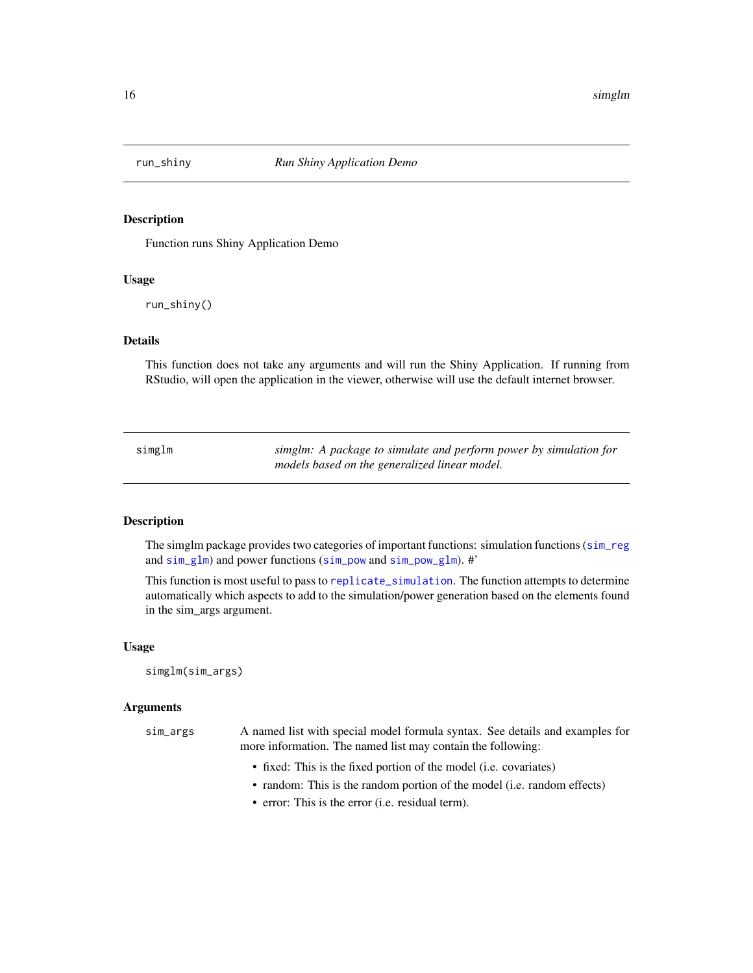<span id="page-15-0"></span>

#### Description

Function runs Shiny Application Demo

#### Usage

run\_shiny()

#### Details

This function does not take any arguments and will run the Shiny Application. If running from RStudio, will open the application in the viewer, otherwise will use the default internet browser.

| simglm | simglm: A package to simulate and perform power by simulation for |
|--------|-------------------------------------------------------------------|
|        | models based on the generalized linear model.                     |

# Description

The simglm package provides two categories of important functions: simulation functions ([sim\\_reg](#page-63-1) and [sim\\_glm](#page-26-1)) and power functions ([sim\\_pow](#page-37-1) and [sim\\_pow\\_glm](#page-42-1)). #'

This function is most useful to pass to [replicate\\_simulation](#page-14-1). The function attempts to determine automatically which aspects to add to the simulation/power generation based on the elements found in the sim\_args argument.

#### Usage

```
simglm(sim_args)
```

| sim_args | A named list with special model formula syntax. See details and examples for<br>more information. The named list may contain the following: |
|----------|---------------------------------------------------------------------------------------------------------------------------------------------|
|          | • fixed: This is the fixed portion of the model (i.e. covariates)                                                                           |

- random: This is the random portion of the model (i.e. random effects)
- error: This is the error (i.e. residual term).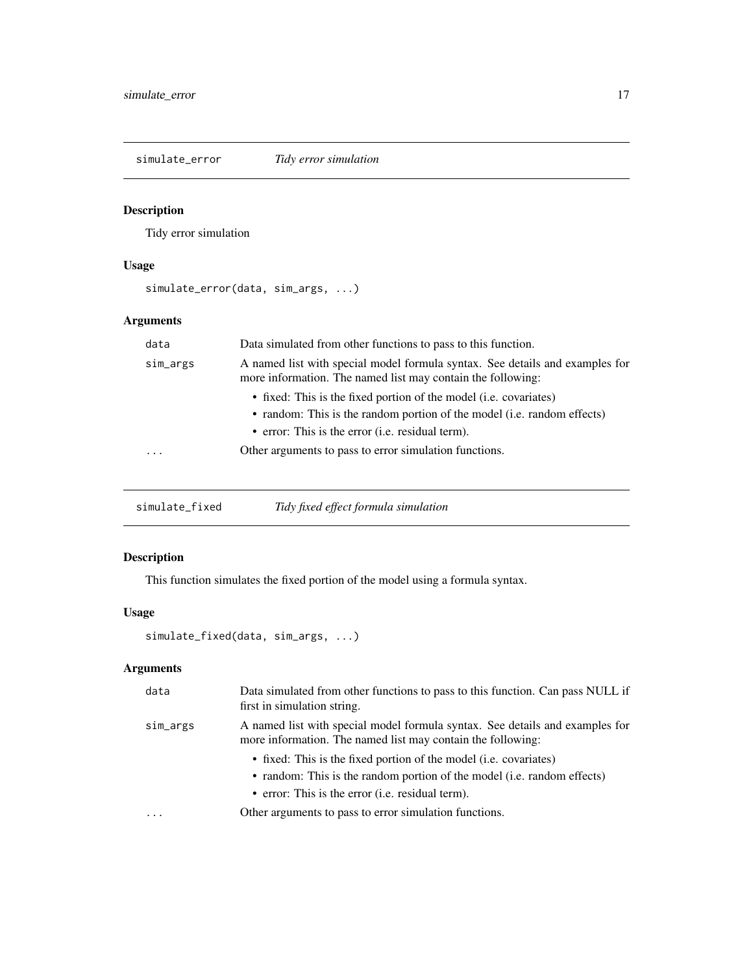<span id="page-16-0"></span>simulate\_error *Tidy error simulation*

# Description

Tidy error simulation

# Usage

simulate\_error(data, sim\_args, ...)

# Arguments

| data     | Data simulated from other functions to pass to this function.                                                                               |
|----------|---------------------------------------------------------------------------------------------------------------------------------------------|
| sim_args | A named list with special model formula syntax. See details and examples for<br>more information. The named list may contain the following: |
|          | • fixed: This is the fixed portion of the model ( <i>i.e.</i> covariates)                                                                   |
|          | • random: This is the random portion of the model (i.e. random effects)                                                                     |
|          | • error: This is the error ( <i>i.e.</i> residual term).                                                                                    |
| $\cdots$ | Other arguments to pass to error simulation functions.                                                                                      |
|          |                                                                                                                                             |

| simulate_fixed | Tidy fixed effect formula simulation |  |
|----------------|--------------------------------------|--|
|----------------|--------------------------------------|--|

# Description

This function simulates the fixed portion of the model using a formula syntax.

# Usage

```
simulate_fixed(data, sim_args, ...)
```

| data     | Data simulated from other functions to pass to this function. Can pass NULL if<br>first in simulation string.                               |
|----------|---------------------------------------------------------------------------------------------------------------------------------------------|
| sim_args | A named list with special model formula syntax. See details and examples for<br>more information. The named list may contain the following: |
|          | • fixed: This is the fixed portion of the model ( <i>i.e.</i> covariates)                                                                   |
|          | • random: This is the random portion of the model (i.e. random effects)                                                                     |
|          | • error: This is the error ( <i>i.e.</i> residual term).                                                                                    |
| $\cdots$ | Other arguments to pass to error simulation functions.                                                                                      |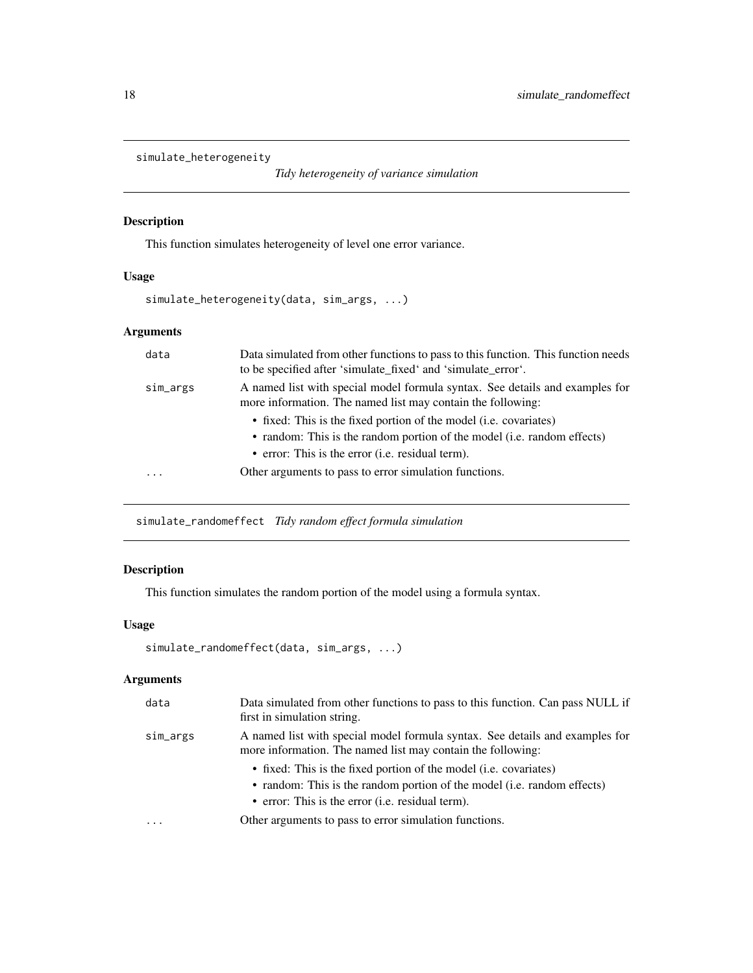```
simulate_heterogeneity
```
*Tidy heterogeneity of variance simulation*

# Description

This function simulates heterogeneity of level one error variance.

# Usage

```
simulate_heterogeneity(data, sim_args, ...)
```
# Arguments

| data     | Data simulated from other functions to pass to this function. This function needs<br>to be specified after 'simulate_fixed' and 'simulate_error'.                                                |
|----------|--------------------------------------------------------------------------------------------------------------------------------------------------------------------------------------------------|
| sim_args | A named list with special model formula syntax. See details and examples for<br>more information. The named list may contain the following:                                                      |
|          | • fixed: This is the fixed portion of the model (i.e. covariates)<br>• random: This is the random portion of the model (i.e. random effects)<br>• error: This is the error (i.e. residual term). |
| .        | Other arguments to pass to error simulation functions.                                                                                                                                           |

simulate\_randomeffect *Tidy random effect formula simulation*

# Description

This function simulates the random portion of the model using a formula syntax.

# Usage

```
simulate_randomeffect(data, sim_args, ...)
```

| data      | Data simulated from other functions to pass to this function. Can pass NULL if<br>first in simulation string.                               |
|-----------|---------------------------------------------------------------------------------------------------------------------------------------------|
| sim_args  | A named list with special model formula syntax. See details and examples for<br>more information. The named list may contain the following: |
|           | • fixed: This is the fixed portion of the model (i.e. covariates)                                                                           |
|           | • random: This is the random portion of the model (i.e. random effects)<br>• error: This is the error ( <i>i.e.</i> residual term).         |
| $\ddotsc$ | Other arguments to pass to error simulation functions.                                                                                      |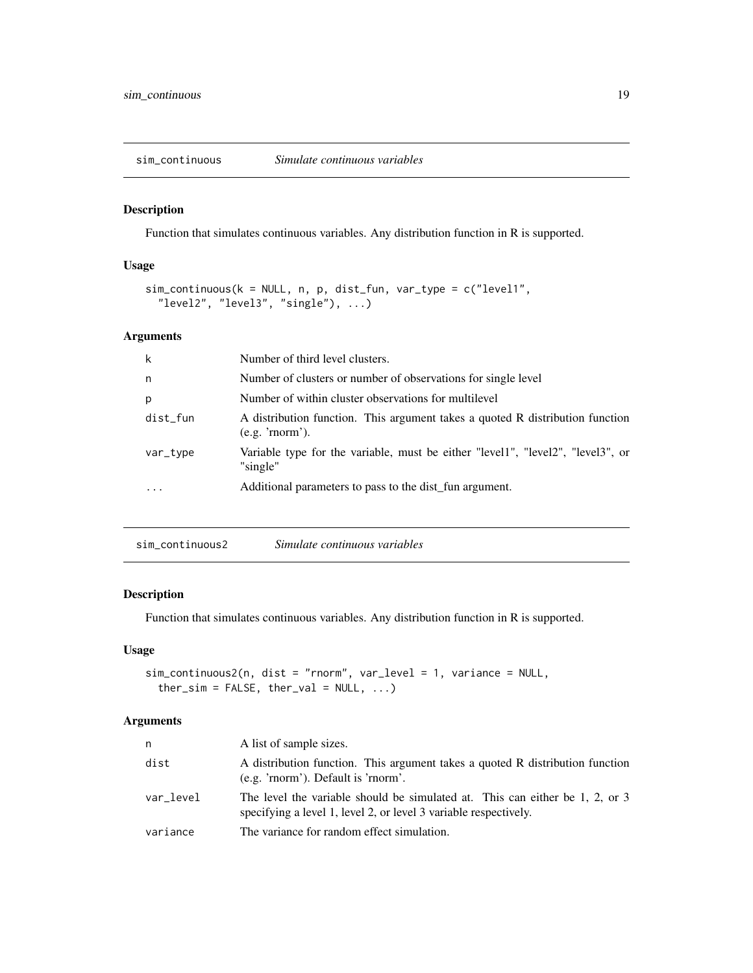<span id="page-18-0"></span>sim\_continuous *Simulate continuous variables*

#### Description

Function that simulates continuous variables. Any distribution function in R is supported.

#### Usage

```
sim_continuous(k = NULL, n, p, dist_fun, var_type = c("level1",
  "level2", "level3", "single"), ...)
```
#### Arguments

| k        | Number of third level clusters.                                                                 |
|----------|-------------------------------------------------------------------------------------------------|
| n        | Number of clusters or number of observations for single level                                   |
| p        | Number of within cluster observations for multilevel                                            |
| dist_fun | A distribution function. This argument takes a quoted R distribution function<br>(e.g. 'morm'). |
| var_type | Variable type for the variable, must be either "level1", "level2", "level3", or<br>"single"     |
| .        | Additional parameters to pass to the dist fun argument.                                         |

sim\_continuous2 *Simulate continuous variables*

# Description

Function that simulates continuous variables. Any distribution function in R is supported.

#### Usage

```
sim_continuous2(n, dist = "rnorm", var_level = 1, variance = NULL,
 ther\_sim = FALSE, ther\_val = NULL, ...
```

| n         | A list of sample sizes.                                                                                                                          |
|-----------|--------------------------------------------------------------------------------------------------------------------------------------------------|
| dist      | A distribution function. This argument takes a quoted R distribution function<br>(e.g. 'rnorm'). Default is 'rnorm'.                             |
| var level | The level the variable should be simulated at. This can either be 1, 2, or 3<br>specifying a level 1, level 2, or level 3 variable respectively. |
| variance  | The variance for random effect simulation.                                                                                                       |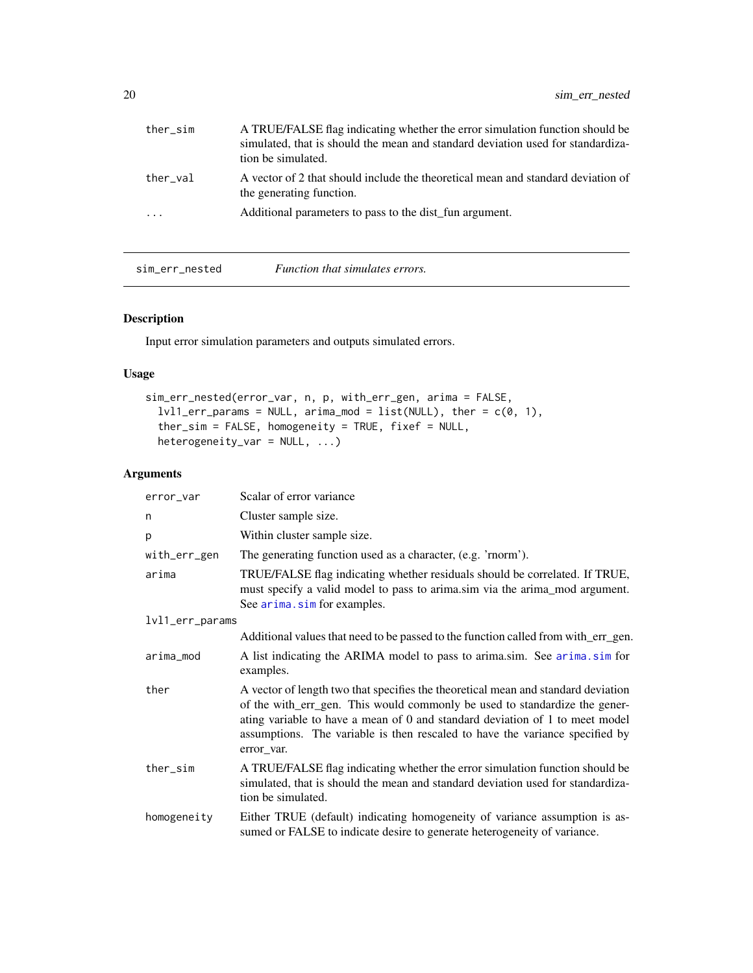<span id="page-19-0"></span>

| A TRUE/FALSE flag indicating whether the error simulation function should be<br>simulated, that is should the mean and standard deviation used for standardiza-<br>tion be simulated. |
|---------------------------------------------------------------------------------------------------------------------------------------------------------------------------------------|
| A vector of 2 that should include the theoretical mean and standard deviation of<br>the generating function.                                                                          |
| Additional parameters to pass to the dist fun argument.                                                                                                                               |
|                                                                                                                                                                                       |

sim\_err\_nested *Function that simulates errors.*

# Description

Input error simulation parameters and outputs simulated errors.

#### Usage

```
sim_err_nested(error_var, n, p, with_err_gen, arima = FALSE,
  lvl1_error_params = NULL, arima_model = list(NULL), ther = c(0, 1),ther_sim = FALSE, homogeneity = TRUE, fixed = NULL,
  heterogeneity_var = NULL, ...)
```

| error_var       | Scalar of error variance                                                                                                                                                                                                                                                                                                                      |  |  |
|-----------------|-----------------------------------------------------------------------------------------------------------------------------------------------------------------------------------------------------------------------------------------------------------------------------------------------------------------------------------------------|--|--|
| n               | Cluster sample size.                                                                                                                                                                                                                                                                                                                          |  |  |
| p               | Within cluster sample size.                                                                                                                                                                                                                                                                                                                   |  |  |
| with_err_gen    | The generating function used as a character, (e.g. 'rnorm').                                                                                                                                                                                                                                                                                  |  |  |
| arima           | TRUE/FALSE flag indicating whether residuals should be correlated. If TRUE,<br>must specify a valid model to pass to arima.sim via the arima_mod argument.<br>See arima.sim for examples.                                                                                                                                                     |  |  |
| lvl1_err_params |                                                                                                                                                                                                                                                                                                                                               |  |  |
|                 | Additional values that need to be passed to the function called from with_err_gen.                                                                                                                                                                                                                                                            |  |  |
| arima_mod       | A list indicating the ARIMA model to pass to arima.sim. See arima.sim for<br>examples.                                                                                                                                                                                                                                                        |  |  |
| ther            | A vector of length two that specifies the theoretical mean and standard deviation<br>of the with_err_gen. This would commonly be used to standardize the gener-<br>ating variable to have a mean of 0 and standard deviation of 1 to meet model<br>assumptions. The variable is then rescaled to have the variance specified by<br>error var. |  |  |
| ther_sim        | A TRUE/FALSE flag indicating whether the error simulation function should be<br>simulated, that is should the mean and standard deviation used for standardiza-<br>tion be simulated.                                                                                                                                                         |  |  |
| homogeneity     | Either TRUE (default) indicating homogeneity of variance assumption is as-<br>sumed or FALSE to indicate desire to generate heterogeneity of variance.                                                                                                                                                                                        |  |  |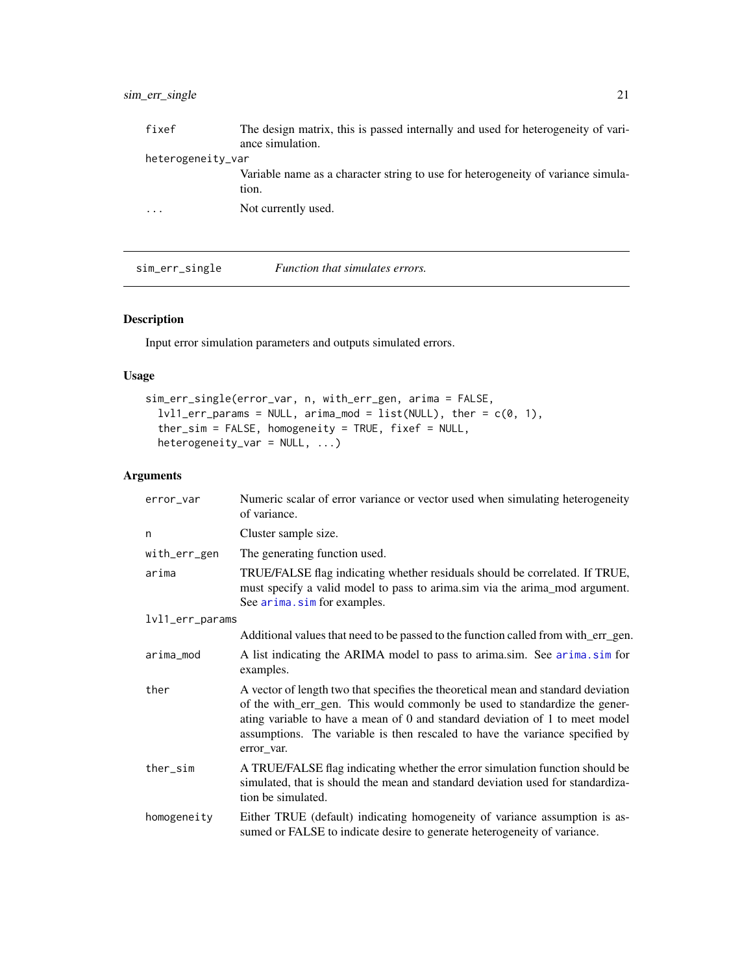# <span id="page-20-0"></span>sim\_err\_single 21

| fixef             | The design matrix, this is passed internally and used for heterogeneity of vari- |  |
|-------------------|----------------------------------------------------------------------------------|--|
|                   | ance simulation.                                                                 |  |
| heterogeneity_var |                                                                                  |  |
|                   | Variable name as a character string to use for heterogeneity of variance simula- |  |
|                   | tion.                                                                            |  |
| $\ddotsc$         | Not currently used.                                                              |  |
|                   |                                                                                  |  |

sim\_err\_single *Function that simulates errors.*

# Description

Input error simulation parameters and outputs simulated errors.

#### Usage

```
sim_err_single(error_var, n, with_err_gen, arima = FALSE,
  lvl1_error_params = NULL, arima_model = list(NULL), ther = c(0, 1),ther_sim = FALSE, homogeneity = TRUE, fixef = NULL,
 heterogeneity_var = NULL, ...)
```

| error_var                                                                                                                                                             | Numeric scalar of error variance or vector used when simulating heterogeneity<br>of variance.                                                                                                                                                                                                                                                 |  |  |
|-----------------------------------------------------------------------------------------------------------------------------------------------------------------------|-----------------------------------------------------------------------------------------------------------------------------------------------------------------------------------------------------------------------------------------------------------------------------------------------------------------------------------------------|--|--|
| n                                                                                                                                                                     | Cluster sample size.                                                                                                                                                                                                                                                                                                                          |  |  |
| with_err_gen                                                                                                                                                          | The generating function used.                                                                                                                                                                                                                                                                                                                 |  |  |
| arima                                                                                                                                                                 | TRUE/FALSE flag indicating whether residuals should be correlated. If TRUE,<br>must specify a valid model to pass to arima.sim via the arima_mod argument.<br>See arima.sim for examples.                                                                                                                                                     |  |  |
| lvl1_err_params                                                                                                                                                       |                                                                                                                                                                                                                                                                                                                                               |  |  |
|                                                                                                                                                                       | Additional values that need to be passed to the function called from with_err_gen.                                                                                                                                                                                                                                                            |  |  |
| arima_mod                                                                                                                                                             | A list indicating the ARIMA model to pass to arima.sim. See arima.sim for<br>examples.                                                                                                                                                                                                                                                        |  |  |
| ther                                                                                                                                                                  | A vector of length two that specifies the theoretical mean and standard deviation<br>of the with_err_gen. This would commonly be used to standardize the gener-<br>ating variable to have a mean of 0 and standard deviation of 1 to meet model<br>assumptions. The variable is then rescaled to have the variance specified by<br>error_var. |  |  |
| ther_sim                                                                                                                                                              | A TRUE/FALSE flag indicating whether the error simulation function should be<br>simulated, that is should the mean and standard deviation used for standardiza-<br>tion be simulated.                                                                                                                                                         |  |  |
| Either TRUE (default) indicating homogeneity of variance assumption is as-<br>homogeneity<br>sumed or FALSE to indicate desire to generate heterogeneity of variance. |                                                                                                                                                                                                                                                                                                                                               |  |  |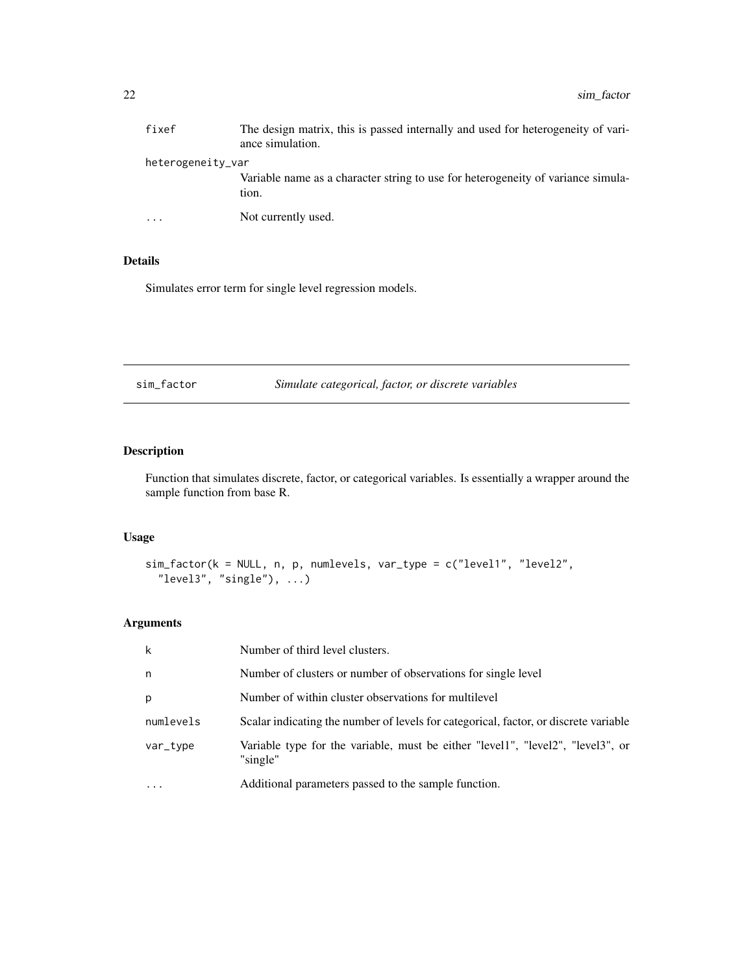<span id="page-21-0"></span>

| fixef             | The design matrix, this is passed internally and used for heterogeneity of vari-<br>ance simulation. |  |
|-------------------|------------------------------------------------------------------------------------------------------|--|
| heterogeneity_var |                                                                                                      |  |
|                   | Variable name as a character string to use for heterogeneity of variance simula-<br>tion.            |  |
| $\ddotsc$         | Not currently used.                                                                                  |  |

#### Details

Simulates error term for single level regression models.

sim\_factor *Simulate categorical, factor, or discrete variables*

# Description

Function that simulates discrete, factor, or categorical variables. Is essentially a wrapper around the sample function from base R.

#### Usage

```
sim_factor(k = NULL, n, p, numlevels, var_type = c("level1", "level2",
  "level3", "single"), \dots)
```

| k         | Number of third level clusters.                                                             |
|-----------|---------------------------------------------------------------------------------------------|
| n         | Number of clusters or number of observations for single level                               |
| p         | Number of within cluster observations for multilevel                                        |
| numlevels | Scalar indicating the number of levels for categorical, factor, or discrete variable        |
| var_type  | Variable type for the variable, must be either "level1", "level2", "level3", or<br>"single" |
| $\cdots$  | Additional parameters passed to the sample function.                                        |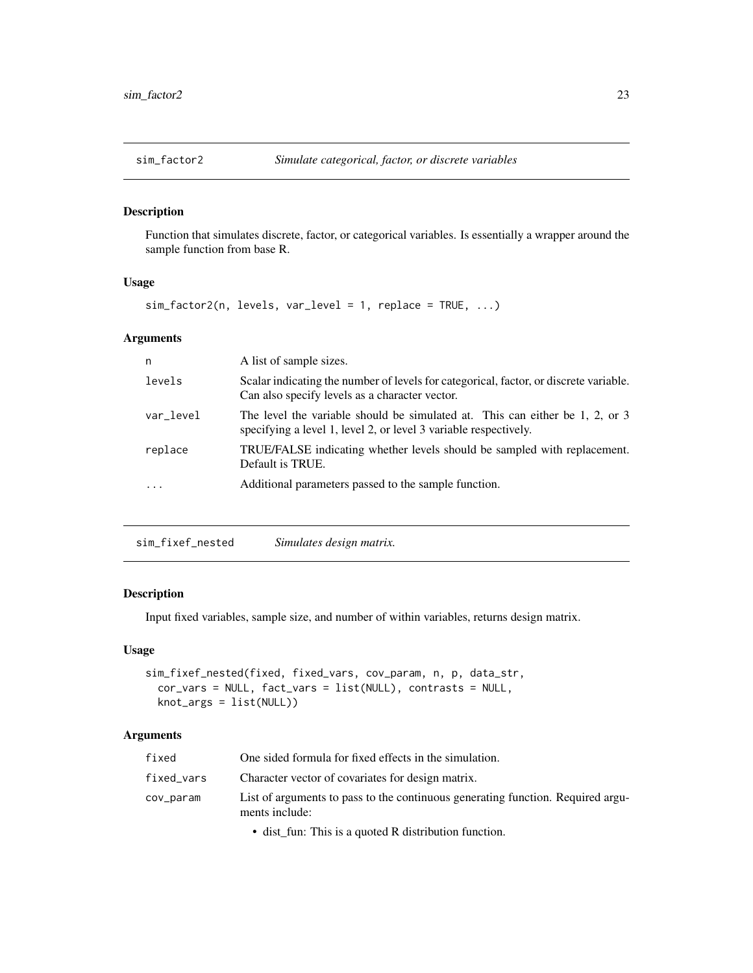<span id="page-22-0"></span>

#### Description

Function that simulates discrete, factor, or categorical variables. Is essentially a wrapper around the sample function from base R.

#### Usage

sim\_factor2(n, levels, var\_level = 1, replace = TRUE, ...)

# Arguments

| n         | A list of sample sizes.                                                                                                                          |
|-----------|--------------------------------------------------------------------------------------------------------------------------------------------------|
| levels    | Scalar indicating the number of levels for categorical, factor, or discrete variable.<br>Can also specify levels as a character vector.          |
| var_level | The level the variable should be simulated at. This can either be 1, 2, or 3<br>specifying a level 1, level 2, or level 3 variable respectively. |
| replace   | TRUE/FALSE indicating whether levels should be sampled with replacement.<br>Default is TRUE.                                                     |
| .         | Additional parameters passed to the sample function.                                                                                             |
|           |                                                                                                                                                  |

sim\_fixef\_nested *Simulates design matrix.*

# Description

Input fixed variables, sample size, and number of within variables, returns design matrix.

#### Usage

```
sim_fixef_nested(fixed, fixed_vars, cov_param, n, p, data_str,
 cor_vars = NULL, fact_vars = list(NULL), contrasts = NULL,
 knot_args = list(NULL))
```
# Arguments

| fixed      | One sided formula for fixed effects in the simulation.                                            |
|------------|---------------------------------------------------------------------------------------------------|
| fixed_vars | Character vector of covariates for design matrix.                                                 |
| cov_param  | List of arguments to pass to the continuous generating function. Required argu-<br>ments include: |

• dist\_fun: This is a quoted R distribution function.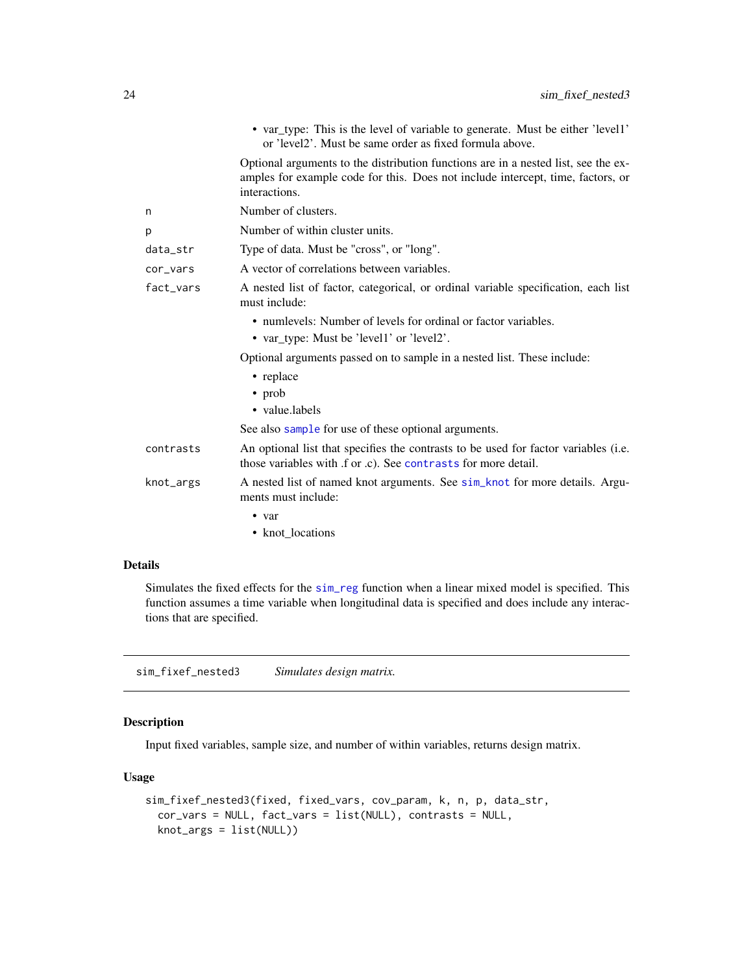<span id="page-23-0"></span>

|           | • var_type: This is the level of variable to generate. Must be either 'level1'<br>or 'level2'. Must be same order as fixed formula above.                                              |
|-----------|----------------------------------------------------------------------------------------------------------------------------------------------------------------------------------------|
|           | Optional arguments to the distribution functions are in a nested list, see the ex-<br>amples for example code for this. Does not include intercept, time, factors, or<br>interactions. |
| n         | Number of clusters.                                                                                                                                                                    |
| р         | Number of within cluster units.                                                                                                                                                        |
| data_str  | Type of data. Must be "cross", or "long".                                                                                                                                              |
| cor_vars  | A vector of correlations between variables.                                                                                                                                            |
| fact_vars | A nested list of factor, categorical, or ordinal variable specification, each list<br>must include:                                                                                    |
|           | • numlevels: Number of levels for ordinal or factor variables.                                                                                                                         |
|           | • var_type: Must be 'level1' or 'level2'.                                                                                                                                              |
|           | Optional arguments passed on to sample in a nested list. These include:                                                                                                                |
|           | • replace                                                                                                                                                                              |
|           | $\cdot$ prob                                                                                                                                                                           |
|           | • value.labels                                                                                                                                                                         |
|           | See also sample for use of these optional arguments.                                                                                                                                   |
| contrasts | An optional list that specifies the contrasts to be used for factor variables (i.e.<br>those variables with f or c). See contrasts for more detail.                                    |
| knot_args | A nested list of named knot arguments. See sim_knot for more details. Argu-<br>ments must include:                                                                                     |
|           | $\bullet$ var                                                                                                                                                                          |
|           | • knot_locations                                                                                                                                                                       |
|           |                                                                                                                                                                                        |

#### Details

Simulates the fixed effects for the [sim\\_reg](#page-63-1) function when a linear mixed model is specified. This function assumes a time variable when longitudinal data is specified and does include any interactions that are specified.

sim\_fixef\_nested3 *Simulates design matrix.*

# Description

Input fixed variables, sample size, and number of within variables, returns design matrix.

#### Usage

```
sim_fixef_nested3(fixed, fixed_vars, cov_param, k, n, p, data_str,
 cor_vars = NULL, fact_vars = list(NULL), contrasts = NULL,
 knot_args = list(NULL))
```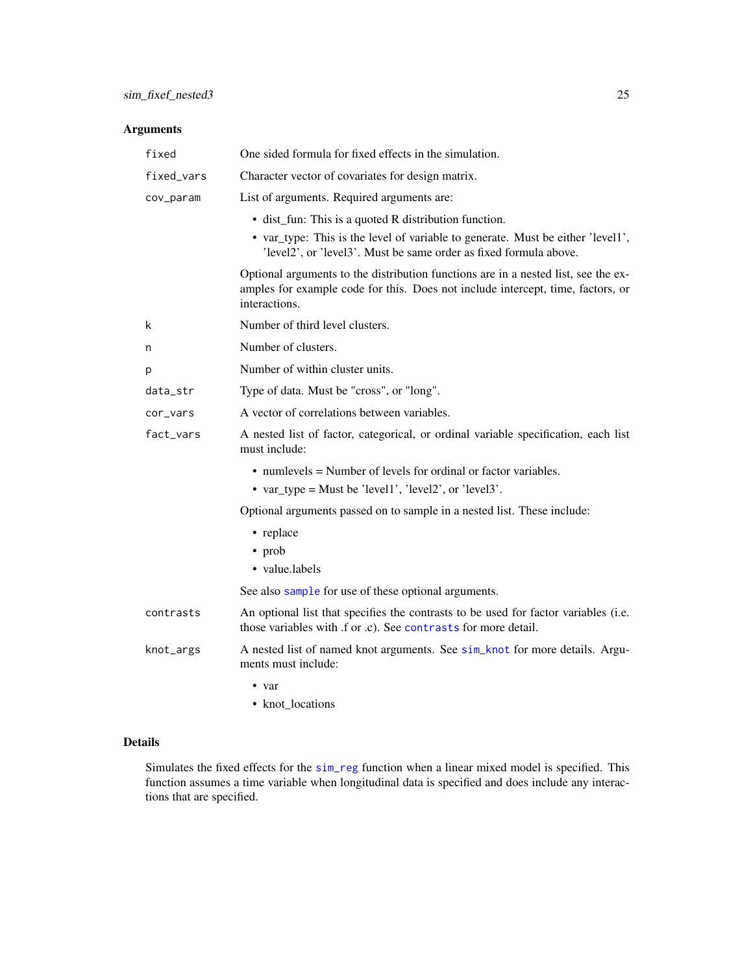# Arguments

| fixed      | One sided formula for fixed effects in the simulation.                                                                                                                                 |  |  |
|------------|----------------------------------------------------------------------------------------------------------------------------------------------------------------------------------------|--|--|
| fixed_vars | Character vector of covariates for design matrix.                                                                                                                                      |  |  |
| cov_param  | List of arguments. Required arguments are:                                                                                                                                             |  |  |
|            | • dist_fun: This is a quoted R distribution function.                                                                                                                                  |  |  |
|            | • var_type: This is the level of variable to generate. Must be either 'level1',<br>'level2', or 'level3'. Must be same order as fixed formula above.                                   |  |  |
|            | Optional arguments to the distribution functions are in a nested list, see the ex-<br>amples for example code for this. Does not include intercept, time, factors, or<br>interactions. |  |  |
| k          | Number of third level clusters.                                                                                                                                                        |  |  |
| n          | Number of clusters.                                                                                                                                                                    |  |  |
| р          | Number of within cluster units.                                                                                                                                                        |  |  |
| data_str   | Type of data. Must be "cross", or "long".                                                                                                                                              |  |  |
| cor_vars   | A vector of correlations between variables.                                                                                                                                            |  |  |
| fact_vars  | A nested list of factor, categorical, or ordinal variable specification, each list<br>must include:                                                                                    |  |  |
|            | $\bullet$ numlevels = Number of levels for ordinal or factor variables.<br>• var_type = Must be 'level1', 'level2', or 'level3'.                                                       |  |  |
|            | Optional arguments passed on to sample in a nested list. These include:                                                                                                                |  |  |
|            | • replace                                                                                                                                                                              |  |  |
|            | • prob                                                                                                                                                                                 |  |  |
|            | • value.labels                                                                                                                                                                         |  |  |
|            | See also sample for use of these optional arguments.                                                                                                                                   |  |  |
| contrasts  | An optional list that specifies the contrasts to be used for factor variables (i.e.<br>those variables with .f or .c). See contrasts for more detail.                                  |  |  |
| knot_args  | A nested list of named knot arguments. See sim_knot for more details. Argu-<br>ments must include:                                                                                     |  |  |
|            | $\bullet$ var                                                                                                                                                                          |  |  |
|            | • knot locations                                                                                                                                                                       |  |  |

#### Details

Simulates the fixed effects for the [sim\\_reg](#page-63-1) function when a linear mixed model is specified. This function assumes a time variable when longitudinal data is specified and does include any interactions that are specified.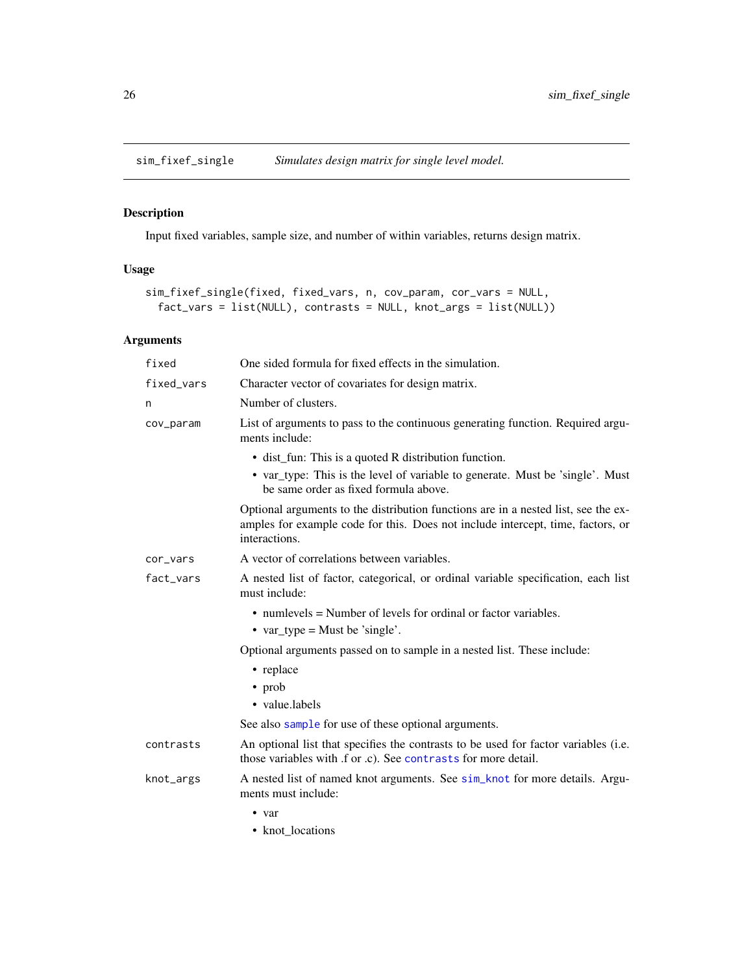<span id="page-25-0"></span>

# Description

Input fixed variables, sample size, and number of within variables, returns design matrix.

# Usage

```
sim_fixef_single(fixed, fixed_vars, n, cov_param, cor_vars = NULL,
 fact_vars = list(NULL), contrasts = NULL, knot_args = list(NULL))
```
# Arguments

| fixed      | One sided formula for fixed effects in the simulation.                                                                                                                                 |  |  |
|------------|----------------------------------------------------------------------------------------------------------------------------------------------------------------------------------------|--|--|
| fixed vars | Character vector of covariates for design matrix.                                                                                                                                      |  |  |
| n          | Number of clusters.                                                                                                                                                                    |  |  |
| cov_param  | List of arguments to pass to the continuous generating function. Required argu-<br>ments include:                                                                                      |  |  |
|            | • dist_fun: This is a quoted R distribution function.                                                                                                                                  |  |  |
|            | • var_type: This is the level of variable to generate. Must be 'single'. Must<br>be same order as fixed formula above.                                                                 |  |  |
|            | Optional arguments to the distribution functions are in a nested list, see the ex-<br>amples for example code for this. Does not include intercept, time, factors, or<br>interactions. |  |  |
| cor_vars   | A vector of correlations between variables.                                                                                                                                            |  |  |
| fact_vars  | A nested list of factor, categorical, or ordinal variable specification, each list<br>must include:                                                                                    |  |  |
|            | • numlevels = Number of levels for ordinal or factor variables.                                                                                                                        |  |  |
|            | • var_type = Must be 'single'.                                                                                                                                                         |  |  |
|            | Optional arguments passed on to sample in a nested list. These include:                                                                                                                |  |  |
|            | • replace                                                                                                                                                                              |  |  |
|            | • prob                                                                                                                                                                                 |  |  |
|            | • value.labels                                                                                                                                                                         |  |  |
|            | See also sample for use of these optional arguments.                                                                                                                                   |  |  |
| contrasts  | An optional list that specifies the contrasts to be used for factor variables (i.e.<br>those variables with .f or .c). See contrasts for more detail.                                  |  |  |
| knot_args  | A nested list of named knot arguments. See sim_knot for more details. Argu-<br>ments must include:                                                                                     |  |  |
|            | • var                                                                                                                                                                                  |  |  |

• knot\_locations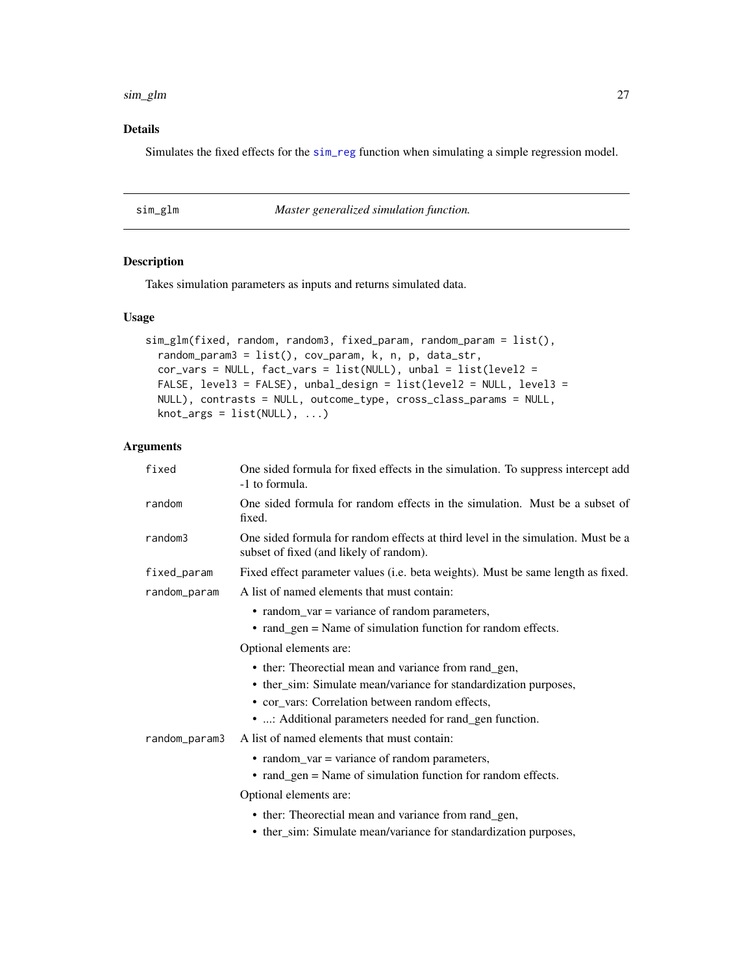#### <span id="page-26-0"></span>sim\_glm 27

# Details

Simulates the fixed effects for the [sim\\_reg](#page-63-1) function when simulating a simple regression model.

<span id="page-26-1"></span>

| sim_glm | Master generalized simulation function. |  |
|---------|-----------------------------------------|--|
|         |                                         |  |

# Description

Takes simulation parameters as inputs and returns simulated data.

#### Usage

```
sim_glm(fixed, random, random3, fixed_param, random_param = list(),
 random_param3 = list(), cov_param, k, n, p, data_str,
 cor_vars = NULL, fact_vars = list(NULL), unbal = list(level2 =
 FALSE, level3 = FALSE), unbal_design = list(level2 = NULL, level3 =
 NULL), contrasts = NULL, outcome_type, cross_class_params = NULL,
 knot_{args} = list(NULL), ...)
```

| fixed         | One sided formula for fixed effects in the simulation. To suppress intercept add<br>-1 to formula.                          |  |  |  |  |
|---------------|-----------------------------------------------------------------------------------------------------------------------------|--|--|--|--|
| random        | One sided formula for random effects in the simulation. Must be a subset of<br>fixed.                                       |  |  |  |  |
| random3       | One sided formula for random effects at third level in the simulation. Must be a<br>subset of fixed (and likely of random). |  |  |  |  |
| fixed_param   | Fixed effect parameter values (i.e. beta weights). Must be same length as fixed.                                            |  |  |  |  |
| random_param  | A list of named elements that must contain:                                                                                 |  |  |  |  |
|               | • random_var = variance of random parameters,                                                                               |  |  |  |  |
|               | • rand_gen = Name of simulation function for random effects.                                                                |  |  |  |  |
|               | Optional elements are:                                                                                                      |  |  |  |  |
|               | • ther: Theorectial mean and variance from rand_gen,                                                                        |  |  |  |  |
|               | • ther_sim: Simulate mean/variance for standardization purposes,                                                            |  |  |  |  |
|               | • cor_vars: Correlation between random effects,                                                                             |  |  |  |  |
|               | • : Additional parameters needed for rand_gen function.                                                                     |  |  |  |  |
| random_param3 | A list of named elements that must contain:                                                                                 |  |  |  |  |
|               | • random_var = variance of random parameters,                                                                               |  |  |  |  |
|               | • rand_gen = Name of simulation function for random effects.                                                                |  |  |  |  |
|               | Optional elements are:                                                                                                      |  |  |  |  |
|               | • ther: Theorectial mean and variance from rand_gen,                                                                        |  |  |  |  |
|               | • ther_sim: Simulate mean/variance for standardization purposes,                                                            |  |  |  |  |
|               |                                                                                                                             |  |  |  |  |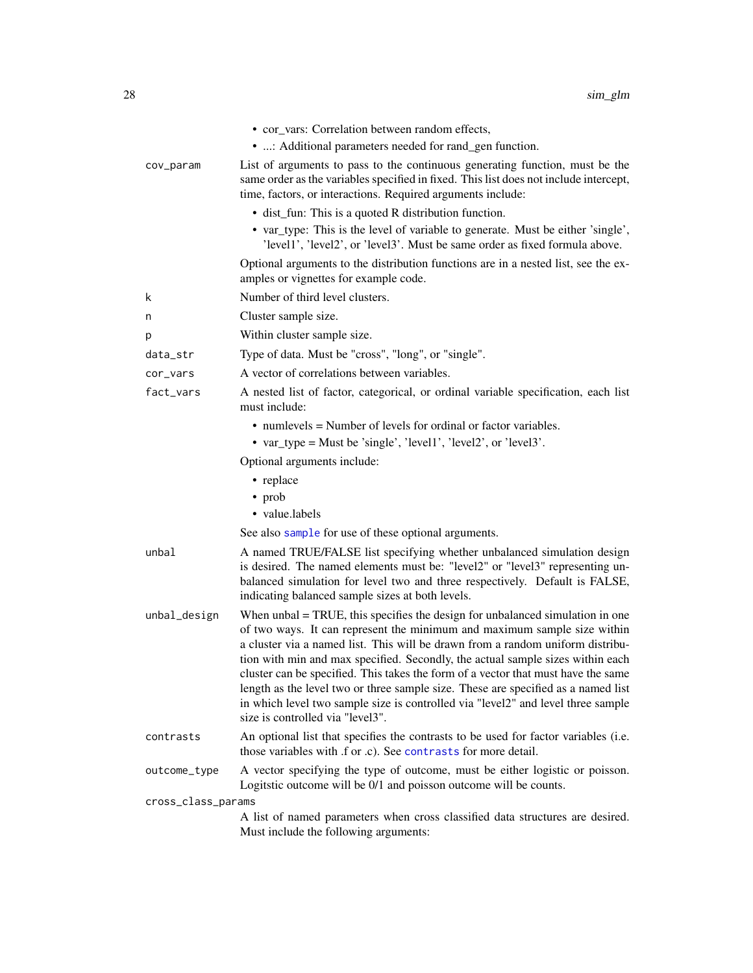|                    | • cor_vars: Correlation between random effects,<br>• : Additional parameters needed for rand_gen function.                                                                                                                                                                                                                                                                                                                                                                                                                                                                                                                         |
|--------------------|------------------------------------------------------------------------------------------------------------------------------------------------------------------------------------------------------------------------------------------------------------------------------------------------------------------------------------------------------------------------------------------------------------------------------------------------------------------------------------------------------------------------------------------------------------------------------------------------------------------------------------|
| cov_param          | List of arguments to pass to the continuous generating function, must be the<br>same order as the variables specified in fixed. This list does not include intercept,<br>time, factors, or interactions. Required arguments include:                                                                                                                                                                                                                                                                                                                                                                                               |
|                    | • dist_fun: This is a quoted R distribution function.                                                                                                                                                                                                                                                                                                                                                                                                                                                                                                                                                                              |
|                    | • var_type: This is the level of variable to generate. Must be either 'single',<br>'level1', 'level2', or 'level3'. Must be same order as fixed formula above.                                                                                                                                                                                                                                                                                                                                                                                                                                                                     |
|                    | Optional arguments to the distribution functions are in a nested list, see the ex-<br>amples or vignettes for example code.                                                                                                                                                                                                                                                                                                                                                                                                                                                                                                        |
| k                  | Number of third level clusters.                                                                                                                                                                                                                                                                                                                                                                                                                                                                                                                                                                                                    |
| n                  | Cluster sample size.                                                                                                                                                                                                                                                                                                                                                                                                                                                                                                                                                                                                               |
| р                  | Within cluster sample size.                                                                                                                                                                                                                                                                                                                                                                                                                                                                                                                                                                                                        |
| data_str           | Type of data. Must be "cross", "long", or "single".                                                                                                                                                                                                                                                                                                                                                                                                                                                                                                                                                                                |
| cor_vars           | A vector of correlations between variables.                                                                                                                                                                                                                                                                                                                                                                                                                                                                                                                                                                                        |
| fact_vars          | A nested list of factor, categorical, or ordinal variable specification, each list<br>must include:                                                                                                                                                                                                                                                                                                                                                                                                                                                                                                                                |
|                    | • numlevels = Number of levels for ordinal or factor variables.<br>• var_type = Must be 'single', 'level1', 'level2', or 'level3'.                                                                                                                                                                                                                                                                                                                                                                                                                                                                                                 |
|                    | Optional arguments include:                                                                                                                                                                                                                                                                                                                                                                                                                                                                                                                                                                                                        |
|                    | • replace                                                                                                                                                                                                                                                                                                                                                                                                                                                                                                                                                                                                                          |
|                    | • prob                                                                                                                                                                                                                                                                                                                                                                                                                                                                                                                                                                                                                             |
|                    | • value.labels                                                                                                                                                                                                                                                                                                                                                                                                                                                                                                                                                                                                                     |
|                    | See also sample for use of these optional arguments.                                                                                                                                                                                                                                                                                                                                                                                                                                                                                                                                                                               |
| unbal              | A named TRUE/FALSE list specifying whether unbalanced simulation design<br>is desired. The named elements must be: "level2" or "level3" representing un-<br>balanced simulation for level two and three respectively. Default is FALSE,<br>indicating balanced sample sizes at both levels.                                                                                                                                                                                                                                                                                                                                        |
| unbal_design       | When $unbal = TRUE$ , this specifies the design for unbalanced simulation in one<br>of two ways. It can represent the minimum and maximum sample size within<br>a cluster via a named list. This will be drawn from a random uniform distribu-<br>tion with min and max specified. Secondly, the actual sample sizes within each<br>cluster can be specified. This takes the form of a vector that must have the same<br>length as the level two or three sample size. These are specified as a named list<br>in which level two sample size is controlled via "level2" and level three sample<br>size is controlled via "level3". |
| contrasts          | An optional list that specifies the contrasts to be used for factor variables (i.e.<br>those variables with .f or .c). See contrasts for more detail.                                                                                                                                                                                                                                                                                                                                                                                                                                                                              |
| outcome_type       | A vector specifying the type of outcome, must be either logistic or poisson.<br>Logitstic outcome will be 0/1 and poisson outcome will be counts.                                                                                                                                                                                                                                                                                                                                                                                                                                                                                  |
| cross_class_params |                                                                                                                                                                                                                                                                                                                                                                                                                                                                                                                                                                                                                                    |
|                    | A list of named parameters when cross classified data structures are desired.<br>Must include the following arguments:                                                                                                                                                                                                                                                                                                                                                                                                                                                                                                             |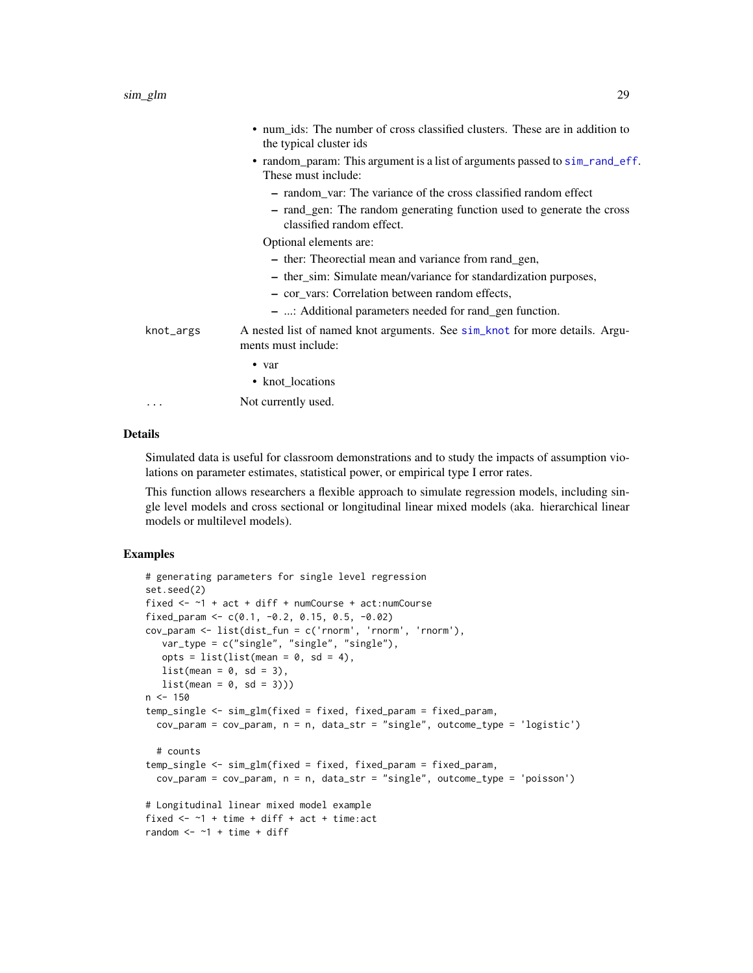|           | • num_ids: The number of cross classified clusters. These are in addition to<br>the typical cluster ids |
|-----------|---------------------------------------------------------------------------------------------------------|
|           | • random_param: This argument is a list of arguments passed to sim_rand_eff.<br>These must include:     |
|           | - random_var: The variance of the cross classified random effect                                        |
|           | - rand_gen: The random generating function used to generate the cross<br>classified random effect.      |
|           | Optional elements are:                                                                                  |
|           | - ther: Theorectial mean and variance from rand_gen,                                                    |
|           | - ther_sim: Simulate mean/variance for standardization purposes,                                        |
|           | - cor vars: Correlation between random effects,                                                         |
|           | - : Additional parameters needed for rand gen function.                                                 |
| knot_args | A nested list of named knot arguments. See sim_knot for more details. Argu-<br>ments must include:      |
|           | $\bullet$ var                                                                                           |
|           | • knot_locations                                                                                        |
| .         | Not currently used.                                                                                     |

#### Details

Simulated data is useful for classroom demonstrations and to study the impacts of assumption violations on parameter estimates, statistical power, or empirical type I error rates.

This function allows researchers a flexible approach to simulate regression models, including single level models and cross sectional or longitudinal linear mixed models (aka. hierarchical linear models or multilevel models).

# Examples

```
# generating parameters for single level regression
set.seed(2)
fixed <- ~1 + act + diff + numCourse + act:numCourse
fixed_param <- c(0.1, -0.2, 0.15, 0.5, -0.02)cov_param <- list(dist_fun = c('rnorm', 'rnorm', 'rnorm'),
  var_type = c("single", "single", "single"),
  opts = list(list(mean = 0, sd = 4),list(\text{mean} = 0, \text{ sd} = 3),list(mean = 0, sd = 3)))n < -150temp_single <- sim_glm(fixed = fixed, fixed_param = fixed_param,
  cov_param = cov_param, n = n, data_str = "single", outcome_type = 'logistic')
  # counts
temp_single <- sim_glm(fixed = fixed, fixed_param = fixed_param,
  cov_param = cov_param, n = n, data_str = "single", outcome_type = 'poisson')
# Longitudinal linear mixed model example
fixed \leq -1 + time + diff + act + time: act
random <-1 + time + diff
```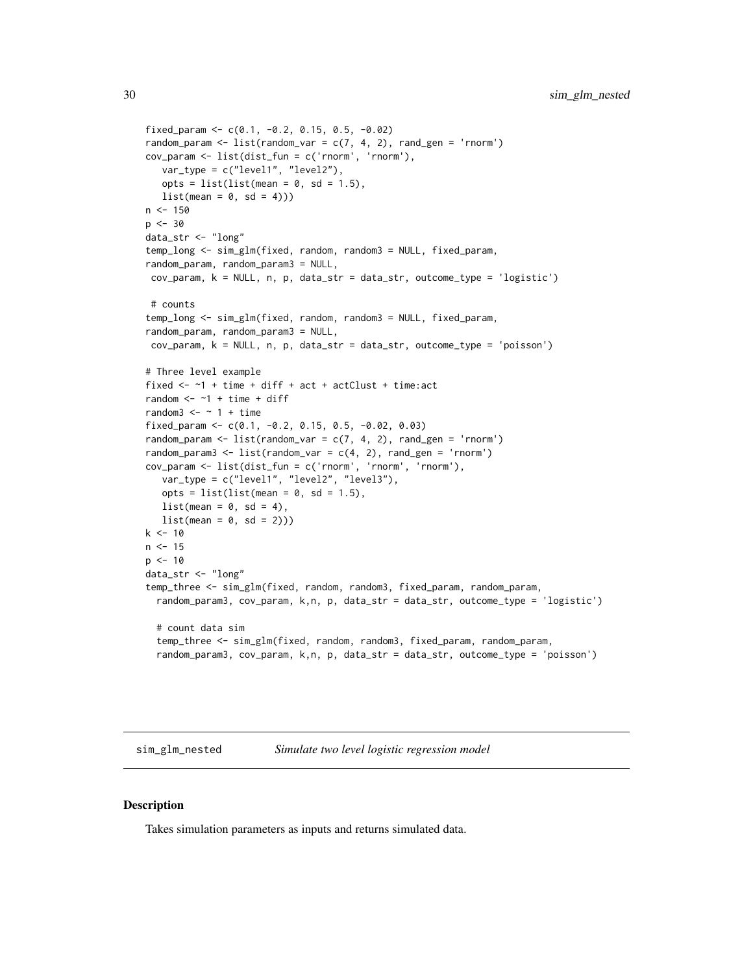```
fixed_param <- c(0.1, -0.2, 0.15, 0.5, -0.02)random_param <- list(random_var = c(7, 4, 2), rand_gen = 'rnorm')
cov_param <- list(dist_fun = c('rnorm', 'rnorm'),
  var_type = c("level1", "level2"),
   opts = list(list(mean = 0, sd = 1.5),
  list(\text{mean} = 0, \text{ sd} = 4))n < -150p <- 30
data_str <- "long"
temp_long <- sim_glm(fixed, random, random3 = NULL, fixed_param,
random_param, random_param3 = NULL,
 cov_param, k = NULL, n, p, data_str = data_str, outcome_type = 'logistic')
 # counts
temp_long <- sim_glm(fixed, random, random3 = NULL, fixed_param,
random_param, random_param3 = NULL,
cov_param, k = NULL, n, p, data_str = data_str, outcome_type = 'poisson')
# Three level example
fixed \leq -1 + time + diff + act + actClust + time:act
random <- -1 + time + diff
random3 \le - \sim 1 + \text{time}fixed_param <- c(0.1, -0.2, 0.15, 0.5, -0.02, 0.03)
random_param <- list(random_var = c(7, 4, 2), rand_gen = 'rnorm')
random_param3 <- list(random_var = c(4, 2), rand_gen = 'rnorm')
cov_param <- list(dist_fun = c('rnorm', 'rnorm', 'rnorm'),
   var_type = c("level1", "level2", "level3"),
   opts = list(list(mean = 0, sd = 1.5),list(mean = 0, sd = 4),list(\text{mean} = 0, \text{ sd} = 2)))k < -10n < -15p \le -10data_str <- "long"
temp_three <- sim_glm(fixed, random, random3, fixed_param, random_param,
  random_param3, cov_param, k,n, p, data_str = data_str, outcome_type = 'logistic')
  # count data sim
  temp_three <- sim_glm(fixed, random, random3, fixed_param, random_param,
  random_param3, cov_param, k,n, p, data_str = data_str, outcome_type = 'poisson')
```
sim\_glm\_nested *Simulate two level logistic regression model*

#### Description

Takes simulation parameters as inputs and returns simulated data.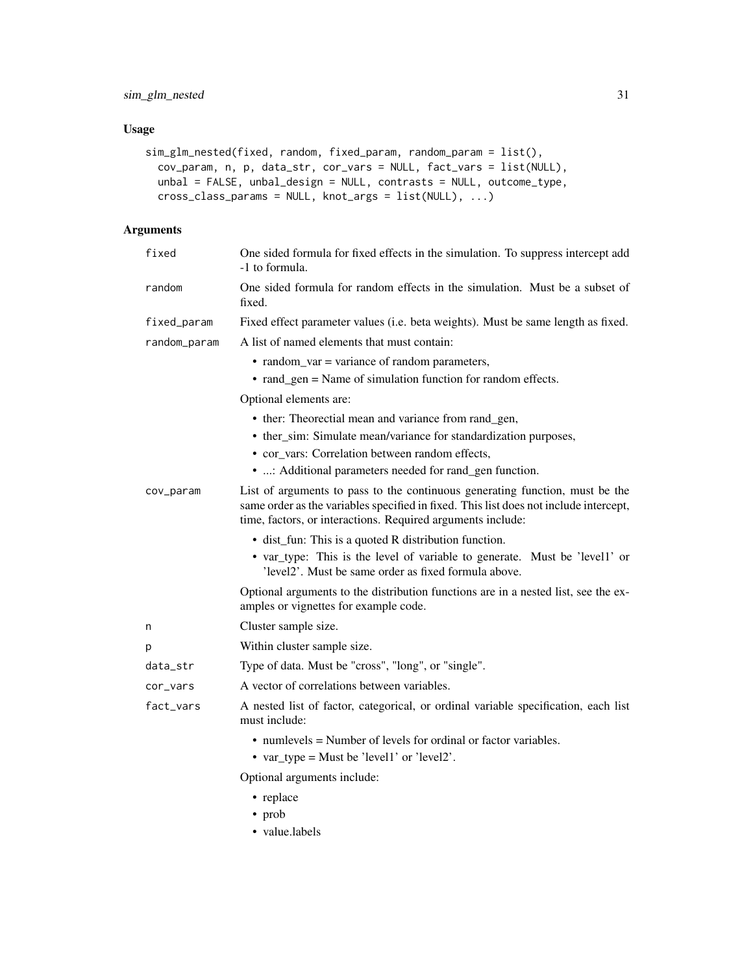# Usage

```
sim_glm_nested(fixed, random, fixed_param, random_param = list(),
  cov_param, n, p, data_str, cor_vars = NULL, fact_vars = list(NULL),
 unbal = FALSE, unbal_design = NULL, contrasts = NULL, outcome_type,
 cross_class_params = NULL, knot_args = list(NULL), ...)
```

| fixed        | One sided formula for fixed effects in the simulation. To suppress intercept add<br>-1 to formula.                                                                                                                                   |
|--------------|--------------------------------------------------------------------------------------------------------------------------------------------------------------------------------------------------------------------------------------|
| random       | One sided formula for random effects in the simulation. Must be a subset of<br>fixed.                                                                                                                                                |
| fixed_param  | Fixed effect parameter values (i.e. beta weights). Must be same length as fixed.                                                                                                                                                     |
| random_param | A list of named elements that must contain:                                                                                                                                                                                          |
|              | • random_var = variance of random parameters,                                                                                                                                                                                        |
|              | • rand_gen = Name of simulation function for random effects.                                                                                                                                                                         |
|              | Optional elements are:                                                                                                                                                                                                               |
|              | • ther: Theorectial mean and variance from rand_gen,                                                                                                                                                                                 |
|              | • ther_sim: Simulate mean/variance for standardization purposes,                                                                                                                                                                     |
|              | • cor_vars: Correlation between random effects,                                                                                                                                                                                      |
|              | • : Additional parameters needed for rand_gen function.                                                                                                                                                                              |
| cov_param    | List of arguments to pass to the continuous generating function, must be the<br>same order as the variables specified in fixed. This list does not include intercept,<br>time, factors, or interactions. Required arguments include: |
|              | • dist_fun: This is a quoted R distribution function.                                                                                                                                                                                |
|              | • var_type: This is the level of variable to generate. Must be 'level1' or<br>'level2'. Must be same order as fixed formula above.                                                                                                   |
|              | Optional arguments to the distribution functions are in a nested list, see the ex-<br>amples or vignettes for example code.                                                                                                          |
| n            | Cluster sample size.                                                                                                                                                                                                                 |
| р            | Within cluster sample size.                                                                                                                                                                                                          |
| data_str     | Type of data. Must be "cross", "long", or "single".                                                                                                                                                                                  |
| cor_vars     | A vector of correlations between variables.                                                                                                                                                                                          |
| fact_vars    | A nested list of factor, categorical, or ordinal variable specification, each list<br>must include:                                                                                                                                  |
|              | $\bullet$ numlevels = Number of levels for ordinal or factor variables.                                                                                                                                                              |
|              | • var_type = Must be 'level1' or 'level2'.                                                                                                                                                                                           |
|              | Optional arguments include:                                                                                                                                                                                                          |
|              | • replace                                                                                                                                                                                                                            |
|              | • prob                                                                                                                                                                                                                               |
|              | • value.labels                                                                                                                                                                                                                       |
|              |                                                                                                                                                                                                                                      |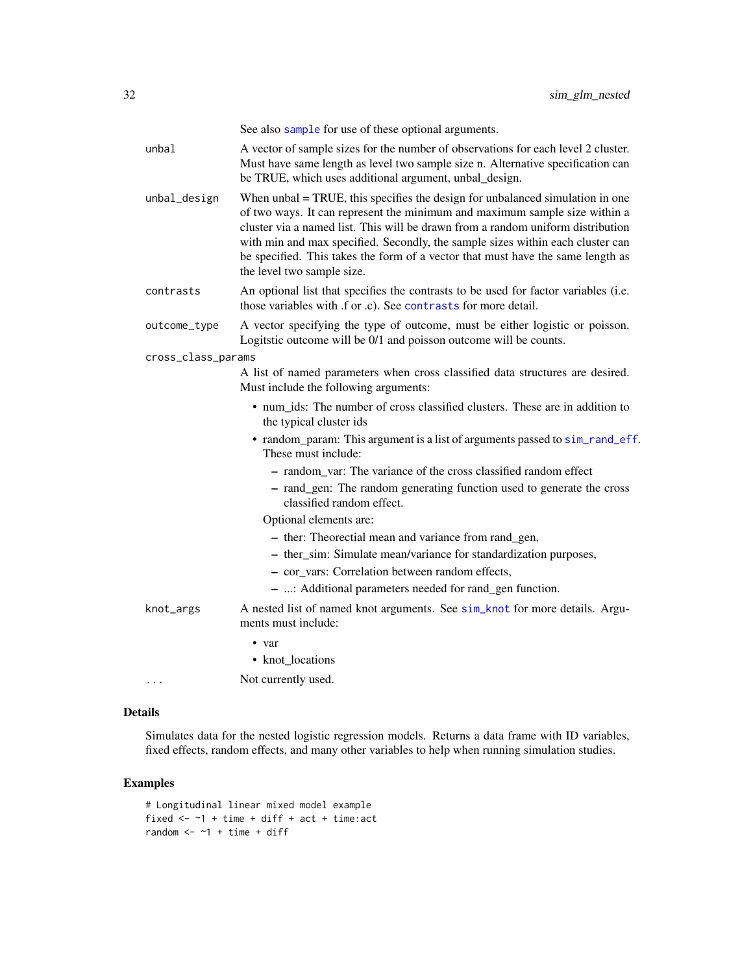See also [sample](#page-0-0) for use of these optional arguments.

| unbal              | A vector of sample sizes for the number of observations for each level 2 cluster.<br>Must have same length as level two sample size n. Alternative specification can<br>be TRUE, which uses additional argument, unbal_design.                                                                                                                                                                                                                       |
|--------------------|------------------------------------------------------------------------------------------------------------------------------------------------------------------------------------------------------------------------------------------------------------------------------------------------------------------------------------------------------------------------------------------------------------------------------------------------------|
| unbal_design       | When $unbal = TRUE$ , this specifies the design for unbalanced simulation in one<br>of two ways. It can represent the minimum and maximum sample size within a<br>cluster via a named list. This will be drawn from a random uniform distribution<br>with min and max specified. Secondly, the sample sizes within each cluster can<br>be specified. This takes the form of a vector that must have the same length as<br>the level two sample size. |
| contrasts          | An optional list that specifies the contrasts to be used for factor variables (i.e.<br>those variables with .f or .c). See contrasts for more detail.                                                                                                                                                                                                                                                                                                |
| outcome_type       | A vector specifying the type of outcome, must be either logistic or poisson.<br>Logitstic outcome will be 0/1 and poisson outcome will be counts.                                                                                                                                                                                                                                                                                                    |
| cross_class_params |                                                                                                                                                                                                                                                                                                                                                                                                                                                      |
|                    | A list of named parameters when cross classified data structures are desired.<br>Must include the following arguments:                                                                                                                                                                                                                                                                                                                               |
|                    | • num_ids: The number of cross classified clusters. These are in addition to<br>the typical cluster ids                                                                                                                                                                                                                                                                                                                                              |
|                    | • random_param: This argument is a list of arguments passed to sim_rand_eff.<br>These must include:                                                                                                                                                                                                                                                                                                                                                  |
|                    | - random_var: The variance of the cross classified random effect                                                                                                                                                                                                                                                                                                                                                                                     |
|                    | - rand_gen: The random generating function used to generate the cross<br>classified random effect.                                                                                                                                                                                                                                                                                                                                                   |
|                    | Optional elements are:                                                                                                                                                                                                                                                                                                                                                                                                                               |
|                    | - ther: Theorectial mean and variance from rand_gen,                                                                                                                                                                                                                                                                                                                                                                                                 |
|                    | - ther_sim: Simulate mean/variance for standardization purposes,                                                                                                                                                                                                                                                                                                                                                                                     |
|                    | - cor vars: Correlation between random effects,                                                                                                                                                                                                                                                                                                                                                                                                      |
|                    | - : Additional parameters needed for rand_gen function.                                                                                                                                                                                                                                                                                                                                                                                              |
| knot_args          | A nested list of named knot arguments. See sim_knot for more details. Argu-<br>ments must include:                                                                                                                                                                                                                                                                                                                                                   |
|                    | $\bullet$ var                                                                                                                                                                                                                                                                                                                                                                                                                                        |
|                    | • knot_locations                                                                                                                                                                                                                                                                                                                                                                                                                                     |
|                    | Not currently used.                                                                                                                                                                                                                                                                                                                                                                                                                                  |

# Details

Simulates data for the nested logistic regression models. Returns a data frame with ID variables, fixed effects, random effects, and many other variables to help when running simulation studies.

# Examples

```
# Longitudinal linear mixed model example
fixed \leq -1 + time + diff + act + time: act
random <-1 + time + diff
```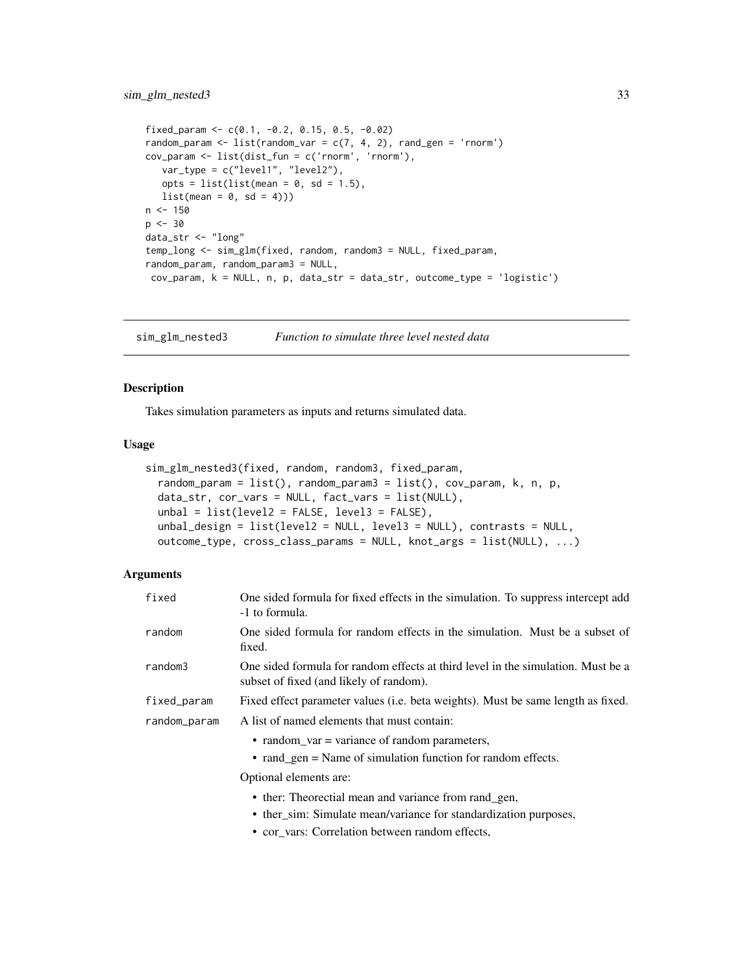```
fixed_param <- c(0.1, -0.2, 0.15, 0.5, -0.02)random_param <- list(random_var = c(7, 4, 2), rand_gen = 'rnorm')
cov_param <- list(dist_fun = c('rnorm', 'rnorm'),
  var_type = c("level1", "level2"),
   opts = list(list(mean = 0, sd = 1.5),
  list(\text{mean} = 0, \text{ sd} = 4)))n < -150p <- 30
data_str <- "long"
temp_long <- sim_glm(fixed, random, random3 = NULL, fixed_param,
random_param, random_param3 = NULL,
 cov_param, k = NULL, n, p, data_str = data_str, outcome_type = 'logistic')
```
sim\_glm\_nested3 *Function to simulate three level nested data*

#### **Description**

Takes simulation parameters as inputs and returns simulated data.

#### Usage

```
sim_glm_nested3(fixed, random, random3, fixed_param,
  random_param = list(), random_param3 = list(), cov_param, k, n, p,
 data_str, cor_vars = NULL, fact_vars = list(NULL),
 unbal = list(level2 = FALSE, level3 = FALSE),
  unbal_design = list(level2 = NULL, level3 = NULL), contrasts = NULL,
  outcome_type, cross_class_params = NULL, knot_args = list(NULL), ...)
```

| fixed        | One sided formula for fixed effects in the simulation. To suppress intercept add<br>-1 to formula.                                              |
|--------------|-------------------------------------------------------------------------------------------------------------------------------------------------|
| random       | One sided formula for random effects in the simulation. Must be a subset of<br>fixed.                                                           |
| random3      | One sided formula for random effects at third level in the simulation. Must be a<br>subset of fixed (and likely of random).                     |
| fixed_param  | Fixed effect parameter values (i.e. beta weights). Must be same length as fixed.                                                                |
| random_param | A list of named elements that must contain:                                                                                                     |
|              | • random_var = variance of random parameters,<br>$\bullet$ rand_gen = Name of simulation function for random effects.<br>Optional elements are: |
|              |                                                                                                                                                 |

- ther: Theorectial mean and variance from rand\_gen,
- ther\_sim: Simulate mean/variance for standardization purposes,
- cor\_vars: Correlation between random effects,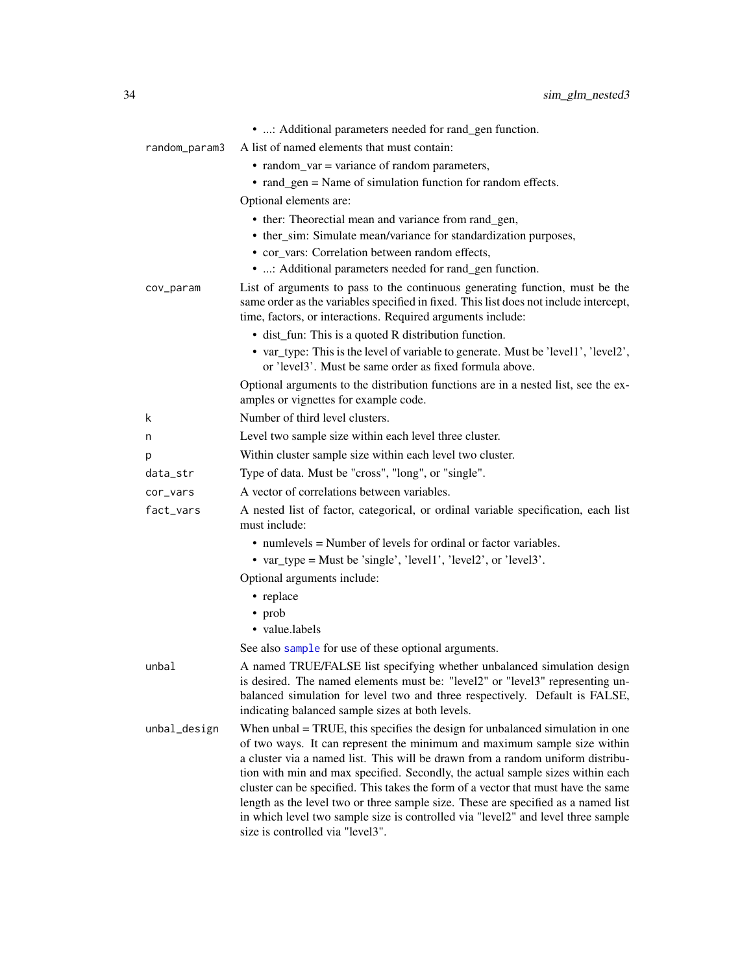|               | • : Additional parameters needed for rand_gen function.                                                                                                                                                                                                                                                                                                                                                                                                                                                                                                                                                                            |
|---------------|------------------------------------------------------------------------------------------------------------------------------------------------------------------------------------------------------------------------------------------------------------------------------------------------------------------------------------------------------------------------------------------------------------------------------------------------------------------------------------------------------------------------------------------------------------------------------------------------------------------------------------|
| random_param3 | A list of named elements that must contain:                                                                                                                                                                                                                                                                                                                                                                                                                                                                                                                                                                                        |
|               | • random_var = variance of random parameters,                                                                                                                                                                                                                                                                                                                                                                                                                                                                                                                                                                                      |
|               | • rand_gen = Name of simulation function for random effects.                                                                                                                                                                                                                                                                                                                                                                                                                                                                                                                                                                       |
|               | Optional elements are:                                                                                                                                                                                                                                                                                                                                                                                                                                                                                                                                                                                                             |
|               | • ther: Theorectial mean and variance from rand_gen,                                                                                                                                                                                                                                                                                                                                                                                                                                                                                                                                                                               |
|               | • ther_sim: Simulate mean/variance for standardization purposes,                                                                                                                                                                                                                                                                                                                                                                                                                                                                                                                                                                   |
|               | • cor_vars: Correlation between random effects,                                                                                                                                                                                                                                                                                                                                                                                                                                                                                                                                                                                    |
|               | • : Additional parameters needed for rand_gen function.                                                                                                                                                                                                                                                                                                                                                                                                                                                                                                                                                                            |
| cov_param     | List of arguments to pass to the continuous generating function, must be the<br>same order as the variables specified in fixed. This list does not include intercept,<br>time, factors, or interactions. Required arguments include:                                                                                                                                                                                                                                                                                                                                                                                               |
|               | • dist_fun: This is a quoted R distribution function.                                                                                                                                                                                                                                                                                                                                                                                                                                                                                                                                                                              |
|               | • var_type: This is the level of variable to generate. Must be 'level1', 'level2',<br>or 'level3'. Must be same order as fixed formula above.                                                                                                                                                                                                                                                                                                                                                                                                                                                                                      |
|               | Optional arguments to the distribution functions are in a nested list, see the ex-<br>amples or vignettes for example code.                                                                                                                                                                                                                                                                                                                                                                                                                                                                                                        |
| k             | Number of third level clusters.                                                                                                                                                                                                                                                                                                                                                                                                                                                                                                                                                                                                    |
| n             | Level two sample size within each level three cluster.                                                                                                                                                                                                                                                                                                                                                                                                                                                                                                                                                                             |
| p             | Within cluster sample size within each level two cluster.                                                                                                                                                                                                                                                                                                                                                                                                                                                                                                                                                                          |
| data_str      | Type of data. Must be "cross", "long", or "single".                                                                                                                                                                                                                                                                                                                                                                                                                                                                                                                                                                                |
| cor_vars      | A vector of correlations between variables.                                                                                                                                                                                                                                                                                                                                                                                                                                                                                                                                                                                        |
| fact_vars     | A nested list of factor, categorical, or ordinal variable specification, each list<br>must include:                                                                                                                                                                                                                                                                                                                                                                                                                                                                                                                                |
|               | • numlevels = Number of levels for ordinal or factor variables.                                                                                                                                                                                                                                                                                                                                                                                                                                                                                                                                                                    |
|               | • var_type = Must be 'single', 'level1', 'level2', or 'level3'.                                                                                                                                                                                                                                                                                                                                                                                                                                                                                                                                                                    |
|               | Optional arguments include:                                                                                                                                                                                                                                                                                                                                                                                                                                                                                                                                                                                                        |
|               | • replace                                                                                                                                                                                                                                                                                                                                                                                                                                                                                                                                                                                                                          |
|               | • prob                                                                                                                                                                                                                                                                                                                                                                                                                                                                                                                                                                                                                             |
|               | • value.labels                                                                                                                                                                                                                                                                                                                                                                                                                                                                                                                                                                                                                     |
|               | See also sample for use of these optional arguments.                                                                                                                                                                                                                                                                                                                                                                                                                                                                                                                                                                               |
| unbal         | A named TRUE/FALSE list specifying whether unbalanced simulation design<br>is desired. The named elements must be: "level2" or "level3" representing un-<br>balanced simulation for level two and three respectively. Default is FALSE,<br>indicating balanced sample sizes at both levels.                                                                                                                                                                                                                                                                                                                                        |
| unbal_design  | When $unbal = TRUE$ , this specifies the design for unbalanced simulation in one<br>of two ways. It can represent the minimum and maximum sample size within<br>a cluster via a named list. This will be drawn from a random uniform distribu-<br>tion with min and max specified. Secondly, the actual sample sizes within each<br>cluster can be specified. This takes the form of a vector that must have the same<br>length as the level two or three sample size. These are specified as a named list<br>in which level two sample size is controlled via "level2" and level three sample<br>size is controlled via "level3". |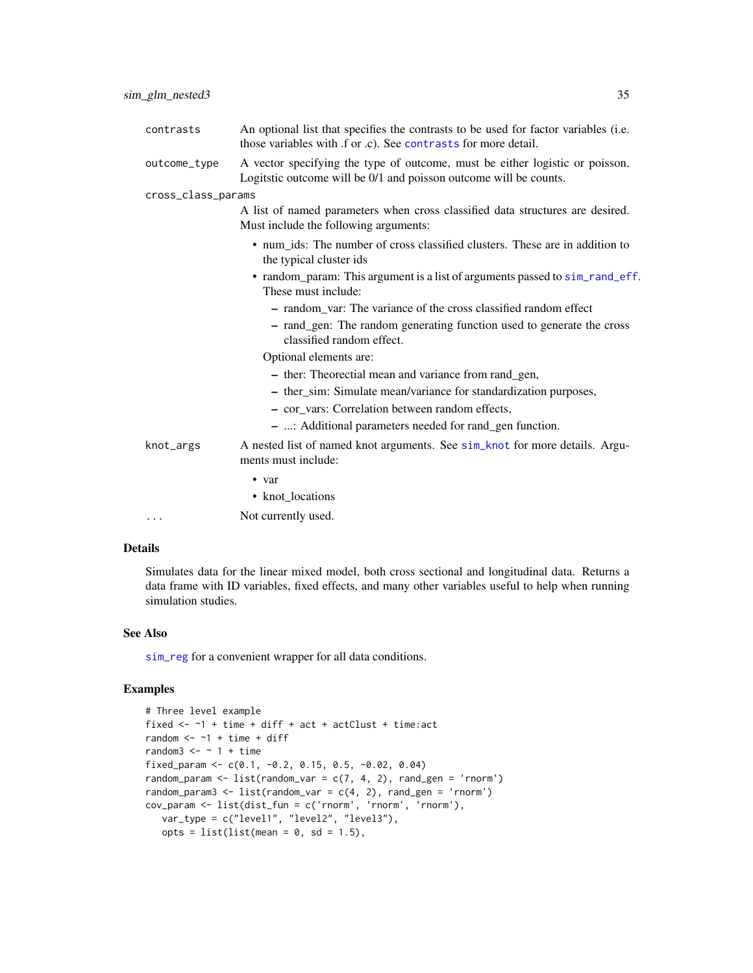| contrasts          | An optional list that specifies the contrasts to be used for factor variables (i.e.<br>those variables with .f or .c). See contrasts for more detail. |
|--------------------|-------------------------------------------------------------------------------------------------------------------------------------------------------|
| outcome_type       | A vector specifying the type of outcome, must be either logistic or poisson.<br>Logitstic outcome will be 0/1 and poisson outcome will be counts.     |
| cross_class_params |                                                                                                                                                       |
|                    | A list of named parameters when cross classified data structures are desired.<br>Must include the following arguments:                                |
|                    | • num_ids: The number of cross classified clusters. These are in addition to<br>the typical cluster ids                                               |
|                    | • random_param: This argument is a list of arguments passed to sim_rand_eff.<br>These must include:                                                   |
|                    | - random_var: The variance of the cross classified random effect                                                                                      |
|                    | - rand_gen: The random generating function used to generate the cross<br>classified random effect.                                                    |
|                    | Optional elements are:                                                                                                                                |
|                    | - ther: Theorectial mean and variance from rand_gen,                                                                                                  |
|                    | - ther_sim: Simulate mean/variance for standardization purposes,                                                                                      |
|                    | - cor vars: Correlation between random effects,                                                                                                       |
|                    | - : Additional parameters needed for rand_gen function.                                                                                               |
| knot_args          | A nested list of named knot arguments. See sim_knot for more details. Argu-<br>ments must include:                                                    |
|                    | $\bullet$ var                                                                                                                                         |
|                    | • knot locations                                                                                                                                      |
| .                  | Not currently used.                                                                                                                                   |
|                    |                                                                                                                                                       |

#### Details

Simulates data for the linear mixed model, both cross sectional and longitudinal data. Returns a data frame with ID variables, fixed effects, and many other variables useful to help when running simulation studies.

#### See Also

[sim\\_reg](#page-63-1) for a convenient wrapper for all data conditions.

# Examples

```
# Three level example
fixed <- ~1 + time + diff + act + actClust + time:act
random <-1 + time + diff
random3 \le - \sim 1 + \text{time}fixed_param <- c(0.1, -0.2, 0.15, 0.5, -0.02, 0.04)
random_param <- list(random_var = c(7, 4, 2), rand_gen = 'rnorm')
random_param3 <- list(random_var = c(4, 2), rand_gen = 'rnorm')
cov_param <- list(dist_fun = c('rnorm', 'rnorm', 'rnorm'),
  var_type = c("level1", "level2", "level3"),
  opts = list(list(mean = 0, sd = 1.5),
```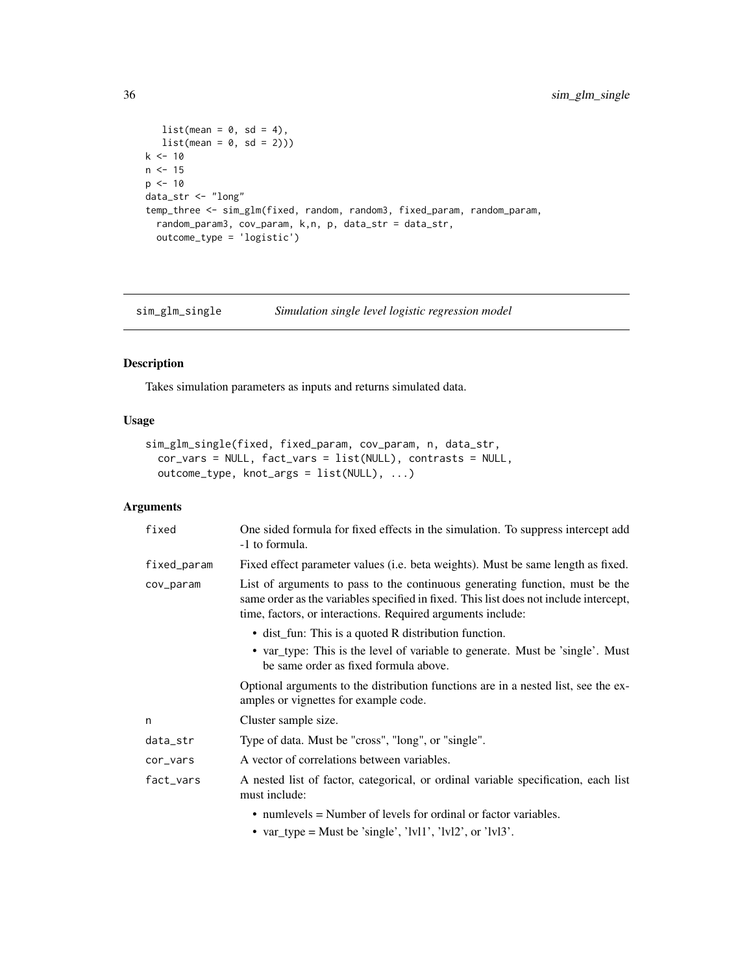```
list(\text{mean} = 0, \text{ sd} = 4),list(\text{mean} = 0, \text{ sd} = 2)))k < -10n < -15p \le -10data_str <- "long"
temp_three <- sim_glm(fixed, random, random3, fixed_param, random_param,
  random_param3, cov_param, k,n, p, data_str = data_str,
  outcome_type = 'logistic')
```
sim\_glm\_single *Simulation single level logistic regression model*

# Description

Takes simulation parameters as inputs and returns simulated data.

#### Usage

```
sim_glm_single(fixed, fixed_param, cov_param, n, data_str,
 cor_vars = NULL, fact_vars = list(NULL), contrasts = NULL,
 outcome_type, knot_args = list(NULL), ...)
```

| fixed       | One sided formula for fixed effects in the simulation. To suppress intercept add<br>-1 to formula.                                                                                                                                   |
|-------------|--------------------------------------------------------------------------------------------------------------------------------------------------------------------------------------------------------------------------------------|
| fixed_param | Fixed effect parameter values (i.e. beta weights). Must be same length as fixed.                                                                                                                                                     |
| cov_param   | List of arguments to pass to the continuous generating function, must be the<br>same order as the variables specified in fixed. This list does not include intercept,<br>time, factors, or interactions. Required arguments include: |
|             | • dist_fun: This is a quoted R distribution function.                                                                                                                                                                                |
|             | • var_type: This is the level of variable to generate. Must be 'single'. Must<br>be same order as fixed formula above.                                                                                                               |
|             | Optional arguments to the distribution functions are in a nested list, see the ex-<br>amples or vignettes for example code.                                                                                                          |
| n           | Cluster sample size.                                                                                                                                                                                                                 |
| data_str    | Type of data. Must be "cross", "long", or "single".                                                                                                                                                                                  |
| cor_vars    | A vector of correlations between variables.                                                                                                                                                                                          |
| fact_vars   | A nested list of factor, categorical, or ordinal variable specification, each list<br>must include:                                                                                                                                  |
|             | $\bullet$ numlevels = Number of levels for ordinal or factor variables.                                                                                                                                                              |
|             | • var_type = Must be 'single', 'lvl1', 'lvl2', or 'lvl3'.                                                                                                                                                                            |

<span id="page-35-0"></span>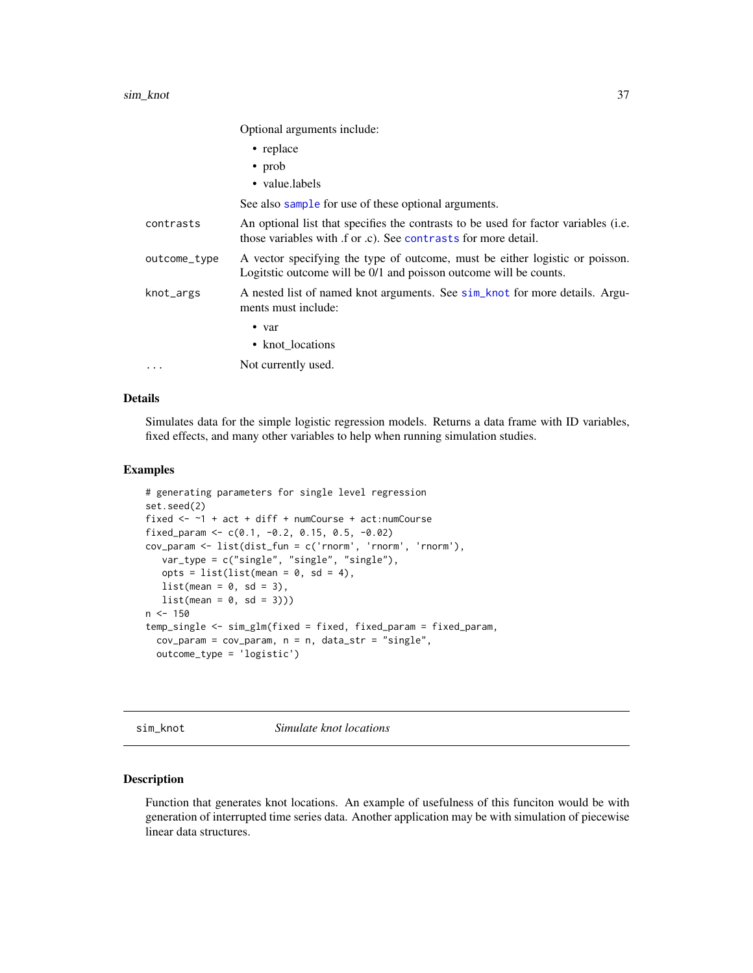### sim\_knot 37

Optional arguments include:

|              | $\bullet$ replace                                                                                                                                  |
|--------------|----------------------------------------------------------------------------------------------------------------------------------------------------|
|              | $\cdot$ prob                                                                                                                                       |
|              | • value.labels                                                                                                                                     |
|              | See also sample for use of these optional arguments.                                                                                               |
| contrasts    | An optional list that specifies the contrasts to be used for factor variables (i.e.<br>those variables with f or c. See contrasts for more detail. |
| outcome_type | A vector specifying the type of outcome, must be either logistic or poisson.<br>Logitatic outcome will be 0/1 and poisson outcome will be counts.  |
| knot_args    | A nested list of named knot arguments. See sim_knot for more details. Argu-<br>ments must include:                                                 |
|              | $\bullet$ var                                                                                                                                      |
|              | • knot_locations                                                                                                                                   |
|              | Not currently used.                                                                                                                                |

## Details

Simulates data for the simple logistic regression models. Returns a data frame with ID variables, fixed effects, and many other variables to help when running simulation studies.

### Examples

```
# generating parameters for single level regression
set.seed(2)
fixed <- ~1 + act + diff + numCourse + act:numCourse
fixed_param <- c(0.1, -0.2, 0.15, 0.5, -0.02)
cov_param <- list(dist_fun = c('rnorm', 'rnorm', 'rnorm'),
  var_type = c("single", "single", "single"),
  opts = list(list(mean = 0, sd = 4),list(\text{mean} = 0, \text{ sd} = 3),list(mean = 0, sd = 3)))n < -150temp_single <- sim_glm(fixed = fixed, fixed_param = fixed_param,
 cov-param = cov-param, n = n, data_str = "single",
 outcome_type = 'logistic')
```
<span id="page-36-0"></span>sim\_knot *Simulate knot locations*

## Description

Function that generates knot locations. An example of usefulness of this funciton would be with generation of interrupted time series data. Another application may be with simulation of piecewise linear data structures.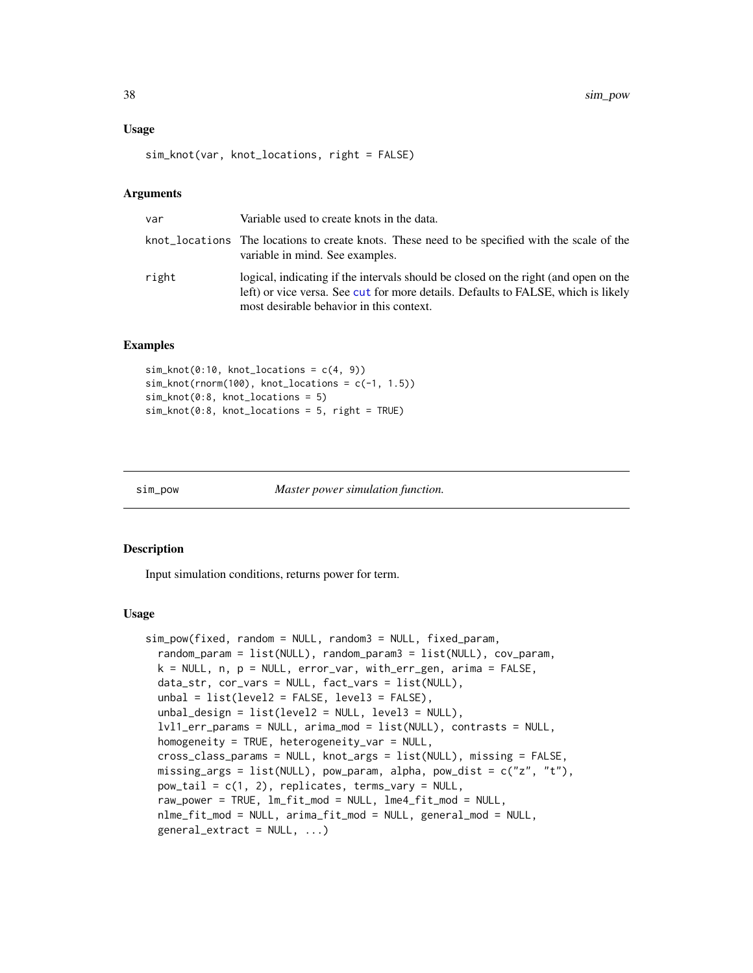### Usage

```
sim_knot(var, knot_locations, right = FALSE)
```
### Arguments

| var   | Variable used to create knots in the data.                                                                                                                                                                           |
|-------|----------------------------------------------------------------------------------------------------------------------------------------------------------------------------------------------------------------------|
|       | knot_locations The locations to create knots. These need to be specified with the scale of the<br>variable in mind. See examples.                                                                                    |
| right | logical, indicating if the intervals should be closed on the right (and open on the<br>left) or vice versa. See cut for more details. Defaults to FALSE, which is likely<br>most desirable behavior in this context. |

## Examples

```
sim_knot(0:10, knot_loss = c(4, 9))sim_knot(rnorm(100), knot_locations = c(-1, 1.5))
sim_knot(0:8, knot_locations = 5)
sim_knot(0:8, knot_locations = 5, right = TRUE)
```

```
sim_pow Master power simulation function.
```
## Description

Input simulation conditions, returns power for term.

```
sim_pow(fixed, random = NULL, random3 = NULL, fixed_param,
  random_param = list(NULL), random_param3 = list(NULL), cov_param,
  k = NULL, n, p = NULL, error_var, with_err_gen, arima = FALSE,
 data_str, cor_vars = NULL, fact_vars = list(NULL),
 unbal = list(level2 = FALSE, level3 = FALSE),unbal_design = list(level2 = NULL, level3 = NULL),lvl1_err_params = NULL, arima_mod = list(NULL), contrasts = NULL,
 homogeneity = TRUE, heterogeneity_var = NULL,
 cross_class_params = NULL, knot_args = list(NULL), missing = FALSE,
 missing_args = list(NULL), pow_param, alpha, pow_dist = c("z", "t"),
 pow\_tail = c(1, 2), replicates, terms_vary = NULL,
  raw_power = TRUE, lm_fit_mod = NULL, lme4_fit_mod = NULL,
 nlme_fit_mod = NULL, arima_fit_mod = NULL, general_mod = NULL,
  general\_extract = NULL, ...)
```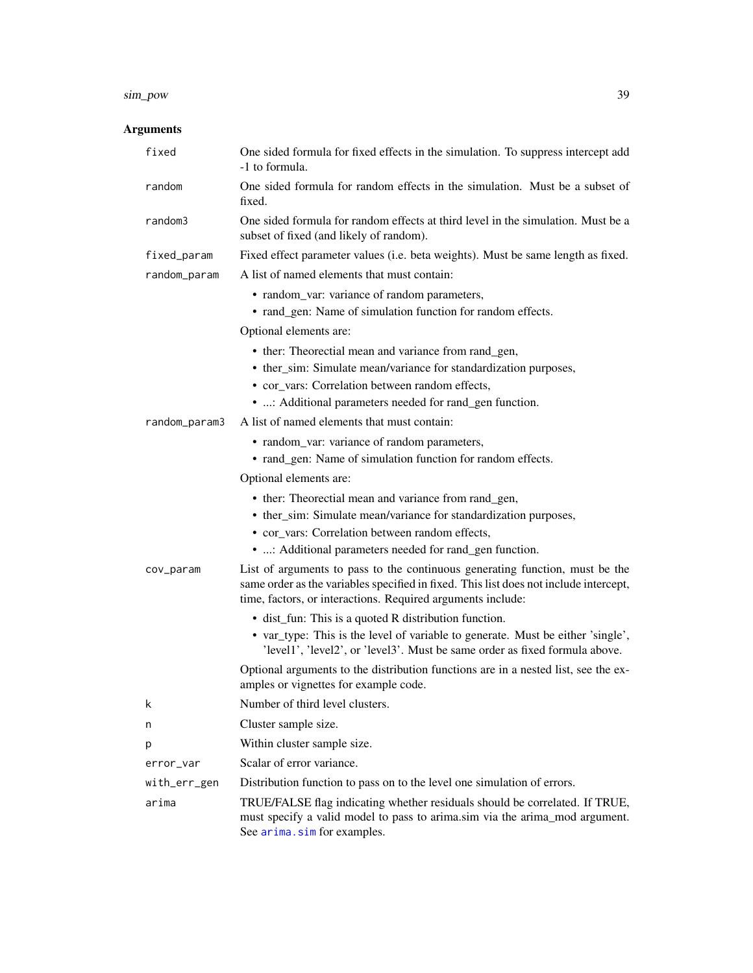### sim\_pow 39

| fixed         | One sided formula for fixed effects in the simulation. To suppress intercept add<br>-1 to formula.                                                                                                                                   |
|---------------|--------------------------------------------------------------------------------------------------------------------------------------------------------------------------------------------------------------------------------------|
| random        | One sided formula for random effects in the simulation. Must be a subset of<br>fixed.                                                                                                                                                |
| random3       | One sided formula for random effects at third level in the simulation. Must be a<br>subset of fixed (and likely of random).                                                                                                          |
| fixed_param   | Fixed effect parameter values (i.e. beta weights). Must be same length as fixed.                                                                                                                                                     |
| random_param  | A list of named elements that must contain:                                                                                                                                                                                          |
|               | • random_var: variance of random parameters,<br>• rand_gen: Name of simulation function for random effects.                                                                                                                          |
|               | Optional elements are:                                                                                                                                                                                                               |
|               | • ther: Theorectial mean and variance from rand_gen,                                                                                                                                                                                 |
|               | • ther_sim: Simulate mean/variance for standardization purposes,                                                                                                                                                                     |
|               | • cor_vars: Correlation between random effects,                                                                                                                                                                                      |
|               | • : Additional parameters needed for rand_gen function.                                                                                                                                                                              |
| random_param3 | A list of named elements that must contain:                                                                                                                                                                                          |
|               | • random_var: variance of random parameters,                                                                                                                                                                                         |
|               | • rand_gen: Name of simulation function for random effects.                                                                                                                                                                          |
|               | Optional elements are:                                                                                                                                                                                                               |
|               | • ther: Theorectial mean and variance from rand_gen,                                                                                                                                                                                 |
|               | • ther_sim: Simulate mean/variance for standardization purposes,                                                                                                                                                                     |
|               | • cor_vars: Correlation between random effects,                                                                                                                                                                                      |
|               | • : Additional parameters needed for rand_gen function.                                                                                                                                                                              |
| cov_param     | List of arguments to pass to the continuous generating function, must be the<br>same order as the variables specified in fixed. This list does not include intercept,<br>time, factors, or interactions. Required arguments include: |
|               | • dist_fun: This is a quoted R distribution function.                                                                                                                                                                                |
|               | • var_type: This is the level of variable to generate. Must be either 'single',<br>'level1', 'level2', or 'level3'. Must be same order as fixed formula above.                                                                       |
|               | Optional arguments to the distribution functions are in a nested list, see the ex-<br>amples or vignettes for example code.                                                                                                          |
| k             | Number of third level clusters.                                                                                                                                                                                                      |
| n             | Cluster sample size.                                                                                                                                                                                                                 |
| p             | Within cluster sample size.                                                                                                                                                                                                          |
| error_var     | Scalar of error variance.                                                                                                                                                                                                            |
| with_err_gen  | Distribution function to pass on to the level one simulation of errors.                                                                                                                                                              |
| arima         | TRUE/FALSE flag indicating whether residuals should be correlated. If TRUE,<br>must specify a valid model to pass to arima.sim via the arima_mod argument.<br>See arima.sim for examples.                                            |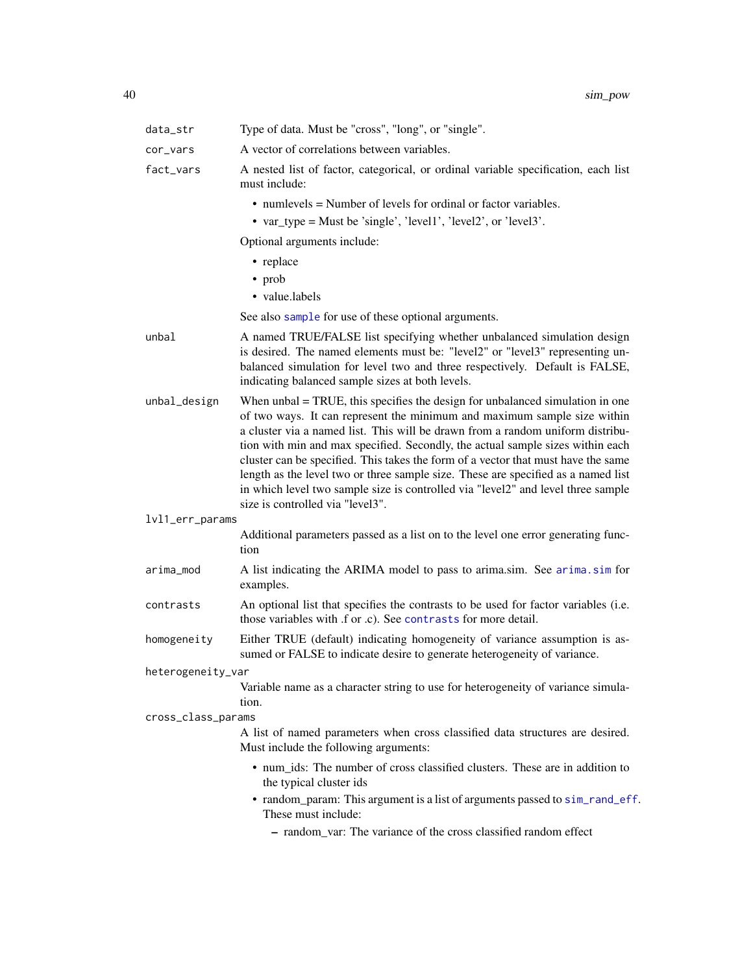| Type of data. Must be "cross", "long", or "single".                                                                                                                                                                                                                                                                                                                                                                                                                                                                                                                                                                                |
|------------------------------------------------------------------------------------------------------------------------------------------------------------------------------------------------------------------------------------------------------------------------------------------------------------------------------------------------------------------------------------------------------------------------------------------------------------------------------------------------------------------------------------------------------------------------------------------------------------------------------------|
| A vector of correlations between variables.                                                                                                                                                                                                                                                                                                                                                                                                                                                                                                                                                                                        |
| A nested list of factor, categorical, or ordinal variable specification, each list<br>must include:                                                                                                                                                                                                                                                                                                                                                                                                                                                                                                                                |
| • numlevels = Number of levels for ordinal or factor variables.                                                                                                                                                                                                                                                                                                                                                                                                                                                                                                                                                                    |
| • var_type = Must be 'single', 'level1', 'level2', or 'level3'.                                                                                                                                                                                                                                                                                                                                                                                                                                                                                                                                                                    |
| Optional arguments include:                                                                                                                                                                                                                                                                                                                                                                                                                                                                                                                                                                                                        |
| • replace                                                                                                                                                                                                                                                                                                                                                                                                                                                                                                                                                                                                                          |
| $\bullet$ prob                                                                                                                                                                                                                                                                                                                                                                                                                                                                                                                                                                                                                     |
| • value.labels                                                                                                                                                                                                                                                                                                                                                                                                                                                                                                                                                                                                                     |
| See also sample for use of these optional arguments.                                                                                                                                                                                                                                                                                                                                                                                                                                                                                                                                                                               |
| A named TRUE/FALSE list specifying whether unbalanced simulation design<br>is desired. The named elements must be: "level2" or "level3" representing un-<br>balanced simulation for level two and three respectively. Default is FALSE,<br>indicating balanced sample sizes at both levels.                                                                                                                                                                                                                                                                                                                                        |
| When $unbal = TRUE$ , this specifies the design for unbalanced simulation in one<br>of two ways. It can represent the minimum and maximum sample size within<br>a cluster via a named list. This will be drawn from a random uniform distribu-<br>tion with min and max specified. Secondly, the actual sample sizes within each<br>cluster can be specified. This takes the form of a vector that must have the same<br>length as the level two or three sample size. These are specified as a named list<br>in which level two sample size is controlled via "level2" and level three sample<br>size is controlled via "level3". |
| lvl1_err_params                                                                                                                                                                                                                                                                                                                                                                                                                                                                                                                                                                                                                    |
| Additional parameters passed as a list on to the level one error generating func-<br>tion                                                                                                                                                                                                                                                                                                                                                                                                                                                                                                                                          |
| A list indicating the ARIMA model to pass to arima.sim. See arima.sim for<br>examples.                                                                                                                                                                                                                                                                                                                                                                                                                                                                                                                                             |
| An optional list that specifies the contrasts to be used for factor variables (i.e.<br>those variables with .f or .c). See contrasts for more detail.                                                                                                                                                                                                                                                                                                                                                                                                                                                                              |
| Either TRUE (default) indicating homogeneity of variance assumption is as-<br>sumed or FALSE to indicate desire to generate heterogeneity of variance.                                                                                                                                                                                                                                                                                                                                                                                                                                                                             |
| heterogeneity_var                                                                                                                                                                                                                                                                                                                                                                                                                                                                                                                                                                                                                  |
| Variable name as a character string to use for heterogeneity of variance simula-<br>tion.                                                                                                                                                                                                                                                                                                                                                                                                                                                                                                                                          |
| cross_class_params                                                                                                                                                                                                                                                                                                                                                                                                                                                                                                                                                                                                                 |
| A list of named parameters when cross classified data structures are desired.<br>Must include the following arguments:                                                                                                                                                                                                                                                                                                                                                                                                                                                                                                             |
| • num_ids: The number of cross classified clusters. These are in addition to                                                                                                                                                                                                                                                                                                                                                                                                                                                                                                                                                       |
| the typical cluster ids                                                                                                                                                                                                                                                                                                                                                                                                                                                                                                                                                                                                            |
| • random_param: This argument is a list of arguments passed to sim_rand_eff.<br>These must include:                                                                                                                                                                                                                                                                                                                                                                                                                                                                                                                                |
|                                                                                                                                                                                                                                                                                                                                                                                                                                                                                                                                                                                                                                    |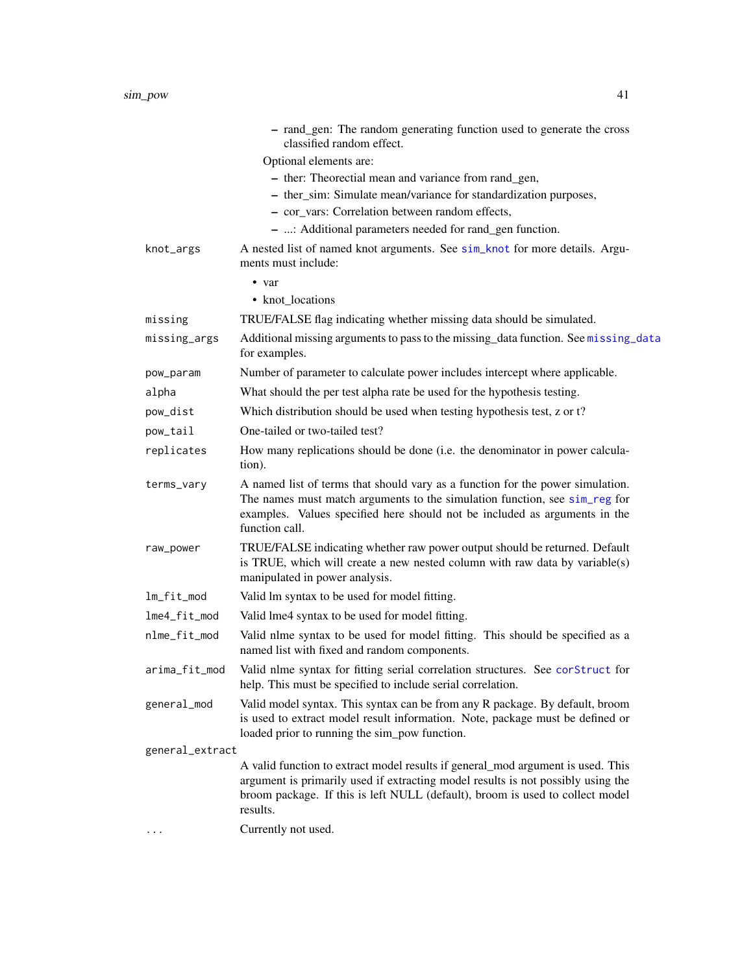|                 | - rand_gen: The random generating function used to generate the cross<br>classified random effect.                                                                                                                                                               |
|-----------------|------------------------------------------------------------------------------------------------------------------------------------------------------------------------------------------------------------------------------------------------------------------|
|                 | Optional elements are:                                                                                                                                                                                                                                           |
|                 | - ther: Theorectial mean and variance from rand_gen,                                                                                                                                                                                                             |
|                 | - ther_sim: Simulate mean/variance for standardization purposes,                                                                                                                                                                                                 |
|                 | - cor_vars: Correlation between random effects,                                                                                                                                                                                                                  |
|                 | - : Additional parameters needed for rand_gen function.                                                                                                                                                                                                          |
| knot_args       | A nested list of named knot arguments. See sim_knot for more details. Argu-<br>ments must include:                                                                                                                                                               |
|                 | • var                                                                                                                                                                                                                                                            |
|                 | • knot_locations                                                                                                                                                                                                                                                 |
| missing         | TRUE/FALSE flag indicating whether missing data should be simulated.                                                                                                                                                                                             |
| missing_args    | Additional missing arguments to pass to the missing_data function. See missing_data<br>for examples.                                                                                                                                                             |
| pow_param       | Number of parameter to calculate power includes intercept where applicable.                                                                                                                                                                                      |
| alpha           | What should the per test alpha rate be used for the hypothesis testing.                                                                                                                                                                                          |
| pow_dist        | Which distribution should be used when testing hypothesis test, z or t?                                                                                                                                                                                          |
| pow_tail        | One-tailed or two-tailed test?                                                                                                                                                                                                                                   |
| replicates      | How many replications should be done (i.e. the denominator in power calcula-<br>tion).                                                                                                                                                                           |
| terms_vary      | A named list of terms that should vary as a function for the power simulation.<br>The names must match arguments to the simulation function, see sim_reg for<br>examples. Values specified here should not be included as arguments in the<br>function call.     |
| raw_power       | TRUE/FALSE indicating whether raw power output should be returned. Default<br>is TRUE, which will create a new nested column with raw data by variable(s)<br>manipulated in power analysis.                                                                      |
| lm_fit_mod      | Valid lm syntax to be used for model fitting.                                                                                                                                                                                                                    |
| lme4_fit_mod    | Valid lme4 syntax to be used for model fitting.                                                                                                                                                                                                                  |
| nlme_fit_mod    | Valid nlme syntax to be used for model fitting. This should be specified as a<br>named list with fixed and random components.                                                                                                                                    |
|                 | arima_fit_mod Valid nlme syntax for fitting serial correlation structures. See corStruct for<br>help. This must be specified to include serial correlation.                                                                                                      |
| general_mod     | Valid model syntax. This syntax can be from any R package. By default, broom<br>is used to extract model result information. Note, package must be defined or<br>loaded prior to running the sim_pow function.                                                   |
| general_extract |                                                                                                                                                                                                                                                                  |
|                 | A valid function to extract model results if general_mod argument is used. This<br>argument is primarily used if extracting model results is not possibly using the<br>broom package. If this is left NULL (default), broom is used to collect model<br>results. |
|                 | Currently not used.                                                                                                                                                                                                                                              |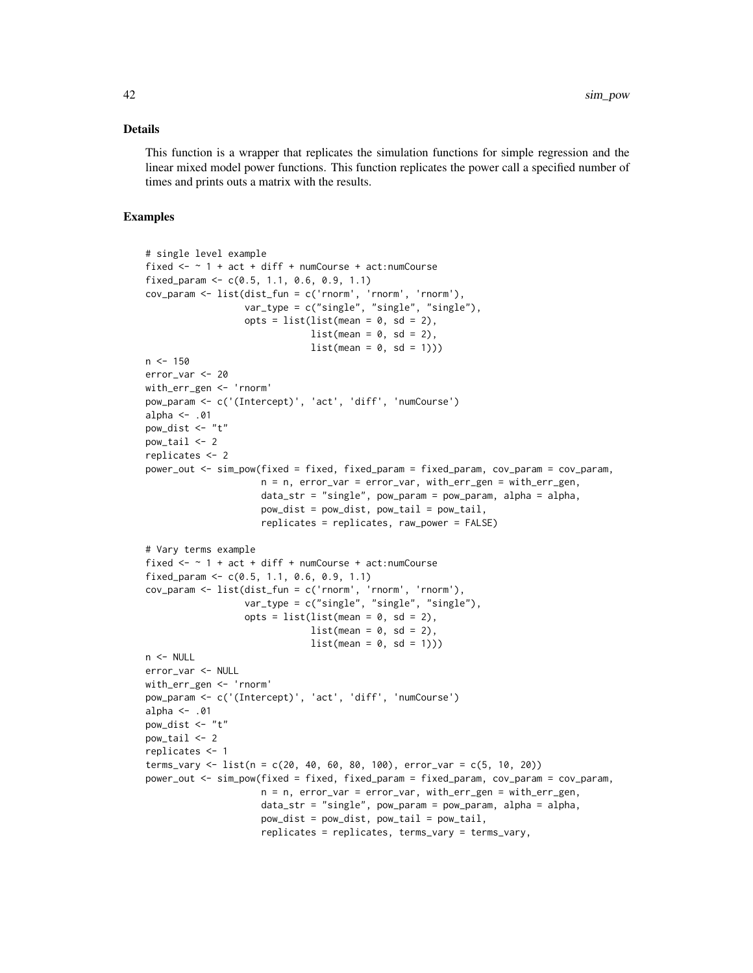This function is a wrapper that replicates the simulation functions for simple regression and the linear mixed model power functions. This function replicates the power call a specified number of times and prints outs a matrix with the results.

### Examples

```
# single level example
fixed \leq - \leq 1 + act + diff + numCourse + act:numCourse
fixed_param <- c(0.5, 1.1, 0.6, 0.9, 1.1)
cov_param <- list(dist_fun = c('rnorm', 'rnorm', 'rnorm'),
                   var_type = c("single", "single", "single"),
                   opts = list(list(mean = 0, sd = 2),list(\text{mean} = 0, \text{ sd} = 2),
                               list(\text{mean} = 0, \text{ sd} = 1)))n < -150error_var <- 20
with_err_gen <- 'rnorm'
pow_param <- c('(Intercept)', 'act', 'diff', 'numCourse')
alpha <- .01
pow_dist \leq "t"
pow\_tail < -2replicates <- 2
power_out <- sim_pow(fixed = fixed, fixed_param = fixed_param, cov_param = cov_param,
                      n = n, error_var = error_var, with_err_gen = with_err_gen,
                      data\_str = "single", pow\_param = pow\_param, alpha = alpha,pow\_dist = pow\_dist, pow\_tail = pow\_tail,replicates = replicates, raw_power = FALSE)
# Vary terms example
fixed \le - \sim 1 + act + diff + numCourse + act:numCourse
fixed_param <- c(0.5, 1.1, 0.6, 0.9, 1.1)
cov_param <- list(dist_fun = c('rnorm', 'rnorm', 'rnorm'),
                   var_type = c("single", "single", "single"),
                   opts = list(list(mean = 0, sd = 2),
                               list(\text{mean} = 0, \text{ sd} = 2),list(\text{mean} = 0, \text{ sd} = 1)))n <- NULL
error_var <- NULL
with_err_gen <- 'rnorm'
pow_param <- c('(Intercept)', 'act', 'diff', 'numCourse')
alpha <- .01
pow_dist <- "t"
pow\_tail < -2replicates <- 1
terms_vary <- list(n = c(20, 40, 60, 80, 100), error_var = c(5, 10, 20))
power_out <- sim_pow(fixed = fixed, fixed_param = fixed_param, cov_param = cov_param,
                      n = n, error_var = error_var, with_err_gen = with_err_gen,
                      data\_str = "single", pow\_param = pow\_param, alpha = alpha,pow_dist = pow_dist, pow_tail = pow_tail,
                      replicates = replicates, terms_vary = terms_vary,
```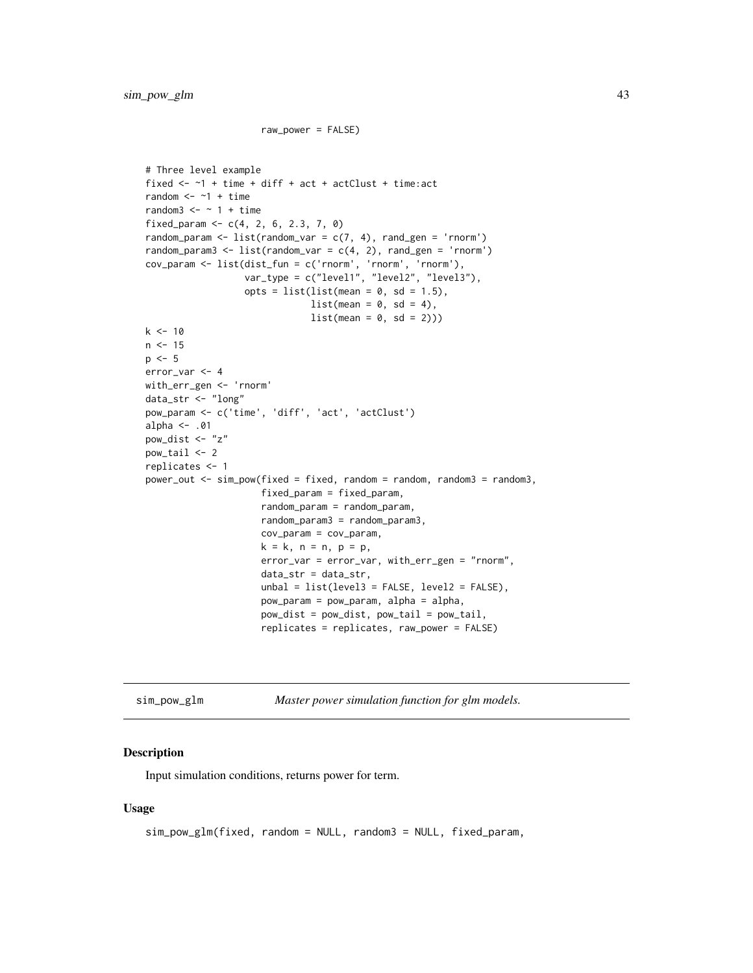```
raw_power = FALSE)
```

```
# Three level example
fixed \leq -1 + time + diff + act + actClust + time: act
random <- -1 + time
random3 \leq - \sim 1 + time
fixed_param <- c(4, 2, 6, 2.3, 7, 0)random_param <- list(random_var = c(7, 4), rand_gen = 'rnorm')
random_param3 <- list(random_var = c(4, 2), rand_gen = 'rnorm')
cov_param <- list(dist_fun = c('rnorm', 'rnorm', 'rnorm'),
                   var_type = c("level1", "level2", "level3"),
                   opts = list(list(mean = 0, sd = 1.5),list(\text{mean} = 0, \text{ sd} = 4),list(\text{mean} = 0, \text{ sd} = 2)))k < -10n < -15p \le -5error_var <- 4
with_err_gen <- 'rnorm'
data_str <- "long"
pow_param <- c('time', 'diff', 'act', 'actClust')
alpha <- .01
pow_dist <- "z"
pow_tail <- 2
replicates <- 1
power_out \leq sim_pow(fixed = fixed, random = random, random3 = random3,
                      fixed_param = fixed_param,
                      random_param = random_param,
                      random_param3 = random_param3,
                      cov_param = cov_param,
                      k = k, n = n, p = p,
                      error_var = error_var, with_err_gen = "rnorm",
                      data_str = data_str,
                      unbal = list(level3 = FALSE, level2 = FALSE),pow_param = pow_param, alpha = alpha,
                      pow_dist = pow_dist, pow_tail = pow_tail,
                      replicates = replicates, raw_power = FALSE)
```
<span id="page-42-0"></span>sim\_pow\_glm *Master power simulation function for glm models.*

### **Description**

Input simulation conditions, returns power for term.

```
sim_pow_glm(fixed, random = NULL, random3 = NULL, fixed_param,
```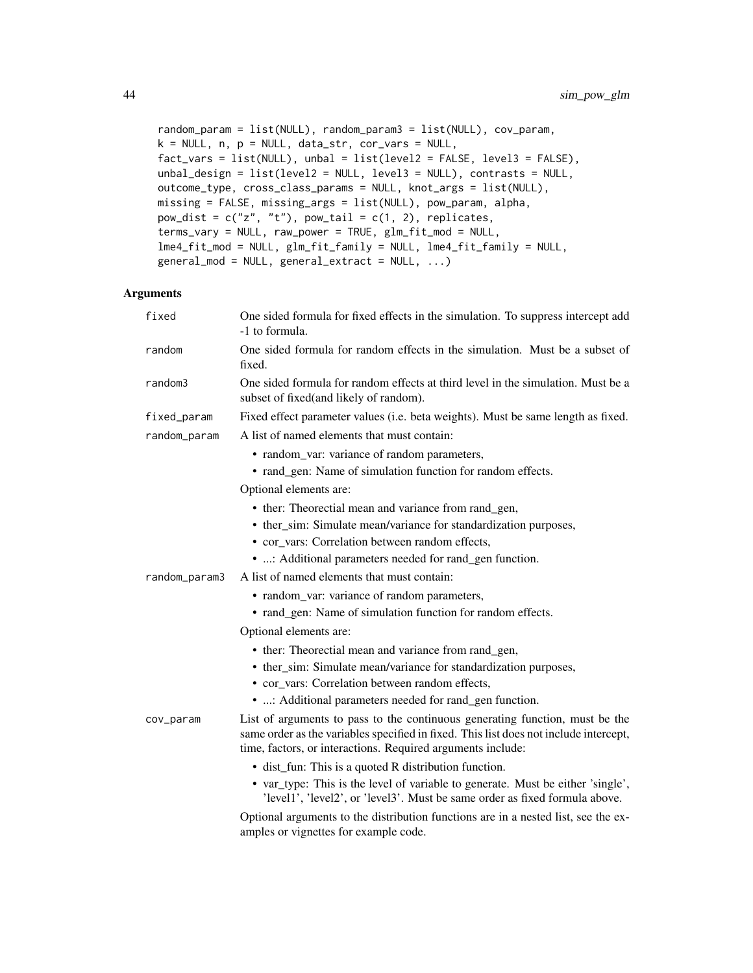```
random_param = list(NULL), random_param3 = list(NULL), cov_param,
k = NULL, n, p = NULL, data_str, cor_vars = NULL,fact_{vars} = list(NULL), unbal = list(level2 = FALSE, level3 = FALSE),unbal_design = list(level2 = NULL, level3 = NULL), contrasts = NULL,
outcome_type, cross_class_params = NULL, knot_args = list(NULL),
missing = FALSE, missing_args = list(NULL), pow_param, alpha,
pow\_dist = c("z", "t"), pow\_tail = c(1, 2), replicates,terms_vary = NULL, raw_power = TRUE, glm_fit_mod = NULL,
lme4_fit_mod = NULL, glm_fit_family = NULL, lme4_fit_family = NULL,
general_{mod} = NULL, general_{extract} = NULL, ...
```

| fixed         | One sided formula for fixed effects in the simulation. To suppress intercept add<br>-1 to formula.                                                                                                                                   |
|---------------|--------------------------------------------------------------------------------------------------------------------------------------------------------------------------------------------------------------------------------------|
| random        | One sided formula for random effects in the simulation. Must be a subset of<br>fixed.                                                                                                                                                |
| random3       | One sided formula for random effects at third level in the simulation. Must be a<br>subset of fixed(and likely of random).                                                                                                           |
| fixed_param   | Fixed effect parameter values (i.e. beta weights). Must be same length as fixed.                                                                                                                                                     |
| random_param  | A list of named elements that must contain:                                                                                                                                                                                          |
|               | • random_var: variance of random parameters,                                                                                                                                                                                         |
|               | • rand_gen: Name of simulation function for random effects.                                                                                                                                                                          |
|               | Optional elements are:                                                                                                                                                                                                               |
|               | • ther: Theorectial mean and variance from rand_gen,                                                                                                                                                                                 |
|               | • ther_sim: Simulate mean/variance for standardization purposes,                                                                                                                                                                     |
|               | • cor_vars: Correlation between random effects,                                                                                                                                                                                      |
|               | • : Additional parameters needed for rand_gen function.                                                                                                                                                                              |
| random_param3 | A list of named elements that must contain:                                                                                                                                                                                          |
|               | • random_var: variance of random parameters,                                                                                                                                                                                         |
|               | • rand_gen: Name of simulation function for random effects.                                                                                                                                                                          |
|               | Optional elements are:                                                                                                                                                                                                               |
|               | • ther: Theorectial mean and variance from rand_gen,                                                                                                                                                                                 |
|               | • ther_sim: Simulate mean/variance for standardization purposes,                                                                                                                                                                     |
|               | • cor_vars: Correlation between random effects,                                                                                                                                                                                      |
|               | • : Additional parameters needed for rand_gen function.                                                                                                                                                                              |
| cov_param     | List of arguments to pass to the continuous generating function, must be the<br>same order as the variables specified in fixed. This list does not include intercept,<br>time, factors, or interactions. Required arguments include: |
|               | • dist_fun: This is a quoted R distribution function.                                                                                                                                                                                |
|               | • var_type: This is the level of variable to generate. Must be either 'single',<br>'level1', 'level2', or 'level3'. Must be same order as fixed formula above.                                                                       |
|               | Optional arguments to the distribution functions are in a nested list, see the ex-                                                                                                                                                   |

amples or vignettes for example code.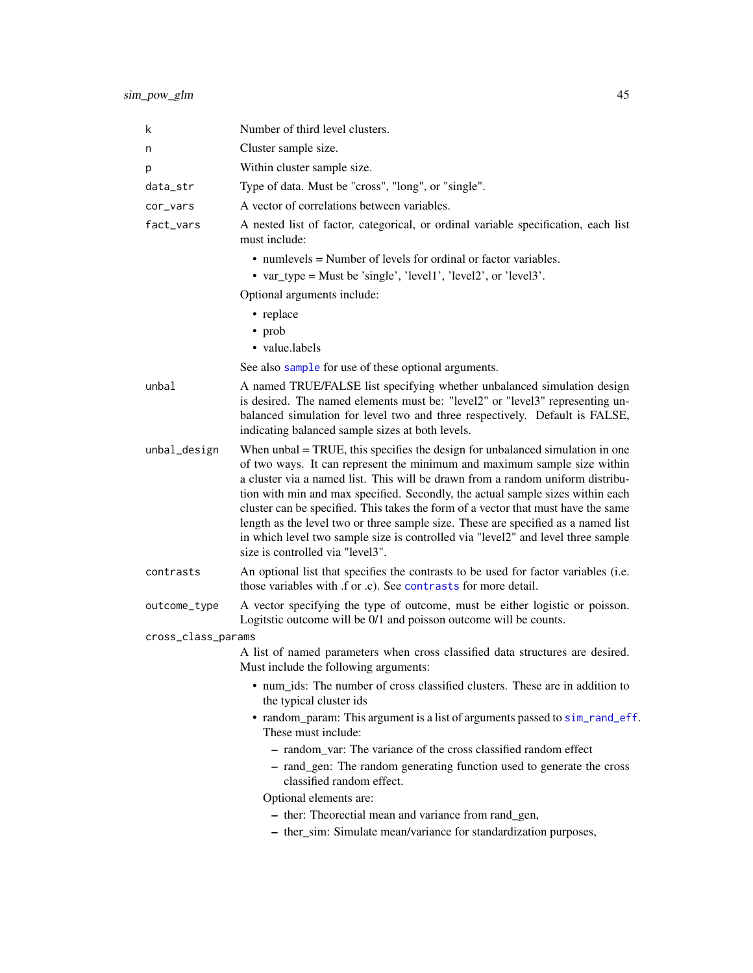| k                  | Number of third level clusters.                                                                                                                                                                                                                                                                                                                                                                                                                                                                                                                                                                                                 |
|--------------------|---------------------------------------------------------------------------------------------------------------------------------------------------------------------------------------------------------------------------------------------------------------------------------------------------------------------------------------------------------------------------------------------------------------------------------------------------------------------------------------------------------------------------------------------------------------------------------------------------------------------------------|
| n                  | Cluster sample size.                                                                                                                                                                                                                                                                                                                                                                                                                                                                                                                                                                                                            |
| р                  | Within cluster sample size.                                                                                                                                                                                                                                                                                                                                                                                                                                                                                                                                                                                                     |
| data_str           | Type of data. Must be "cross", "long", or "single".                                                                                                                                                                                                                                                                                                                                                                                                                                                                                                                                                                             |
| cor_vars           | A vector of correlations between variables.                                                                                                                                                                                                                                                                                                                                                                                                                                                                                                                                                                                     |
| fact_vars          | A nested list of factor, categorical, or ordinal variable specification, each list<br>must include:                                                                                                                                                                                                                                                                                                                                                                                                                                                                                                                             |
|                    | • numlevels = Number of levels for ordinal or factor variables.<br>• var_type = Must be 'single', 'level1', 'level2', or 'level3'.                                                                                                                                                                                                                                                                                                                                                                                                                                                                                              |
|                    | Optional arguments include:                                                                                                                                                                                                                                                                                                                                                                                                                                                                                                                                                                                                     |
|                    | • replace                                                                                                                                                                                                                                                                                                                                                                                                                                                                                                                                                                                                                       |
|                    | • prob                                                                                                                                                                                                                                                                                                                                                                                                                                                                                                                                                                                                                          |
|                    | • value.labels                                                                                                                                                                                                                                                                                                                                                                                                                                                                                                                                                                                                                  |
|                    | See also sample for use of these optional arguments.                                                                                                                                                                                                                                                                                                                                                                                                                                                                                                                                                                            |
| unbal              | A named TRUE/FALSE list specifying whether unbalanced simulation design<br>is desired. The named elements must be: "level2" or "level3" representing un-<br>balanced simulation for level two and three respectively. Default is FALSE,<br>indicating balanced sample sizes at both levels.                                                                                                                                                                                                                                                                                                                                     |
| unbal_design       | When unbal = TRUE, this specifies the design for unbalanced simulation in one<br>of two ways. It can represent the minimum and maximum sample size within<br>a cluster via a named list. This will be drawn from a random uniform distribu-<br>tion with min and max specified. Secondly, the actual sample sizes within each<br>cluster can be specified. This takes the form of a vector that must have the same<br>length as the level two or three sample size. These are specified as a named list<br>in which level two sample size is controlled via "level2" and level three sample<br>size is controlled via "level3". |
| contrasts          | An optional list that specifies the contrasts to be used for factor variables (i.e.<br>those variables with .f or .c). See contrasts for more detail.                                                                                                                                                                                                                                                                                                                                                                                                                                                                           |
| outcome_type       | A vector specifying the type of outcome, must be either logistic or poisson.<br>Logitatic outcome will be 0/1 and poisson outcome will be counts.                                                                                                                                                                                                                                                                                                                                                                                                                                                                               |
| cross_class_params |                                                                                                                                                                                                                                                                                                                                                                                                                                                                                                                                                                                                                                 |
|                    | A list of named parameters when cross classified data structures are desired.<br>Must include the following arguments:                                                                                                                                                                                                                                                                                                                                                                                                                                                                                                          |
|                    | • num_ids: The number of cross classified clusters. These are in addition to<br>the typical cluster ids                                                                                                                                                                                                                                                                                                                                                                                                                                                                                                                         |
|                    | • random_param: This argument is a list of arguments passed to sim_rand_eff.<br>These must include:                                                                                                                                                                                                                                                                                                                                                                                                                                                                                                                             |
|                    | - random var: The variance of the cross classified random effect                                                                                                                                                                                                                                                                                                                                                                                                                                                                                                                                                                |
|                    | - rand_gen: The random generating function used to generate the cross<br>classified random effect.                                                                                                                                                                                                                                                                                                                                                                                                                                                                                                                              |
|                    | Optional elements are:                                                                                                                                                                                                                                                                                                                                                                                                                                                                                                                                                                                                          |
|                    | - ther: Theorectial mean and variance from rand_gen,                                                                                                                                                                                                                                                                                                                                                                                                                                                                                                                                                                            |
|                    | - ther_sim: Simulate mean/variance for standardization purposes,                                                                                                                                                                                                                                                                                                                                                                                                                                                                                                                                                                |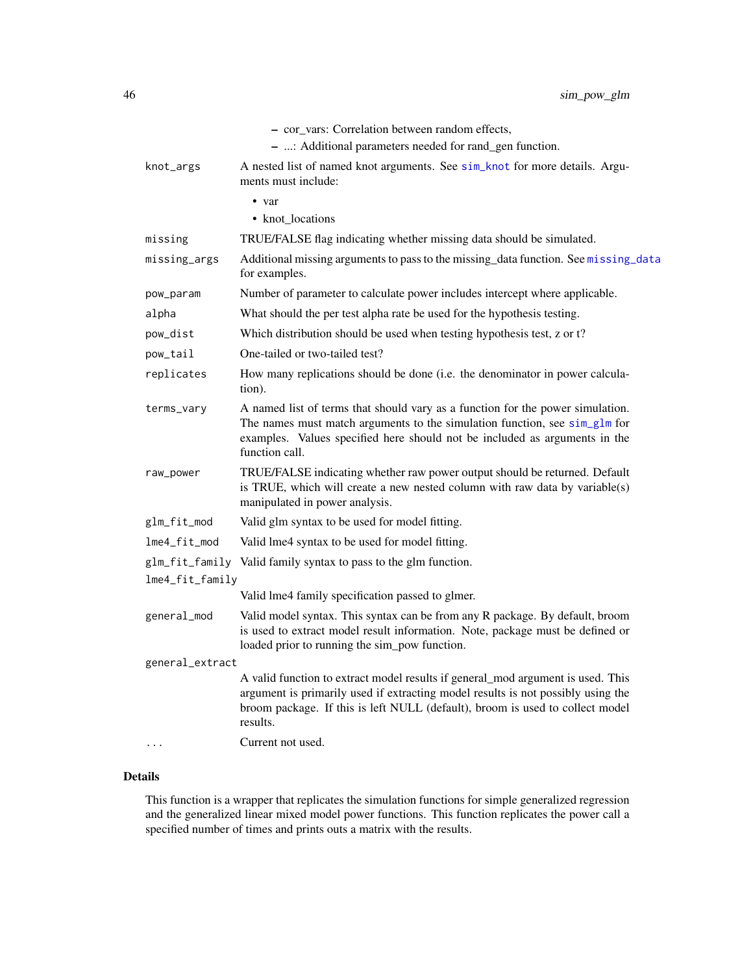|                 | - cor_vars: Correlation between random effects,                                                                                                                                                                                                                              |
|-----------------|------------------------------------------------------------------------------------------------------------------------------------------------------------------------------------------------------------------------------------------------------------------------------|
|                 | - : Additional parameters needed for rand_gen function.                                                                                                                                                                                                                      |
| knot_args       | A nested list of named knot arguments. See sim_knot for more details. Argu-<br>ments must include:                                                                                                                                                                           |
|                 | • var<br>• knot locations                                                                                                                                                                                                                                                    |
| missing         | TRUE/FALSE flag indicating whether missing data should be simulated.                                                                                                                                                                                                         |
| missing_args    | Additional missing arguments to pass to the missing_data function. See missing_data<br>for examples.                                                                                                                                                                         |
| pow_param       | Number of parameter to calculate power includes intercept where applicable.                                                                                                                                                                                                  |
| alpha           | What should the per test alpha rate be used for the hypothesis testing.                                                                                                                                                                                                      |
| pow_dist        | Which distribution should be used when testing hypothesis test, z or t?                                                                                                                                                                                                      |
| pow_tail        | One-tailed or two-tailed test?                                                                                                                                                                                                                                               |
| replicates      | How many replications should be done (i.e. the denominator in power calcula-<br>tion).                                                                                                                                                                                       |
| terms_vary      | A named list of terms that should vary as a function for the power simulation.<br>The names must match arguments to the simulation function, see $\sin_{\theta} \ln \pi$ for<br>examples. Values specified here should not be included as arguments in the<br>function call. |
| raw_power       | TRUE/FALSE indicating whether raw power output should be returned. Default<br>is TRUE, which will create a new nested column with raw data by variable(s)<br>manipulated in power analysis.                                                                                  |
| glm_fit_mod     | Valid glm syntax to be used for model fitting.                                                                                                                                                                                                                               |
| lme4_fit_mod    | Valid lme4 syntax to be used for model fitting.                                                                                                                                                                                                                              |
| glm_fit_family  | Valid family syntax to pass to the glm function.                                                                                                                                                                                                                             |
| lme4_fit_family |                                                                                                                                                                                                                                                                              |
|                 | Valid lme4 family specification passed to glmer.                                                                                                                                                                                                                             |
| general_mod     | Valid model syntax. This syntax can be from any R package. By default, broom<br>is used to extract model result information. Note, package must be defined or<br>loaded prior to running the sim_pow function.                                                               |
| general_extract |                                                                                                                                                                                                                                                                              |
|                 | A valid function to extract model results if general_mod argument is used. This<br>argument is primarily used if extracting model results is not possibly using the<br>broom package. If this is left NULL (default), broom is used to collect model<br>results.             |
|                 | Current not used.                                                                                                                                                                                                                                                            |

This function is a wrapper that replicates the simulation functions for simple generalized regression and the generalized linear mixed model power functions. This function replicates the power call a specified number of times and prints outs a matrix with the results.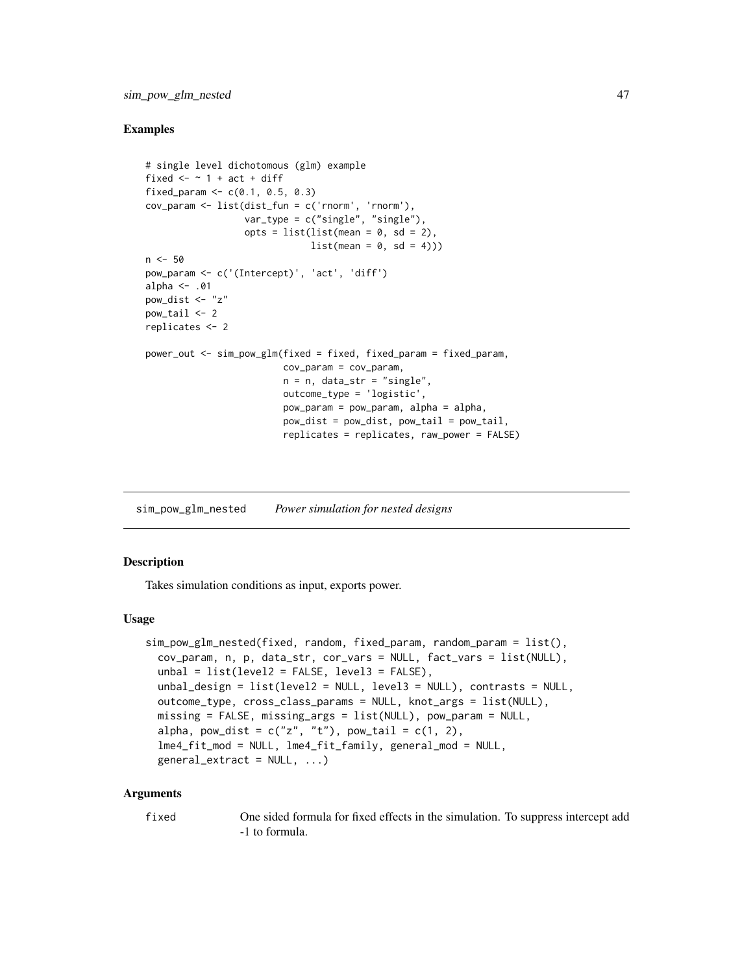## Examples

```
# single level dichotomous (glm) example
fixed \leq - \sim 1 + act + diff
fixed_param <- c(0.1, 0.5, 0.3)cov_param <- list(dist_fun = c('rnorm', 'rnorm'),
                  var_type = c("single", "single"),
                  opts = list(list(mean = 0, sd = 2),
                               list(\text{mean} = 0, \text{ sd} = 4)))n < -50pow_param <- c('(Intercept)', 'act', 'diff')
alpha \leq -0.01pow_dist <- "z"
pow\_tail < -2replicates <- 2
power_out <- sim_pow_glm(fixed = fixed, fixed_param = fixed_param,
                          cov_param = cov_param,
                          n = n, data_str = "single",
                          outcome_type = 'logistic',
                          pow_param = pow_param, alpha = alpha,
                          pow\_dist = pow\_dist, pow\_tail = pow\_tail,replicates = replicates, raw_power = FALSE)
```
sim\_pow\_glm\_nested *Power simulation for nested designs*

## Description

Takes simulation conditions as input, exports power.

#### Usage

```
sim_pow_glm_nested(fixed, random, fixed_param, random_param = list(),
 cov_param, n, p, data_str, cor_vars = NULL, fact_vars = list(NULL),
 unbal = list(level2 = FALSE, level3 = FALSE),unbal_design = list(level2 = NULL, level3 = NULL), contrasts = NULL,
 outcome_type, cross_class_params = NULL, knot_args = list(NULL),
 missing = FALSE, missing_args = list(NULL), pow_param = NULL,
  alpha, pow_dist = c("z", "t"), pow_tail = c(1, 2),
  lme4_fit_mod = NULL, lme4_fit_family, general_mod = NULL,
  general_extract = NULL, ...)
```

| fixed | One sided formula for fixed effects in the simulation. To suppress intercept add |
|-------|----------------------------------------------------------------------------------|
|       | -1 to formula.                                                                   |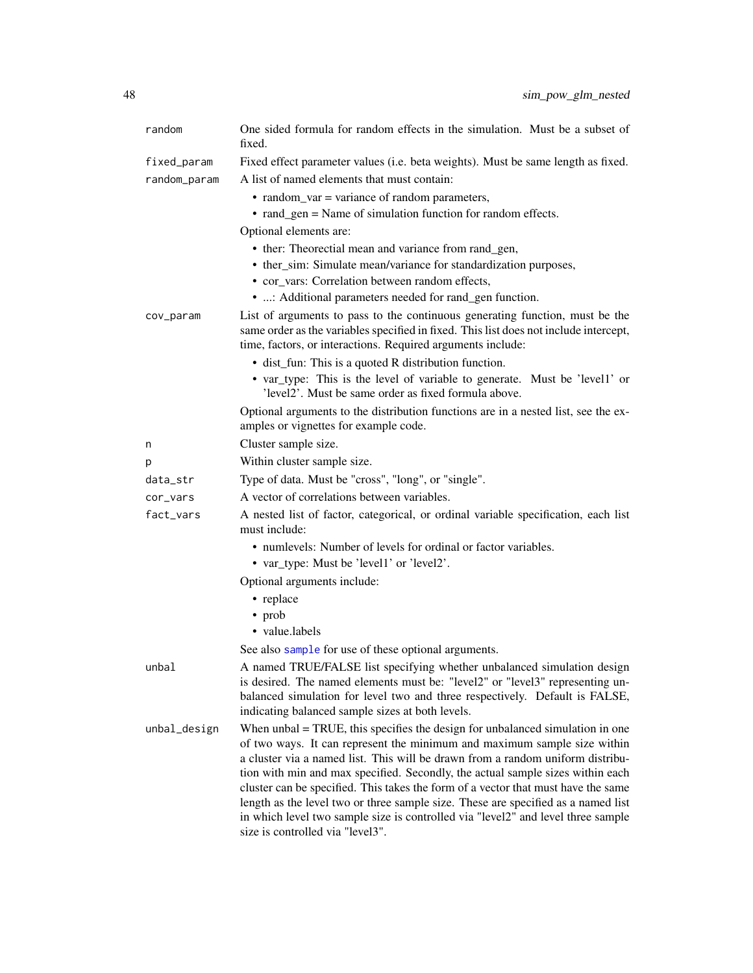| random       | One sided formula for random effects in the simulation. Must be a subset of<br>fixed.                                                                                                                                                |
|--------------|--------------------------------------------------------------------------------------------------------------------------------------------------------------------------------------------------------------------------------------|
| fixed_param  | Fixed effect parameter values (i.e. beta weights). Must be same length as fixed.                                                                                                                                                     |
| random_param | A list of named elements that must contain:                                                                                                                                                                                          |
|              | • random_var = variance of random parameters,                                                                                                                                                                                        |
|              | • rand_gen = Name of simulation function for random effects.                                                                                                                                                                         |
|              | Optional elements are:                                                                                                                                                                                                               |
|              | • ther: Theorectial mean and variance from rand_gen,                                                                                                                                                                                 |
|              | • ther_sim: Simulate mean/variance for standardization purposes,                                                                                                                                                                     |
|              | • cor vars: Correlation between random effects,                                                                                                                                                                                      |
|              | • : Additional parameters needed for rand_gen function.                                                                                                                                                                              |
| cov_param    | List of arguments to pass to the continuous generating function, must be the<br>same order as the variables specified in fixed. This list does not include intercept,<br>time, factors, or interactions. Required arguments include: |
|              | • dist_fun: This is a quoted R distribution function.                                                                                                                                                                                |
|              | • var_type: This is the level of variable to generate. Must be 'level1' or<br>'level2'. Must be same order as fixed formula above.                                                                                                   |
|              | Optional arguments to the distribution functions are in a nested list, see the ex-<br>amples or vignettes for example code.                                                                                                          |
| n            | Cluster sample size.                                                                                                                                                                                                                 |
| р            | Within cluster sample size.                                                                                                                                                                                                          |
| data_str     | Type of data. Must be "cross", "long", or "single".                                                                                                                                                                                  |
| cor_vars     | A vector of correlations between variables.                                                                                                                                                                                          |
| fact_vars    | A nested list of factor, categorical, or ordinal variable specification, each list<br>must include:                                                                                                                                  |
|              | • numlevels: Number of levels for ordinal or factor variables.<br>• var_type: Must be 'level1' or 'level2'.                                                                                                                          |
|              | Optional arguments include:                                                                                                                                                                                                          |
|              | • replace                                                                                                                                                                                                                            |
|              | $\cdot$ prob                                                                                                                                                                                                                         |
|              | • value.labels                                                                                                                                                                                                                       |
|              | See also sample for use of these optional arguments.                                                                                                                                                                                 |
| unbal        | A named TRUE/FALSE list specifying whether unbalanced simulation design                                                                                                                                                              |
|              | is desired. The named elements must be: "level2" or "level3" representing un-                                                                                                                                                        |
|              | balanced simulation for level two and three respectively. Default is FALSE,<br>indicating balanced sample sizes at both levels.                                                                                                      |
| unbal_design | When $unbal = TRUE$ , this specifies the design for unbalanced simulation in one                                                                                                                                                     |
|              | of two ways. It can represent the minimum and maximum sample size within                                                                                                                                                             |
|              | a cluster via a named list. This will be drawn from a random uniform distribu-                                                                                                                                                       |
|              | tion with min and max specified. Secondly, the actual sample sizes within each                                                                                                                                                       |
|              | cluster can be specified. This takes the form of a vector that must have the same                                                                                                                                                    |
|              | length as the level two or three sample size. These are specified as a named list<br>in which level two sample size is controlled via "level2" and level three sample<br>size is controlled via "level3".                            |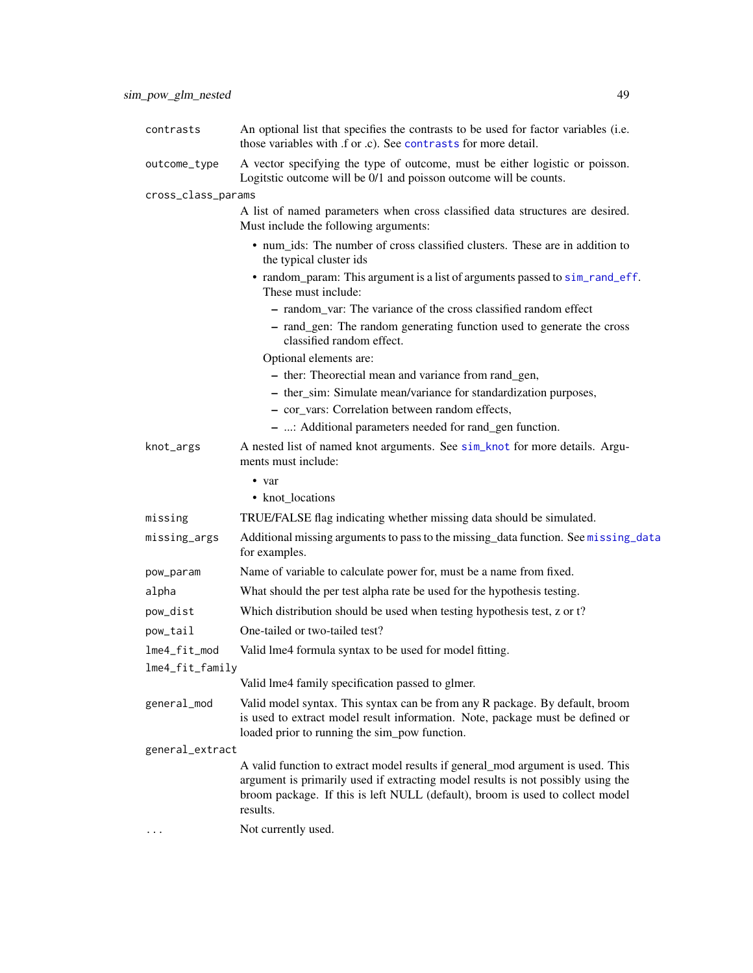| contrasts          | An optional list that specifies the contrasts to be used for factor variables (i.e.<br>those variables with .f or .c). See contrasts for more detail.                                                                                                            |
|--------------------|------------------------------------------------------------------------------------------------------------------------------------------------------------------------------------------------------------------------------------------------------------------|
| outcome_type       | A vector specifying the type of outcome, must be either logistic or poisson.<br>Logitstic outcome will be 0/1 and poisson outcome will be counts.                                                                                                                |
| cross_class_params |                                                                                                                                                                                                                                                                  |
|                    | A list of named parameters when cross classified data structures are desired.<br>Must include the following arguments:                                                                                                                                           |
|                    | • num ids: The number of cross classified clusters. These are in addition to<br>the typical cluster ids                                                                                                                                                          |
|                    | • random_param: This argument is a list of arguments passed to sim_rand_eff.<br>These must include:                                                                                                                                                              |
|                    | - random_var: The variance of the cross classified random effect                                                                                                                                                                                                 |
|                    | - rand_gen: The random generating function used to generate the cross<br>classified random effect.                                                                                                                                                               |
|                    | Optional elements are:                                                                                                                                                                                                                                           |
|                    | - ther: Theorectial mean and variance from rand_gen,                                                                                                                                                                                                             |
|                    | - ther_sim: Simulate mean/variance for standardization purposes,                                                                                                                                                                                                 |
|                    | - cor_vars: Correlation between random effects,                                                                                                                                                                                                                  |
|                    | - : Additional parameters needed for rand_gen function.                                                                                                                                                                                                          |
| knot_args          | A nested list of named knot arguments. See sim_knot for more details. Argu-<br>ments must include:                                                                                                                                                               |
|                    | $\bullet$ var                                                                                                                                                                                                                                                    |
|                    | • knot_locations                                                                                                                                                                                                                                                 |
| missing            | TRUE/FALSE flag indicating whether missing data should be simulated.                                                                                                                                                                                             |
| missing_args       | Additional missing arguments to pass to the missing_data function. See missing_data<br>for examples.                                                                                                                                                             |
| pow_param          | Name of variable to calculate power for, must be a name from fixed.                                                                                                                                                                                              |
| alpha              | What should the per test alpha rate be used for the hypothesis testing.                                                                                                                                                                                          |
| pow_dist           | Which distribution should be used when testing hypothesis test, z or t?                                                                                                                                                                                          |
| pow_tail           | One-tailed or two-tailed test?                                                                                                                                                                                                                                   |
| lme4_fit_mod       | Valid lme4 formula syntax to be used for model fitting.                                                                                                                                                                                                          |
| lme4_fit_family    |                                                                                                                                                                                                                                                                  |
|                    | Valid lme4 family specification passed to glmer.                                                                                                                                                                                                                 |
| general_mod        | Valid model syntax. This syntax can be from any R package. By default, broom<br>is used to extract model result information. Note, package must be defined or<br>loaded prior to running the sim_pow function.                                                   |
| general_extract    |                                                                                                                                                                                                                                                                  |
|                    | A valid function to extract model results if general_mod argument is used. This<br>argument is primarily used if extracting model results is not possibly using the<br>broom package. If this is left NULL (default), broom is used to collect model<br>results. |
|                    | Not currently used.                                                                                                                                                                                                                                              |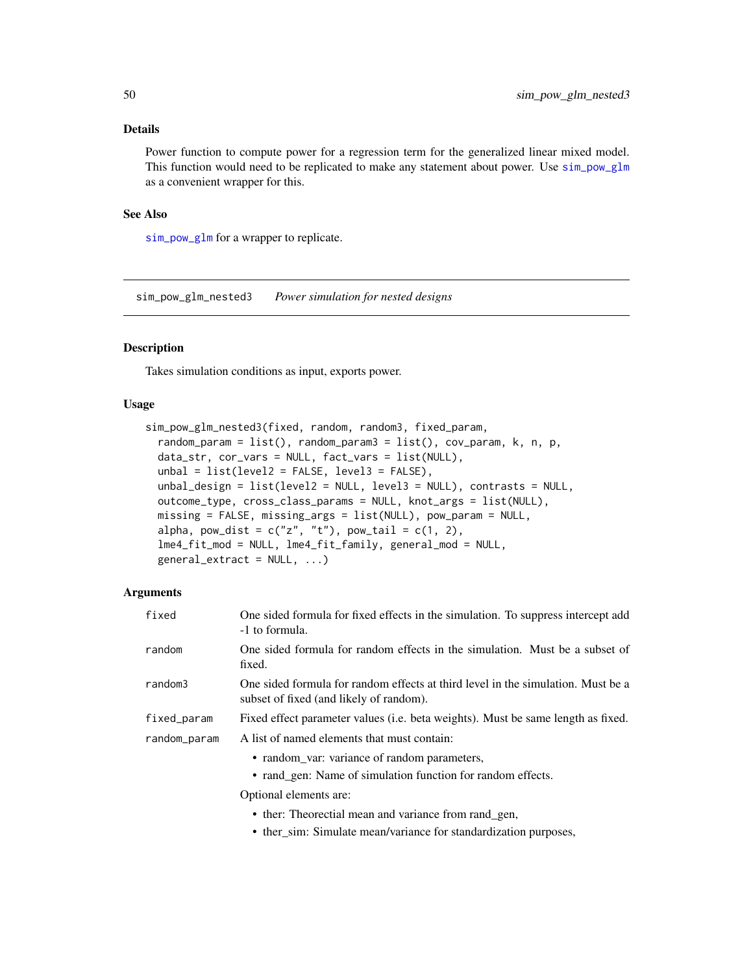Power function to compute power for a regression term for the generalized linear mixed model. This function would need to be replicated to make any statement about power. Use  $sim\_glm$ as a convenient wrapper for this.

### See Also

[sim\\_pow\\_glm](#page-42-0) for a wrapper to replicate.

sim\_pow\_glm\_nested3 *Power simulation for nested designs*

## Description

Takes simulation conditions as input, exports power.

## Usage

```
sim_pow_glm_nested3(fixed, random, random3, fixed_param,
  random\_param = list(), random\_param = list(), random\_param = list(), cov\_param, k, n, p,
  data_str, cor_vars = NULL, fact_vars = list(NULL),
  unbal = list(level2 = FALSE, level3 = FALSE),unbal_design = list(level2 = NULL, level3 = NULL), contrasts = NULL,
  outcome_type, cross_class_params = NULL, knot_args = list(NULL),
  missing = FALSE, missing_args = list(NULL), pow_param = NULL,
  alpha, pow\_dist = c("z", "t"), pow\_tail = c(1, 2),
  lme4_fit_mod = NULL, lme4_fit_family, general_mod = NULL,
  general\_extract = NULL, ...
```
## Arguments

| One sided formula for fixed effects in the simulation. To suppress intercept add<br>-1 to formula.                          |
|-----------------------------------------------------------------------------------------------------------------------------|
| One sided formula for random effects in the simulation. Must be a subset of<br>fixed.                                       |
| One sided formula for random effects at third level in the simulation. Must be a<br>subset of fixed (and likely of random). |
| Fixed effect parameter values ( <i>i.e.</i> beta weights). Must be same length as fixed.                                    |
| A list of named elements that must contain:                                                                                 |
| • random_var: variance of random parameters,                                                                                |
| • rand_gen: Name of simulation function for random effects.                                                                 |
| Optional elements are:                                                                                                      |
| • ther: Theorectial mean and variance from rand_gen,                                                                        |
|                                                                                                                             |

• ther\_sim: Simulate mean/variance for standardization purposes,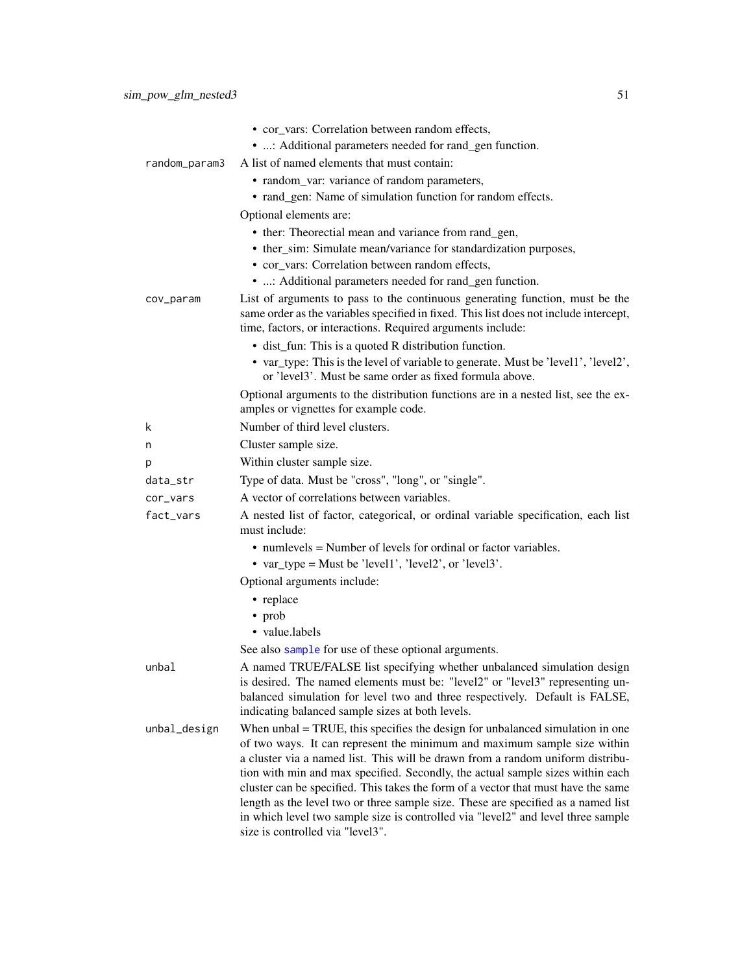|               | • cor_vars: Correlation between random effects,                                                                                                                                                                                                                                                                                                                                                                                                                                                                                                                                             |
|---------------|---------------------------------------------------------------------------------------------------------------------------------------------------------------------------------------------------------------------------------------------------------------------------------------------------------------------------------------------------------------------------------------------------------------------------------------------------------------------------------------------------------------------------------------------------------------------------------------------|
|               | • : Additional parameters needed for rand_gen function.<br>A list of named elements that must contain:                                                                                                                                                                                                                                                                                                                                                                                                                                                                                      |
| random_param3 |                                                                                                                                                                                                                                                                                                                                                                                                                                                                                                                                                                                             |
|               | • random_var: variance of random parameters,                                                                                                                                                                                                                                                                                                                                                                                                                                                                                                                                                |
|               | • rand_gen: Name of simulation function for random effects.                                                                                                                                                                                                                                                                                                                                                                                                                                                                                                                                 |
|               | Optional elements are:                                                                                                                                                                                                                                                                                                                                                                                                                                                                                                                                                                      |
|               | • ther: Theorectial mean and variance from rand_gen,                                                                                                                                                                                                                                                                                                                                                                                                                                                                                                                                        |
|               | • ther_sim: Simulate mean/variance for standardization purposes,                                                                                                                                                                                                                                                                                                                                                                                                                                                                                                                            |
|               | • cor_vars: Correlation between random effects,                                                                                                                                                                                                                                                                                                                                                                                                                                                                                                                                             |
|               | • : Additional parameters needed for rand_gen function.                                                                                                                                                                                                                                                                                                                                                                                                                                                                                                                                     |
| cov_param     | List of arguments to pass to the continuous generating function, must be the<br>same order as the variables specified in fixed. This list does not include intercept,<br>time, factors, or interactions. Required arguments include:                                                                                                                                                                                                                                                                                                                                                        |
|               | • dist_fun: This is a quoted R distribution function.                                                                                                                                                                                                                                                                                                                                                                                                                                                                                                                                       |
|               | • var_type: This is the level of variable to generate. Must be 'level1', 'level2',<br>or 'level3'. Must be same order as fixed formula above.                                                                                                                                                                                                                                                                                                                                                                                                                                               |
|               | Optional arguments to the distribution functions are in a nested list, see the ex-<br>amples or vignettes for example code.                                                                                                                                                                                                                                                                                                                                                                                                                                                                 |
| k             | Number of third level clusters.                                                                                                                                                                                                                                                                                                                                                                                                                                                                                                                                                             |
| n             | Cluster sample size.                                                                                                                                                                                                                                                                                                                                                                                                                                                                                                                                                                        |
| р             | Within cluster sample size.                                                                                                                                                                                                                                                                                                                                                                                                                                                                                                                                                                 |
| data_str      | Type of data. Must be "cross", "long", or "single".                                                                                                                                                                                                                                                                                                                                                                                                                                                                                                                                         |
| cor_vars      | A vector of correlations between variables.                                                                                                                                                                                                                                                                                                                                                                                                                                                                                                                                                 |
| fact_vars     | A nested list of factor, categorical, or ordinal variable specification, each list<br>must include:                                                                                                                                                                                                                                                                                                                                                                                                                                                                                         |
|               | • numlevels = Number of levels for ordinal or factor variables.                                                                                                                                                                                                                                                                                                                                                                                                                                                                                                                             |
|               | • var_type = Must be 'level1', 'level2', or 'level3'.                                                                                                                                                                                                                                                                                                                                                                                                                                                                                                                                       |
|               | Optional arguments include:                                                                                                                                                                                                                                                                                                                                                                                                                                                                                                                                                                 |
|               | • replace                                                                                                                                                                                                                                                                                                                                                                                                                                                                                                                                                                                   |
|               | • prob                                                                                                                                                                                                                                                                                                                                                                                                                                                                                                                                                                                      |
|               | • value.labels                                                                                                                                                                                                                                                                                                                                                                                                                                                                                                                                                                              |
|               | See also sample for use of these optional arguments.                                                                                                                                                                                                                                                                                                                                                                                                                                                                                                                                        |
| umbal         | A named TRUE/FALSE list specifying whether unbalanced simulation design<br>is desired. The named elements must be: "level2" or "level3" representing un-<br>balanced simulation for level two and three respectively. Default is FALSE,<br>indicating balanced sample sizes at both levels.                                                                                                                                                                                                                                                                                                 |
| unbal_design  | When unbal = TRUE, this specifies the design for unbalanced simulation in one<br>of two ways. It can represent the minimum and maximum sample size within<br>a cluster via a named list. This will be drawn from a random uniform distribu-<br>tion with min and max specified. Secondly, the actual sample sizes within each<br>cluster can be specified. This takes the form of a vector that must have the same<br>length as the level two or three sample size. These are specified as a named list<br>in which level two sample size is controlled via "level2" and level three sample |

size is controlled via "level3".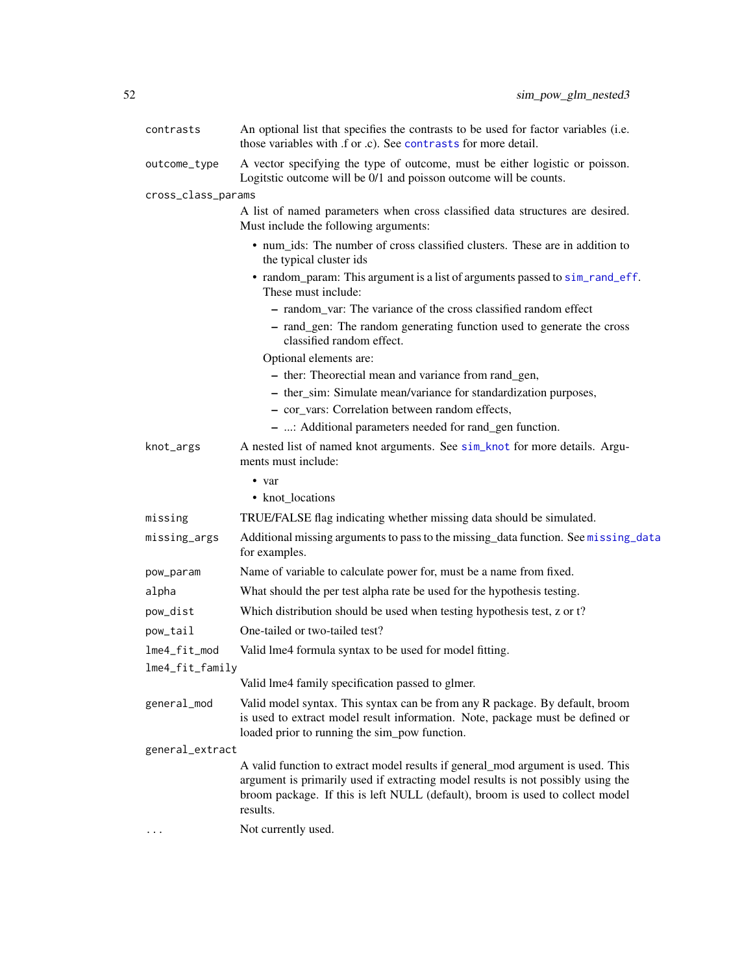| contrasts          | An optional list that specifies the contrasts to be used for factor variables (i.e.<br>those variables with .f or .c). See contrasts for more detail.                                                                                                            |
|--------------------|------------------------------------------------------------------------------------------------------------------------------------------------------------------------------------------------------------------------------------------------------------------|
| outcome_type       | A vector specifying the type of outcome, must be either logistic or poisson.<br>Logitstic outcome will be 0/1 and poisson outcome will be counts.                                                                                                                |
| cross_class_params |                                                                                                                                                                                                                                                                  |
|                    | A list of named parameters when cross classified data structures are desired.<br>Must include the following arguments:                                                                                                                                           |
|                    | • num_ids: The number of cross classified clusters. These are in addition to<br>the typical cluster ids                                                                                                                                                          |
|                    | • random_param: This argument is a list of arguments passed to sim_rand_eff.<br>These must include:                                                                                                                                                              |
|                    | - random_var: The variance of the cross classified random effect                                                                                                                                                                                                 |
|                    | - rand_gen: The random generating function used to generate the cross<br>classified random effect.                                                                                                                                                               |
|                    | Optional elements are:                                                                                                                                                                                                                                           |
|                    | - ther: Theorectial mean and variance from rand_gen,                                                                                                                                                                                                             |
|                    | - ther_sim: Simulate mean/variance for standardization purposes,                                                                                                                                                                                                 |
|                    | - cor_vars: Correlation between random effects,                                                                                                                                                                                                                  |
|                    | - : Additional parameters needed for rand_gen function.                                                                                                                                                                                                          |
| knot_args          | A nested list of named knot arguments. See sim_knot for more details. Argu-<br>ments must include:                                                                                                                                                               |
|                    | • var                                                                                                                                                                                                                                                            |
|                    | • knot_locations                                                                                                                                                                                                                                                 |
| missing            | TRUE/FALSE flag indicating whether missing data should be simulated.                                                                                                                                                                                             |
| missing_args       | Additional missing arguments to pass to the missing_data function. See missing_data<br>for examples.                                                                                                                                                             |
| pow_param          | Name of variable to calculate power for, must be a name from fixed.                                                                                                                                                                                              |
| alpha              | What should the per test alpha rate be used for the hypothesis testing.                                                                                                                                                                                          |
| pow_dist           | Which distribution should be used when testing hypothesis test, z or t?                                                                                                                                                                                          |
| pow_tail           | One-tailed or two-tailed test?                                                                                                                                                                                                                                   |
| lme4_fit_mod       | Valid lme4 formula syntax to be used for model fitting.                                                                                                                                                                                                          |
| lme4 fit family    |                                                                                                                                                                                                                                                                  |
|                    | Valid lme4 family specification passed to glmer.                                                                                                                                                                                                                 |
| general_mod        | Valid model syntax. This syntax can be from any R package. By default, broom<br>is used to extract model result information. Note, package must be defined or<br>loaded prior to running the sim_pow function.                                                   |
| general_extract    |                                                                                                                                                                                                                                                                  |
|                    | A valid function to extract model results if general_mod argument is used. This<br>argument is primarily used if extracting model results is not possibly using the<br>broom package. If this is left NULL (default), broom is used to collect model<br>results. |
|                    | Not currently used.                                                                                                                                                                                                                                              |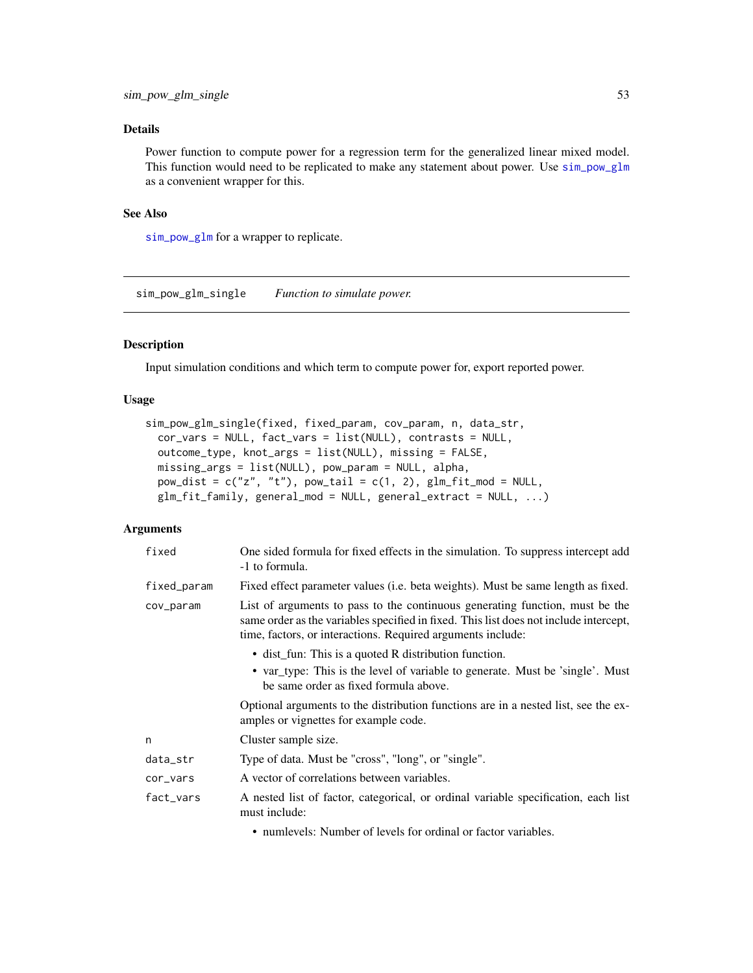Power function to compute power for a regression term for the generalized linear mixed model. This function would need to be replicated to make any statement about power. Use [sim\\_pow\\_glm](#page-42-0) as a convenient wrapper for this.

### See Also

[sim\\_pow\\_glm](#page-42-0) for a wrapper to replicate.

sim\_pow\_glm\_single *Function to simulate power.*

## Description

Input simulation conditions and which term to compute power for, export reported power.

## Usage

```
sim_pow_glm_single(fixed, fixed_param, cov_param, n, data_str,
  cor_vars = NULL, fact_vars = list(NULL), contrasts = NULL,
 outcome_type, knot_args = list(NULL), missing = FALSE,
 missing_args = list(NULL), pow_param = NULL, alpha,
 pow\_dist = c("z", "t"), pow\_tail = c(1, 2), glm_fit_mod = NULL,glm_fit_family, general_mod = NULL, general_extract = NULL, ...)
```

| fixed       | One sided formula for fixed effects in the simulation. To suppress intercept add<br>-1 to formula.                                                                                                                                   |
|-------------|--------------------------------------------------------------------------------------------------------------------------------------------------------------------------------------------------------------------------------------|
| fixed_param | Fixed effect parameter values (i.e. beta weights). Must be same length as fixed.                                                                                                                                                     |
| cov_param   | List of arguments to pass to the continuous generating function, must be the<br>same order as the variables specified in fixed. This list does not include intercept,<br>time, factors, or interactions. Required arguments include: |
|             | • dist_fun: This is a quoted R distribution function.<br>• var_type: This is the level of variable to generate. Must be 'single'. Must<br>be same order as fixed formula above.                                                      |
|             | Optional arguments to the distribution functions are in a nested list, see the ex-<br>amples or vignettes for example code.                                                                                                          |
| n           | Cluster sample size.                                                                                                                                                                                                                 |
| data_str    | Type of data. Must be "cross", "long", or "single".                                                                                                                                                                                  |
| cor_vars    | A vector of correlations between variables.                                                                                                                                                                                          |
| fact_vars   | A nested list of factor, categorical, or ordinal variable specification, each list<br>must include:                                                                                                                                  |
|             | • numlevels: Number of levels for ordinal or factor variables.                                                                                                                                                                       |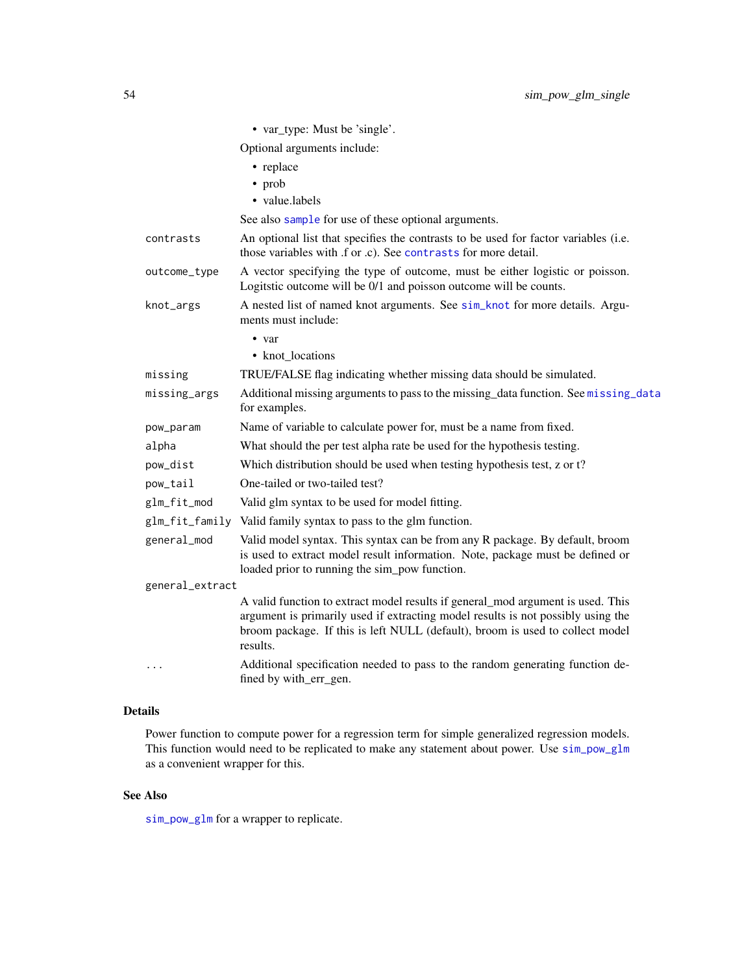|                 | • var_type: Must be 'single'.                                                                                                                                                                                                                                    |
|-----------------|------------------------------------------------------------------------------------------------------------------------------------------------------------------------------------------------------------------------------------------------------------------|
|                 | Optional arguments include:                                                                                                                                                                                                                                      |
|                 | • replace                                                                                                                                                                                                                                                        |
|                 | • prob                                                                                                                                                                                                                                                           |
|                 | • value.labels                                                                                                                                                                                                                                                   |
|                 | See also sample for use of these optional arguments.                                                                                                                                                                                                             |
| contrasts       | An optional list that specifies the contrasts to be used for factor variables (i.e.<br>those variables with .f or .c). See contrasts for more detail.                                                                                                            |
| outcome_type    | A vector specifying the type of outcome, must be either logistic or poisson.<br>Logitatic outcome will be 0/1 and poisson outcome will be counts.                                                                                                                |
| knot_args       | A nested list of named knot arguments. See sim_knot for more details. Argu-<br>ments must include:                                                                                                                                                               |
|                 | $\bullet$ var                                                                                                                                                                                                                                                    |
|                 | • knot_locations                                                                                                                                                                                                                                                 |
| missing         | TRUE/FALSE flag indicating whether missing data should be simulated.                                                                                                                                                                                             |
| missing_args    | Additional missing arguments to pass to the missing_data function. See missing_data<br>for examples.                                                                                                                                                             |
| pow_param       | Name of variable to calculate power for, must be a name from fixed.                                                                                                                                                                                              |
| alpha           | What should the per test alpha rate be used for the hypothesis testing.                                                                                                                                                                                          |
| pow_dist        | Which distribution should be used when testing hypothesis test, z or t?                                                                                                                                                                                          |
| pow_tail        | One-tailed or two-tailed test?                                                                                                                                                                                                                                   |
| glm_fit_mod     | Valid glm syntax to be used for model fitting.                                                                                                                                                                                                                   |
|                 | glm_fit_family Valid family syntax to pass to the glm function.                                                                                                                                                                                                  |
| general_mod     | Valid model syntax. This syntax can be from any R package. By default, broom<br>is used to extract model result information. Note, package must be defined or<br>loaded prior to running the sim_pow function.                                                   |
| general_extract |                                                                                                                                                                                                                                                                  |
|                 | A valid function to extract model results if general_mod argument is used. This<br>argument is primarily used if extracting model results is not possibly using the<br>broom package. If this is left NULL (default), broom is used to collect model<br>results. |
| $\ddotsc$       | Additional specification needed to pass to the random generating function de-<br>fined by with_err_gen.                                                                                                                                                          |

Power function to compute power for a regression term for simple generalized regression models. This function would need to be replicated to make any statement about power. Use [sim\\_pow\\_glm](#page-42-0) as a convenient wrapper for this.

## See Also

[sim\\_pow\\_glm](#page-42-0) for a wrapper to replicate.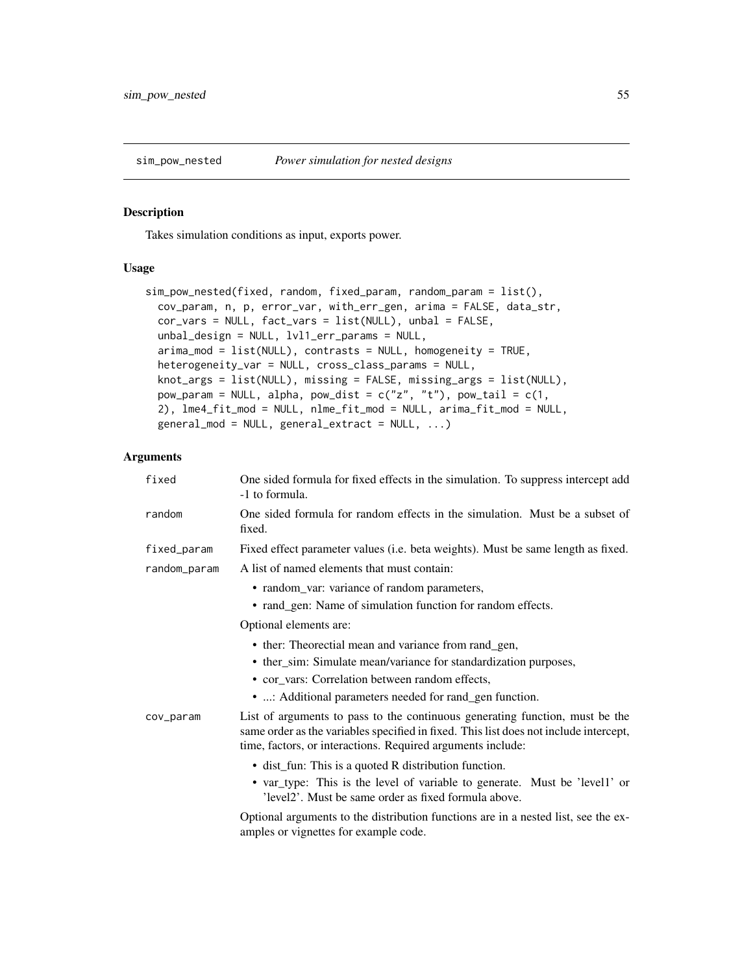### Description

Takes simulation conditions as input, exports power.

## Usage

```
sim_pow_nested(fixed, random, fixed_param, random_param = list(),
 cov_param, n, p, error_var, with_err_gen, arima = FALSE, data_str,
 cor_vars = NULL, fact_vars = list(NULL), unbal = FALSE,
 unbal_design = NULL, lvl1_err_params = NULL,
 arima_mod = list(NULL), contrasts = NULL, homogeneity = TRUE,
 heterogeneity_var = NULL, cross_class_params = NULL,
 knot_args = list(NULL), missing = FALSE, missing_args = list(NULL),
 pow_param = NULL, alpha, pow_dist = c("z", "t"), pow_tail = c(1,2), lme4_fit_mod = NULL, nlme_fit_mod = NULL, arima_fit_mod = NULL,
  general_{mod} = NULL, general_{extract} = NULL, ...
```

| fixed        | One sided formula for fixed effects in the simulation. To suppress intercept add<br>-1 to formula.                                                                                                                                   |
|--------------|--------------------------------------------------------------------------------------------------------------------------------------------------------------------------------------------------------------------------------------|
| random       | One sided formula for random effects in the simulation. Must be a subset of<br>fixed.                                                                                                                                                |
| fixed_param  | Fixed effect parameter values (i.e. beta weights). Must be same length as fixed.                                                                                                                                                     |
| random_param | A list of named elements that must contain:                                                                                                                                                                                          |
|              | • random_var: variance of random parameters,                                                                                                                                                                                         |
|              | • rand_gen: Name of simulation function for random effects.                                                                                                                                                                          |
|              | Optional elements are:                                                                                                                                                                                                               |
|              | • ther: Theorectial mean and variance from rand_gen,                                                                                                                                                                                 |
|              | • ther_sim: Simulate mean/variance for standardization purposes,                                                                                                                                                                     |
|              | • cor_vars: Correlation between random effects,                                                                                                                                                                                      |
|              | • : Additional parameters needed for rand_gen function.                                                                                                                                                                              |
| cov_param    | List of arguments to pass to the continuous generating function, must be the<br>same order as the variables specified in fixed. This list does not include intercept,<br>time, factors, or interactions. Required arguments include: |
|              | • dist_fun: This is a quoted R distribution function.                                                                                                                                                                                |
|              | • var_type: This is the level of variable to generate. Must be 'level1' or<br>'level2'. Must be same order as fixed formula above.                                                                                                   |
|              | Optional arguments to the distribution functions are in a nested list, see the ex-<br>amples or vignettes for example code.                                                                                                          |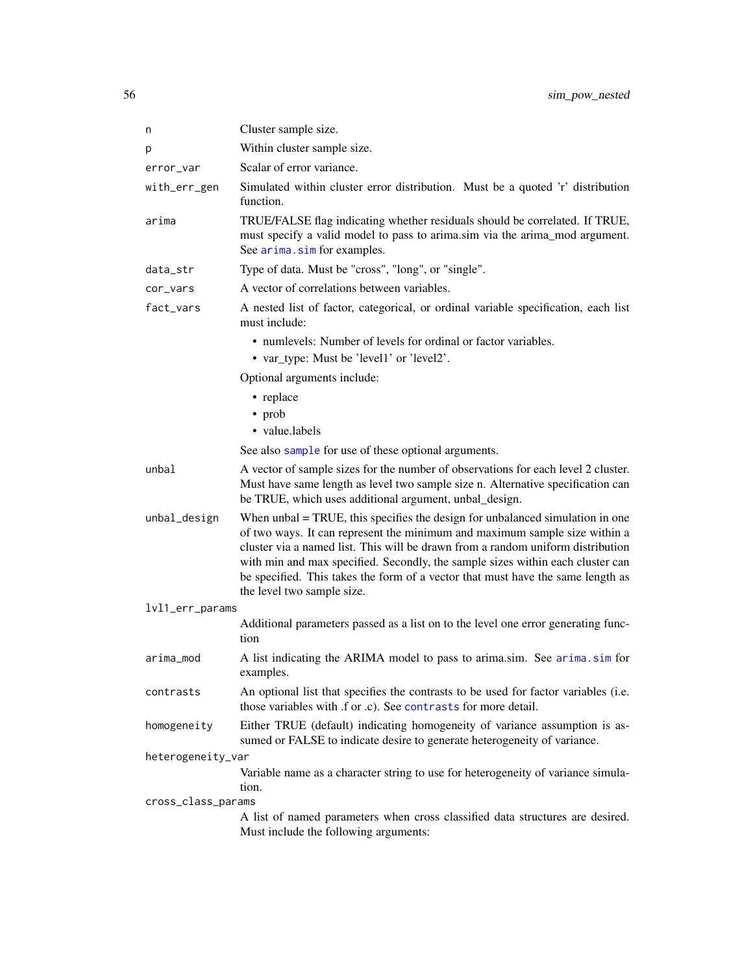| n                  | Cluster sample size.                                                                                                                                                                                                                                                                                                                                                                                                                              |
|--------------------|---------------------------------------------------------------------------------------------------------------------------------------------------------------------------------------------------------------------------------------------------------------------------------------------------------------------------------------------------------------------------------------------------------------------------------------------------|
| p                  | Within cluster sample size.                                                                                                                                                                                                                                                                                                                                                                                                                       |
| error_var          | Scalar of error variance.                                                                                                                                                                                                                                                                                                                                                                                                                         |
| with_err_gen       | Simulated within cluster error distribution. Must be a quoted 'r' distribution<br>function.                                                                                                                                                                                                                                                                                                                                                       |
| arima              | TRUE/FALSE flag indicating whether residuals should be correlated. If TRUE,<br>must specify a valid model to pass to arima.sim via the arima_mod argument.<br>See arima.sim for examples.                                                                                                                                                                                                                                                         |
| data_str           | Type of data. Must be "cross", "long", or "single".                                                                                                                                                                                                                                                                                                                                                                                               |
| cor_vars           | A vector of correlations between variables.                                                                                                                                                                                                                                                                                                                                                                                                       |
| fact_vars          | A nested list of factor, categorical, or ordinal variable specification, each list<br>must include:                                                                                                                                                                                                                                                                                                                                               |
|                    | • numlevels: Number of levels for ordinal or factor variables.                                                                                                                                                                                                                                                                                                                                                                                    |
|                    | • var_type: Must be 'level1' or 'level2'.                                                                                                                                                                                                                                                                                                                                                                                                         |
|                    | Optional arguments include:                                                                                                                                                                                                                                                                                                                                                                                                                       |
|                    | • replace                                                                                                                                                                                                                                                                                                                                                                                                                                         |
|                    | • prob                                                                                                                                                                                                                                                                                                                                                                                                                                            |
|                    | · value.labels                                                                                                                                                                                                                                                                                                                                                                                                                                    |
|                    | See also sample for use of these optional arguments.                                                                                                                                                                                                                                                                                                                                                                                              |
| unbal              | A vector of sample sizes for the number of observations for each level 2 cluster.<br>Must have same length as level two sample size n. Alternative specification can<br>be TRUE, which uses additional argument, unbal_design.                                                                                                                                                                                                                    |
| unbal_design       | When unbal = TRUE, this specifies the design for unbalanced simulation in one<br>of two ways. It can represent the minimum and maximum sample size within a<br>cluster via a named list. This will be drawn from a random uniform distribution<br>with min and max specified. Secondly, the sample sizes within each cluster can<br>be specified. This takes the form of a vector that must have the same length as<br>the level two sample size. |
| lvl1_err_params    |                                                                                                                                                                                                                                                                                                                                                                                                                                                   |
|                    | Additional parameters passed as a list on to the level one error generating func-<br>tion                                                                                                                                                                                                                                                                                                                                                         |
| arima_mod          | A list indicating the ARIMA model to pass to arima.sim. See arima.sim for<br>examples.                                                                                                                                                                                                                                                                                                                                                            |
| contrasts          | An optional list that specifies the contrasts to be used for factor variables (i.e.<br>those variables with .f or .c). See contrasts for more detail.                                                                                                                                                                                                                                                                                             |
| homogeneity        | Either TRUE (default) indicating homogeneity of variance assumption is as-<br>sumed or FALSE to indicate desire to generate heterogeneity of variance.                                                                                                                                                                                                                                                                                            |
| heterogeneity_var  |                                                                                                                                                                                                                                                                                                                                                                                                                                                   |
|                    | Variable name as a character string to use for heterogeneity of variance simula-<br>tion.                                                                                                                                                                                                                                                                                                                                                         |
| cross_class_params | A list of named parameters when cross classified data structures are desired.                                                                                                                                                                                                                                                                                                                                                                     |
|                    | Must include the following arguments:                                                                                                                                                                                                                                                                                                                                                                                                             |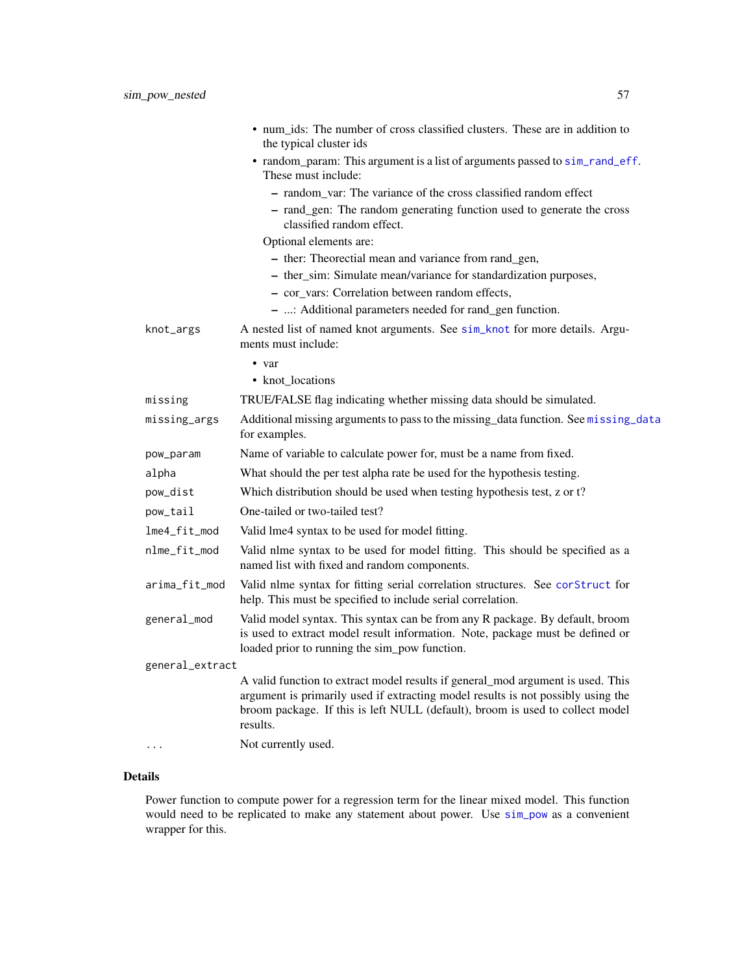|                 | • num_ids: The number of cross classified clusters. These are in addition to<br>the typical cluster ids                                                                                                                                                          |
|-----------------|------------------------------------------------------------------------------------------------------------------------------------------------------------------------------------------------------------------------------------------------------------------|
|                 | • random_param: This argument is a list of arguments passed to sim_rand_eff.<br>These must include:                                                                                                                                                              |
|                 | - random var: The variance of the cross classified random effect                                                                                                                                                                                                 |
|                 | - rand_gen: The random generating function used to generate the cross<br>classified random effect.                                                                                                                                                               |
|                 | Optional elements are:                                                                                                                                                                                                                                           |
|                 | - ther: Theorectial mean and variance from rand_gen,                                                                                                                                                                                                             |
|                 | - ther_sim: Simulate mean/variance for standardization purposes,                                                                                                                                                                                                 |
|                 | - cor_vars: Correlation between random effects,                                                                                                                                                                                                                  |
|                 | - : Additional parameters needed for rand_gen function.                                                                                                                                                                                                          |
| knot_args       | A nested list of named knot arguments. See sim_knot for more details. Argu-<br>ments must include:                                                                                                                                                               |
|                 | • var                                                                                                                                                                                                                                                            |
|                 | • knot_locations                                                                                                                                                                                                                                                 |
| missing         | TRUE/FALSE flag indicating whether missing data should be simulated.                                                                                                                                                                                             |
| missing_args    | Additional missing arguments to pass to the missing_data function. See missing_data<br>for examples.                                                                                                                                                             |
| pow_param       | Name of variable to calculate power for, must be a name from fixed.                                                                                                                                                                                              |
| alpha           | What should the per test alpha rate be used for the hypothesis testing.                                                                                                                                                                                          |
| pow_dist        | Which distribution should be used when testing hypothesis test, z or t?                                                                                                                                                                                          |
| pow_tail        | One-tailed or two-tailed test?                                                                                                                                                                                                                                   |
| lme4_fit_mod    | Valid lme4 syntax to be used for model fitting.                                                                                                                                                                                                                  |
| nlme_fit_mod    | Valid nlme syntax to be used for model fitting. This should be specified as a<br>named list with fixed and random components.                                                                                                                                    |
| arima_fit_mod   | Valid nlme syntax for fitting serial correlation structures. See corStruct for<br>help. This must be specified to include serial correlation.                                                                                                                    |
| general_mod     | Valid model syntax. This syntax can be from any R package. By default, broom<br>is used to extract model result information. Note, package must be defined or<br>loaded prior to running the sim_pow function.                                                   |
| general_extract |                                                                                                                                                                                                                                                                  |
|                 | A valid function to extract model results if general_mod argument is used. This<br>argument is primarily used if extracting model results is not possibly using the<br>broom package. If this is left NULL (default), broom is used to collect model<br>results. |
| .               | Not currently used.                                                                                                                                                                                                                                              |
|                 |                                                                                                                                                                                                                                                                  |

Power function to compute power for a regression term for the linear mixed model. This function would need to be replicated to make any statement about power. Use [sim\\_pow](#page-37-0) as a convenient wrapper for this.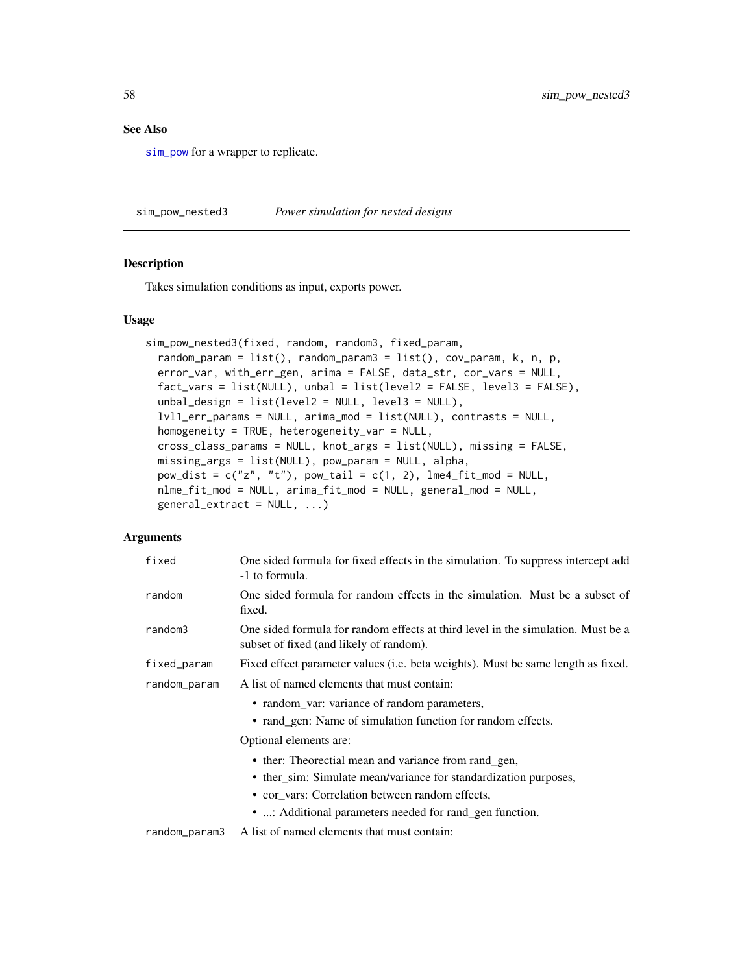## See Also

[sim\\_pow](#page-37-0) for a wrapper to replicate.

sim\_pow\_nested3 *Power simulation for nested designs*

## Description

Takes simulation conditions as input, exports power.

# Usage

```
sim_pow_nested3(fixed, random, random3, fixed_param,
 random_param = list(), random_param3 = list(), cov_param, k, n, p,
 error_var, with_err_gen, arima = FALSE, data_str, cor_vars = NULL,
 fact_{vars} = list(NULL), unbal = list(level2 = FALSE, level3 = FALSE),unbal_design = list(level2 = NULL, level3 = NULL),lvl1_err_params = NULL, arima_mod = list(NULL), contrasts = NULL,
 homogeneity = TRUE, heterogeneity_var = NULL,
 cross_class_params = NULL, knot_args = list(NULL), missing = FALSE,
 missing_args = list(NULL), pow_param = NULL, alpha,
 pow\_dist = c("z", "t"), pow\_tail = c(1, 2), lme4_fit_mod = NULL,nlme_fit_mod = NULL, arima_fit_mod = NULL, general_mod = NULL,
 general_extract = NULL, ...)
```

| fixed         | One sided formula for fixed effects in the simulation. To suppress intercept add<br>-1 to formula.                          |
|---------------|-----------------------------------------------------------------------------------------------------------------------------|
| random        | One sided formula for random effects in the simulation. Must be a subset of<br>fixed.                                       |
| random3       | One sided formula for random effects at third level in the simulation. Must be a<br>subset of fixed (and likely of random). |
| fixed_param   | Fixed effect parameter values (i.e. beta weights). Must be same length as fixed.                                            |
| random_param  | A list of named elements that must contain:                                                                                 |
|               | • random_var: variance of random parameters,                                                                                |
|               | • rand_gen: Name of simulation function for random effects.                                                                 |
|               | Optional elements are:                                                                                                      |
|               | • ther: Theorectial mean and variance from rand_gen,                                                                        |
|               | • ther_sim: Simulate mean/variance for standardization purposes,                                                            |
|               | • cor_vars: Correlation between random effects,                                                                             |
|               | • : Additional parameters needed for rand_gen function.                                                                     |
| random_param3 | A list of named elements that must contain:                                                                                 |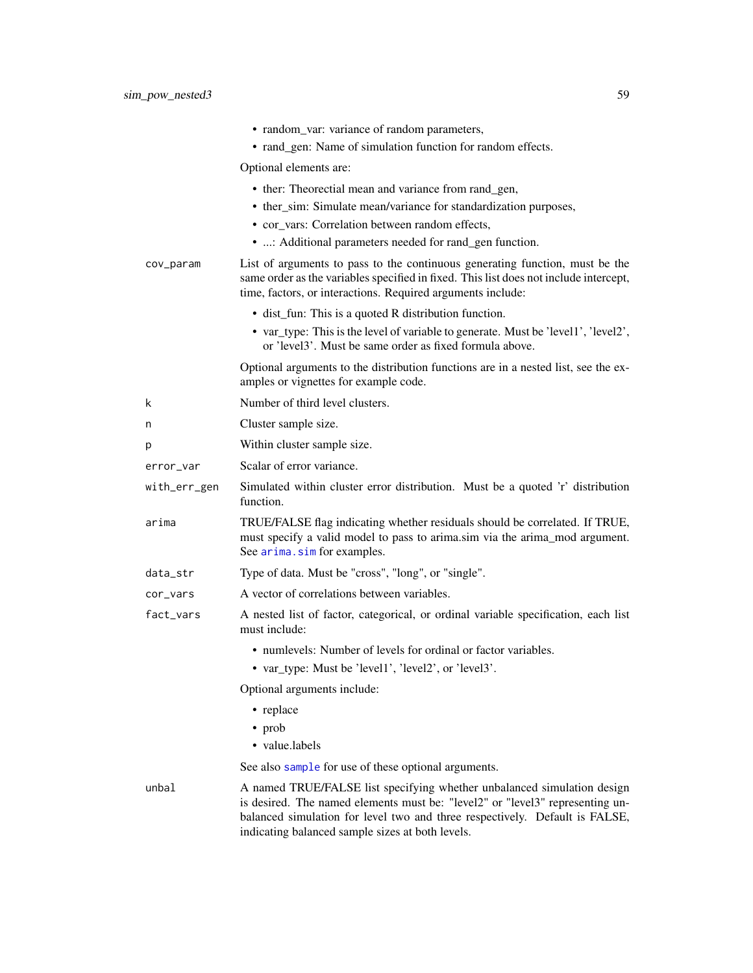|              | • random_var: variance of random parameters,<br>• rand_gen: Name of simulation function for random effects.                                                                                                                                                                                 |
|--------------|---------------------------------------------------------------------------------------------------------------------------------------------------------------------------------------------------------------------------------------------------------------------------------------------|
|              | Optional elements are:                                                                                                                                                                                                                                                                      |
|              | • ther: Theorectial mean and variance from rand_gen,                                                                                                                                                                                                                                        |
|              | • ther_sim: Simulate mean/variance for standardization purposes,                                                                                                                                                                                                                            |
|              | • cor vars: Correlation between random effects,                                                                                                                                                                                                                                             |
|              | • : Additional parameters needed for rand_gen function.                                                                                                                                                                                                                                     |
| cov_param    | List of arguments to pass to the continuous generating function, must be the<br>same order as the variables specified in fixed. This list does not include intercept,<br>time, factors, or interactions. Required arguments include:                                                        |
|              | • dist_fun: This is a quoted R distribution function.                                                                                                                                                                                                                                       |
|              | • var_type: This is the level of variable to generate. Must be 'level1', 'level2',<br>or 'level3'. Must be same order as fixed formula above.                                                                                                                                               |
|              | Optional arguments to the distribution functions are in a nested list, see the ex-<br>amples or vignettes for example code.                                                                                                                                                                 |
| k            | Number of third level clusters.                                                                                                                                                                                                                                                             |
| n            | Cluster sample size.                                                                                                                                                                                                                                                                        |
| р            | Within cluster sample size.                                                                                                                                                                                                                                                                 |
| error_var    | Scalar of error variance.                                                                                                                                                                                                                                                                   |
| with_err_gen | Simulated within cluster error distribution. Must be a quoted 'r' distribution<br>function.                                                                                                                                                                                                 |
| arima        | TRUE/FALSE flag indicating whether residuals should be correlated. If TRUE,<br>must specify a valid model to pass to arima.sim via the arima_mod argument.<br>See arima.sim for examples.                                                                                                   |
| data_str     | Type of data. Must be "cross", "long", or "single".                                                                                                                                                                                                                                         |
| cor_vars     | A vector of correlations between variables.                                                                                                                                                                                                                                                 |
| fact_vars    | A nested list of factor, categorical, or ordinal variable specification, each list<br>must include:                                                                                                                                                                                         |
|              | • numlevels: Number of levels for ordinal or factor variables.                                                                                                                                                                                                                              |
|              | • var_type: Must be 'level1', 'level2', or 'level3'.                                                                                                                                                                                                                                        |
|              | Optional arguments include:                                                                                                                                                                                                                                                                 |
|              | • replace                                                                                                                                                                                                                                                                                   |
|              | $\bullet$ prob                                                                                                                                                                                                                                                                              |
|              | • value.labels                                                                                                                                                                                                                                                                              |
|              | See also sample for use of these optional arguments.                                                                                                                                                                                                                                        |
| unbal        | A named TRUE/FALSE list specifying whether unbalanced simulation design<br>is desired. The named elements must be: "level2" or "level3" representing un-<br>balanced simulation for level two and three respectively. Default is FALSE,<br>indicating balanced sample sizes at both levels. |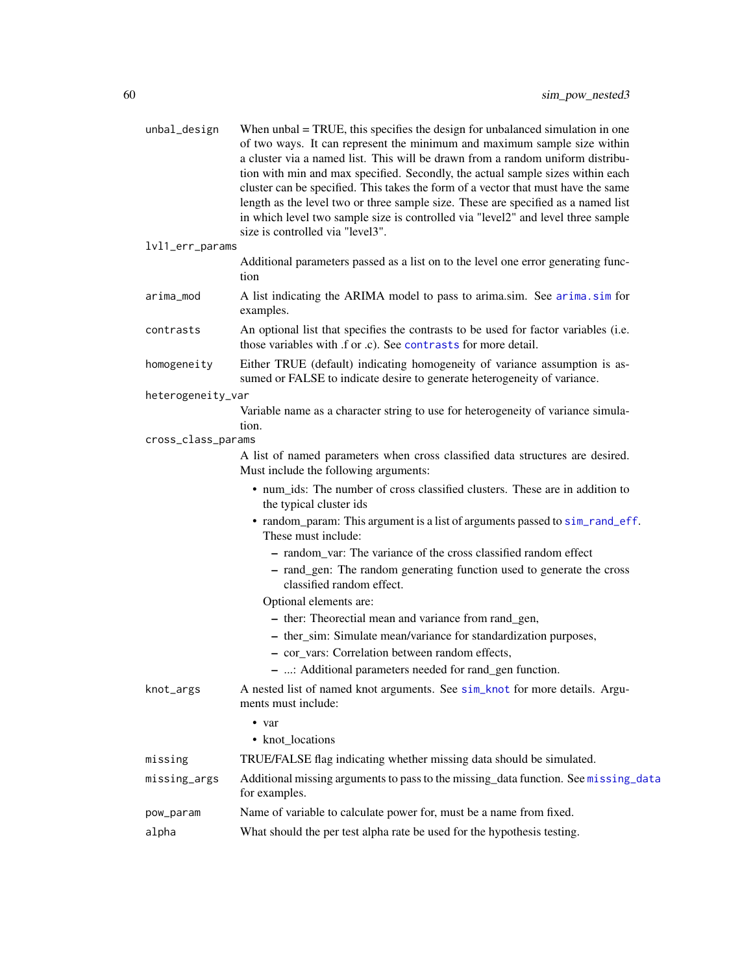| unbal_design       | When unbal = TRUE, this specifies the design for unbalanced simulation in one<br>of two ways. It can represent the minimum and maximum sample size within<br>a cluster via a named list. This will be drawn from a random uniform distribu-<br>tion with min and max specified. Secondly, the actual sample sizes within each<br>cluster can be specified. This takes the form of a vector that must have the same<br>length as the level two or three sample size. These are specified as a named list<br>in which level two sample size is controlled via "level2" and level three sample<br>size is controlled via "level3". |
|--------------------|---------------------------------------------------------------------------------------------------------------------------------------------------------------------------------------------------------------------------------------------------------------------------------------------------------------------------------------------------------------------------------------------------------------------------------------------------------------------------------------------------------------------------------------------------------------------------------------------------------------------------------|
| lvl1_err_params    |                                                                                                                                                                                                                                                                                                                                                                                                                                                                                                                                                                                                                                 |
|                    | Additional parameters passed as a list on to the level one error generating func-<br>tion                                                                                                                                                                                                                                                                                                                                                                                                                                                                                                                                       |
| arima_mod          | A list indicating the ARIMA model to pass to arima.sim. See arima.sim for<br>examples.                                                                                                                                                                                                                                                                                                                                                                                                                                                                                                                                          |
| contrasts          | An optional list that specifies the contrasts to be used for factor variables (i.e.<br>those variables with .f or .c). See contrasts for more detail.                                                                                                                                                                                                                                                                                                                                                                                                                                                                           |
| homogeneity        | Either TRUE (default) indicating homogeneity of variance assumption is as-<br>sumed or FALSE to indicate desire to generate heterogeneity of variance.                                                                                                                                                                                                                                                                                                                                                                                                                                                                          |
| heterogeneity_var  |                                                                                                                                                                                                                                                                                                                                                                                                                                                                                                                                                                                                                                 |
|                    | Variable name as a character string to use for heterogeneity of variance simula-<br>tion.                                                                                                                                                                                                                                                                                                                                                                                                                                                                                                                                       |
| cross_class_params |                                                                                                                                                                                                                                                                                                                                                                                                                                                                                                                                                                                                                                 |
|                    | A list of named parameters when cross classified data structures are desired.<br>Must include the following arguments:                                                                                                                                                                                                                                                                                                                                                                                                                                                                                                          |
|                    | • num_ids: The number of cross classified clusters. These are in addition to<br>the typical cluster ids                                                                                                                                                                                                                                                                                                                                                                                                                                                                                                                         |
|                    | • random_param: This argument is a list of arguments passed to sim_rand_eff.<br>These must include:                                                                                                                                                                                                                                                                                                                                                                                                                                                                                                                             |
|                    | - random_var: The variance of the cross classified random effect                                                                                                                                                                                                                                                                                                                                                                                                                                                                                                                                                                |
|                    | - rand_gen: The random generating function used to generate the cross<br>classified random effect.                                                                                                                                                                                                                                                                                                                                                                                                                                                                                                                              |
|                    | Optional elements are:                                                                                                                                                                                                                                                                                                                                                                                                                                                                                                                                                                                                          |
|                    | - ther: Theorectial mean and variance from rand_gen,                                                                                                                                                                                                                                                                                                                                                                                                                                                                                                                                                                            |
|                    | - ther_sim: Simulate mean/variance for standardization purposes,                                                                                                                                                                                                                                                                                                                                                                                                                                                                                                                                                                |
|                    | - cor_vars: Correlation between random effects,                                                                                                                                                                                                                                                                                                                                                                                                                                                                                                                                                                                 |
|                    | - : Additional parameters needed for rand_gen function.                                                                                                                                                                                                                                                                                                                                                                                                                                                                                                                                                                         |
| knot_args          | A nested list of named knot arguments. See sim_knot for more details. Argu-<br>ments must include:                                                                                                                                                                                                                                                                                                                                                                                                                                                                                                                              |
|                    | • var                                                                                                                                                                                                                                                                                                                                                                                                                                                                                                                                                                                                                           |
|                    | • knot_locations                                                                                                                                                                                                                                                                                                                                                                                                                                                                                                                                                                                                                |
| missing            | TRUE/FALSE flag indicating whether missing data should be simulated.                                                                                                                                                                                                                                                                                                                                                                                                                                                                                                                                                            |
| missing_args       | Additional missing arguments to pass to the missing_data function. See missing_data<br>for examples.                                                                                                                                                                                                                                                                                                                                                                                                                                                                                                                            |
| pow_param          | Name of variable to calculate power for, must be a name from fixed.                                                                                                                                                                                                                                                                                                                                                                                                                                                                                                                                                             |
| alpha              | What should the per test alpha rate be used for the hypothesis testing.                                                                                                                                                                                                                                                                                                                                                                                                                                                                                                                                                         |
|                    |                                                                                                                                                                                                                                                                                                                                                                                                                                                                                                                                                                                                                                 |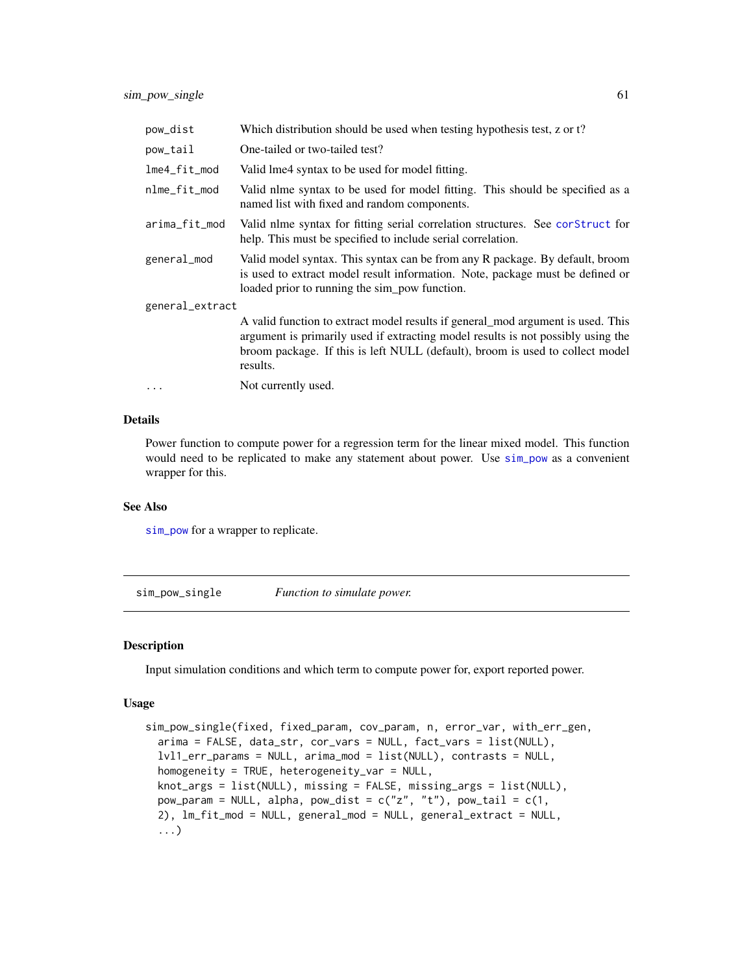| pow_dist        | Which distribution should be used when testing hypothesis test, z or t?                                                                                                                                                                                          |  |
|-----------------|------------------------------------------------------------------------------------------------------------------------------------------------------------------------------------------------------------------------------------------------------------------|--|
| pow_tail        | One-tailed or two-tailed test?                                                                                                                                                                                                                                   |  |
| $l$ me4_fit_mod | Valid lme4 syntax to be used for model fitting.                                                                                                                                                                                                                  |  |
| nlme_fit_mod    | Valid nlme syntax to be used for model fitting. This should be specified as a<br>named list with fixed and random components.                                                                                                                                    |  |
| arima_fit_mod   | Valid nlme syntax for fitting serial correlation structures. See corstruct for<br>help. This must be specified to include serial correlation.                                                                                                                    |  |
| general_mod     | Valid model syntax. This syntax can be from any R package. By default, broom<br>is used to extract model result information. Note, package must be defined or<br>loaded prior to running the sim_pow function.                                                   |  |
| general_extract |                                                                                                                                                                                                                                                                  |  |
|                 | A valid function to extract model results if general_mod argument is used. This<br>argument is primarily used if extracting model results is not possibly using the<br>broom package. If this is left NULL (default), broom is used to collect model<br>results. |  |
| $\cdots$        | Not currently used.                                                                                                                                                                                                                                              |  |

Power function to compute power for a regression term for the linear mixed model. This function would need to be replicated to make any statement about power. Use [sim\\_pow](#page-37-0) as a convenient wrapper for this.

## See Also

[sim\\_pow](#page-37-0) for a wrapper to replicate.

sim\_pow\_single *Function to simulate power.*

### Description

Input simulation conditions and which term to compute power for, export reported power.

```
sim_pow_single(fixed, fixed_param, cov_param, n, error_var, with_err_gen,
 arima = FALSE, data_str, cor_vars = NULL, fact_vars = list(NULL),
 lvl1_err_params = NULL, arima_mod = list(NULL), contrasts = NULL,
 homogeneity = TRUE, heterogeneity_var = NULL,
 knot_args = list(NULL), missing = FALSE, missing_args = list(NULL),
 pow_param = NULL, alpha, pow_dist = c("z", "t"), pow_tail = c(1,2), lm_fit_mod = NULL, general_mod = NULL, general_extract = NULL,
  ...)
```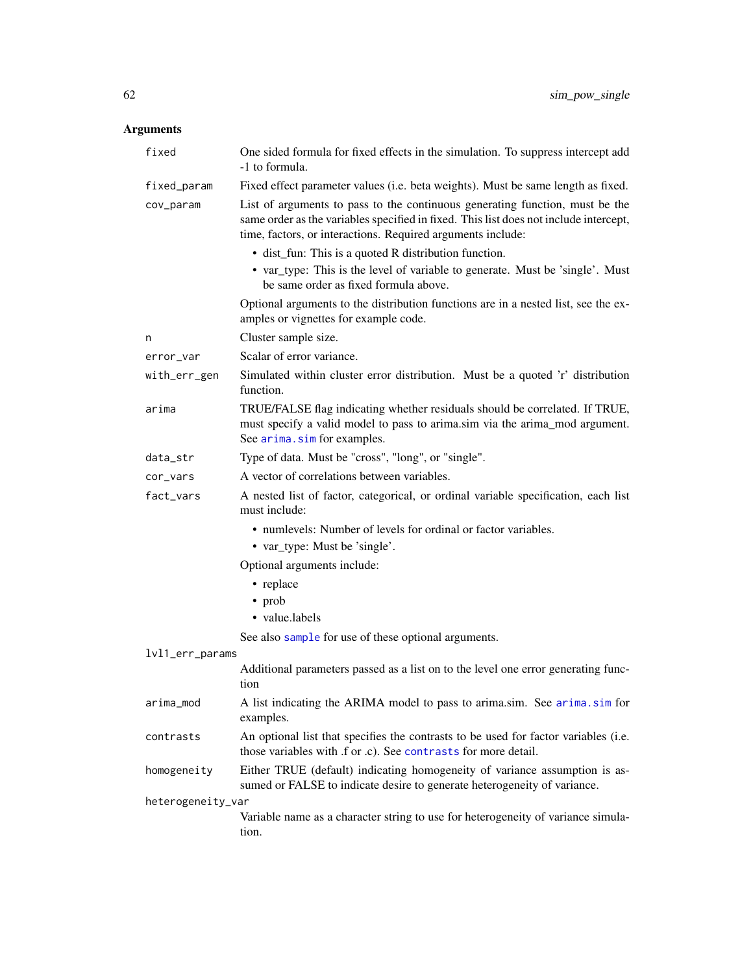| fixed             | One sided formula for fixed effects in the simulation. To suppress intercept add<br>-1 to formula.                                                                                                                                   |
|-------------------|--------------------------------------------------------------------------------------------------------------------------------------------------------------------------------------------------------------------------------------|
| fixed_param       | Fixed effect parameter values (i.e. beta weights). Must be same length as fixed.                                                                                                                                                     |
| cov_param         | List of arguments to pass to the continuous generating function, must be the<br>same order as the variables specified in fixed. This list does not include intercept,<br>time, factors, or interactions. Required arguments include: |
|                   | • dist_fun: This is a quoted R distribution function.                                                                                                                                                                                |
|                   | • var_type: This is the level of variable to generate. Must be 'single'. Must<br>be same order as fixed formula above.                                                                                                               |
|                   | Optional arguments to the distribution functions are in a nested list, see the ex-<br>amples or vignettes for example code.                                                                                                          |
| n                 | Cluster sample size.                                                                                                                                                                                                                 |
| error_var         | Scalar of error variance.                                                                                                                                                                                                            |
| with_err_gen      | Simulated within cluster error distribution. Must be a quoted 'r' distribution<br>function.                                                                                                                                          |
| arima             | TRUE/FALSE flag indicating whether residuals should be correlated. If TRUE,<br>must specify a valid model to pass to arima.sim via the arima_mod argument.<br>See arima.sim for examples.                                            |
| data_str          | Type of data. Must be "cross", "long", or "single".                                                                                                                                                                                  |
| cor_vars          | A vector of correlations between variables.                                                                                                                                                                                          |
| fact_vars         | A nested list of factor, categorical, or ordinal variable specification, each list<br>must include:                                                                                                                                  |
|                   | • numlevels: Number of levels for ordinal or factor variables.                                                                                                                                                                       |
|                   | • var_type: Must be 'single'.                                                                                                                                                                                                        |
|                   | Optional arguments include:                                                                                                                                                                                                          |
|                   | • replace                                                                                                                                                                                                                            |
|                   | $\cdot$ prob                                                                                                                                                                                                                         |
|                   | • value.labels                                                                                                                                                                                                                       |
|                   | See also sample for use of these optional arguments.                                                                                                                                                                                 |
| lvl1_err_params   |                                                                                                                                                                                                                                      |
|                   | Additional parameters passed as a list on to the level one error generating func-<br>tion                                                                                                                                            |
| arima_mod         | A list indicating the ARIMA model to pass to arima.sim. See arima.sim for<br>examples.                                                                                                                                               |
| contrasts         | An optional list that specifies the contrasts to be used for factor variables (i.e.<br>those variables with .f or .c). See contrasts for more detail.                                                                                |
| homogeneity       | Either TRUE (default) indicating homogeneity of variance assumption is as-<br>sumed or FALSE to indicate desire to generate heterogeneity of variance.                                                                               |
| heterogeneity_var |                                                                                                                                                                                                                                      |
|                   | Variable name as a character string to use for heterogeneity of variance simula-<br>tion.                                                                                                                                            |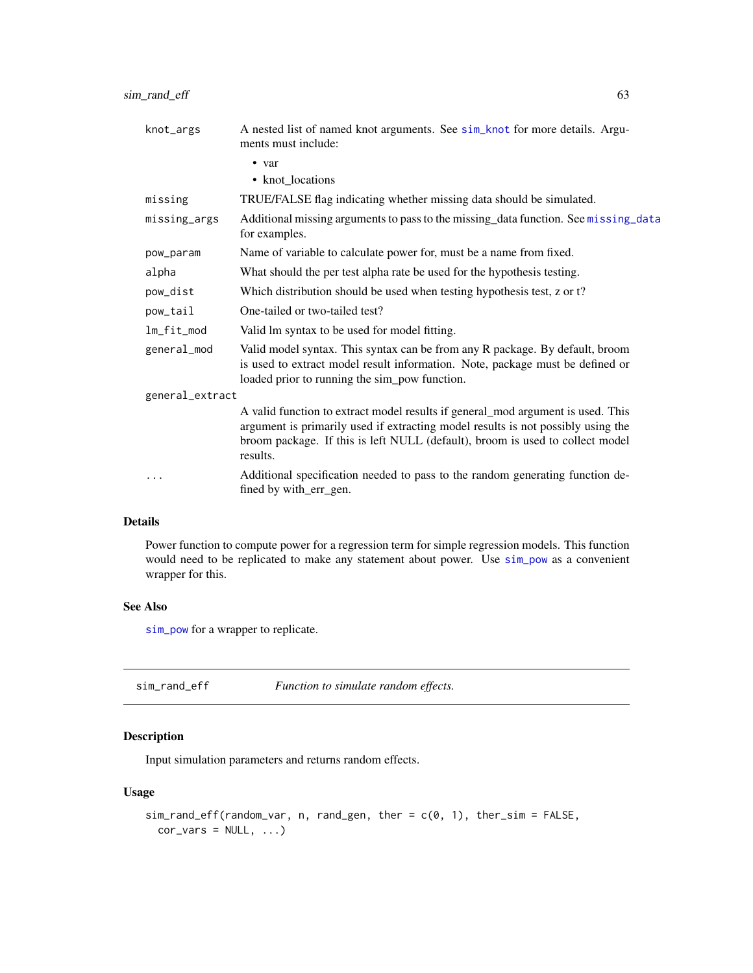| knot_args       | A nested list of named knot arguments. See sim_knot for more details. Argu-<br>ments must include:                                                                                                                                                               |
|-----------------|------------------------------------------------------------------------------------------------------------------------------------------------------------------------------------------------------------------------------------------------------------------|
|                 | • var                                                                                                                                                                                                                                                            |
|                 | • knot_locations                                                                                                                                                                                                                                                 |
| missing         | TRUE/FALSE flag indicating whether missing data should be simulated.                                                                                                                                                                                             |
| missing_args    | Additional missing arguments to pass to the missing_data function. See missing_data<br>for examples.                                                                                                                                                             |
| pow_param       | Name of variable to calculate power for, must be a name from fixed.                                                                                                                                                                                              |
| alpha           | What should the per test alpha rate be used for the hypothesis testing.                                                                                                                                                                                          |
| pow_dist        | Which distribution should be used when testing hypothesis test, z or t?                                                                                                                                                                                          |
| pow_tail        | One-tailed or two-tailed test?                                                                                                                                                                                                                                   |
| lm_fit_mod      | Valid lm syntax to be used for model fitting.                                                                                                                                                                                                                    |
| general_mod     | Valid model syntax. This syntax can be from any R package. By default, broom<br>is used to extract model result information. Note, package must be defined or<br>loaded prior to running the sim_pow function.                                                   |
| general_extract |                                                                                                                                                                                                                                                                  |
|                 | A valid function to extract model results if general_mod argument is used. This<br>argument is primarily used if extracting model results is not possibly using the<br>broom package. If this is left NULL (default), broom is used to collect model<br>results. |
| .               | Additional specification needed to pass to the random generating function de-<br>fined by with_err_gen.                                                                                                                                                          |
|                 |                                                                                                                                                                                                                                                                  |

Power function to compute power for a regression term for simple regression models. This function would need to be replicated to make any statement about power. Use [sim\\_pow](#page-37-0) as a convenient wrapper for this.

## See Also

[sim\\_pow](#page-37-0) for a wrapper to replicate.

<span id="page-62-0"></span>sim\_rand\_eff *Function to simulate random effects.*

## Description

Input simulation parameters and returns random effects.

```
sim\_rand\_eff(random\_var, n, rand\_gen, ther = c(0, 1), ther\_sim = FALSE,cor\_vars = NULL, ...
```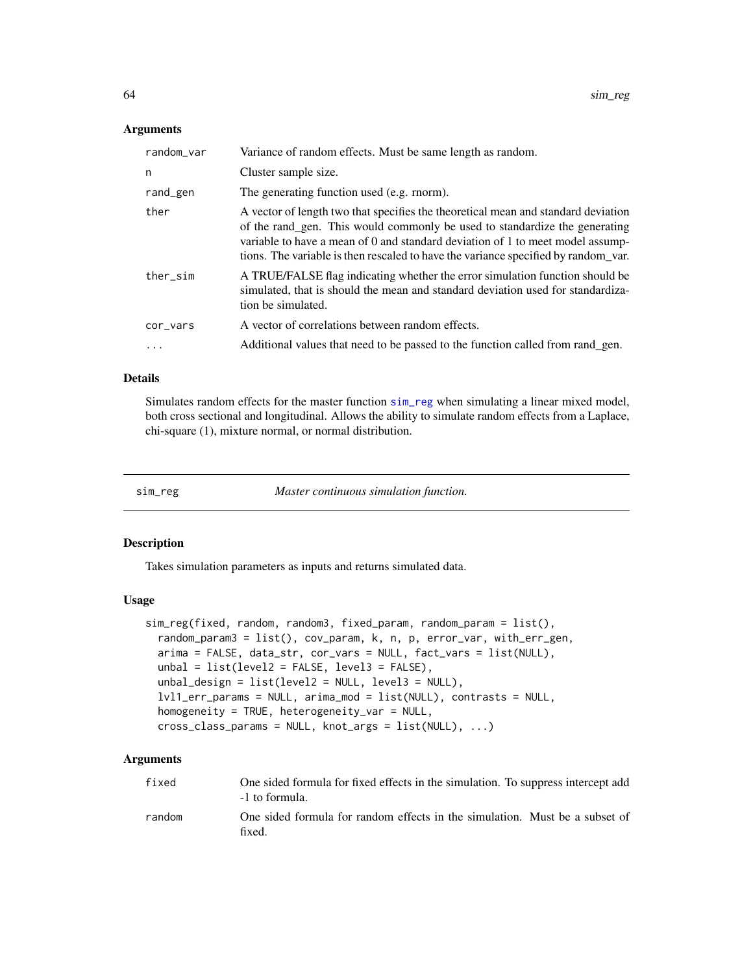| random_var | Variance of random effects. Must be same length as random.                                                                                                                                                                                                                                                                              |
|------------|-----------------------------------------------------------------------------------------------------------------------------------------------------------------------------------------------------------------------------------------------------------------------------------------------------------------------------------------|
| n          | Cluster sample size.                                                                                                                                                                                                                                                                                                                    |
| rand_gen   | The generating function used (e.g. rnorm).                                                                                                                                                                                                                                                                                              |
| ther       | A vector of length two that specifies the theoretical mean and standard deviation<br>of the rand_gen. This would commonly be used to standardize the generating<br>variable to have a mean of 0 and standard deviation of 1 to meet model assump-<br>tions. The variable is then rescaled to have the variance specified by random var. |
| ther_sim   | A TRUE/FALSE flag indicating whether the error simulation function should be<br>simulated, that is should the mean and standard deviation used for standardiza-<br>tion be simulated.                                                                                                                                                   |
| cor_vars   | A vector of correlations between random effects.                                                                                                                                                                                                                                                                                        |
|            | Additional values that need to be passed to the function called from rand_gen.                                                                                                                                                                                                                                                          |

## Details

Simulates random effects for the master function [sim\\_reg](#page-63-0) when simulating a linear mixed model, both cross sectional and longitudinal. Allows the ability to simulate random effects from a Laplace, chi-square (1), mixture normal, or normal distribution.

<span id="page-63-0"></span>

| sım reg |  |
|---------|--|

Master continuous simulation function.

#### Description

Takes simulation parameters as inputs and returns simulated data.

### Usage

```
sim_reg(fixed, random, random3, fixed_param, random_param = list(),
 random_param3 = list(), cov_param, k, n, p, error_var, with_err_gen,
 arima = FALSE, data_str, cor_vars = NULL, fact_vars = list(NULL),
 unbal = list(level2 = FALSE, level3 = FALSE),
  unbal_design = list(level2 = NULL, level3 = NULL),
  lvl1_err_params = NULL, arima_mod = list(NULL), contrasts = NULL,
 homogeneity = TRUE, heterogeneity_var = NULL,
 cross_class_params = NULL, knot_args = list(NULL), ...)
```

| fixed  | One sided formula for fixed effects in the simulation. To suppress intercept add<br>-1 to formula. |
|--------|----------------------------------------------------------------------------------------------------|
| random | One sided formula for random effects in the simulation. Must be a subset of<br>fixed.              |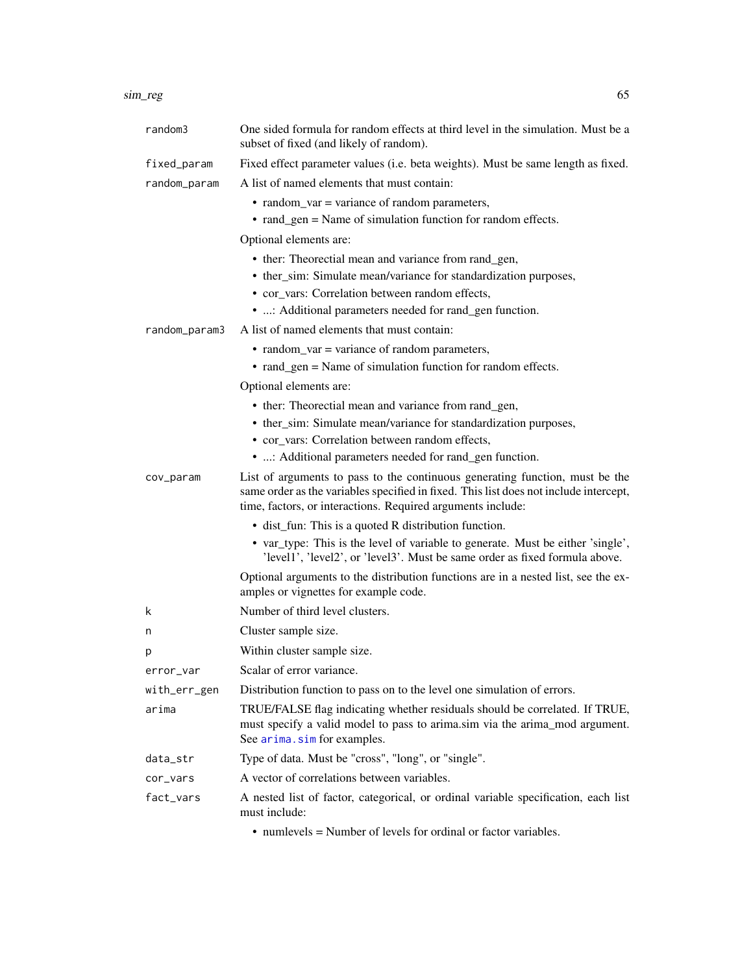### sim\_reg 65

| random3       | One sided formula for random effects at third level in the simulation. Must be a<br>subset of fixed (and likely of random).                                                                                                          |
|---------------|--------------------------------------------------------------------------------------------------------------------------------------------------------------------------------------------------------------------------------------|
| fixed_param   | Fixed effect parameter values (i.e. beta weights). Must be same length as fixed.                                                                                                                                                     |
| random_param  | A list of named elements that must contain:                                                                                                                                                                                          |
|               | • random_var = variance of random parameters,                                                                                                                                                                                        |
|               | • rand_gen = Name of simulation function for random effects.                                                                                                                                                                         |
|               | Optional elements are:                                                                                                                                                                                                               |
|               | • ther: Theorectial mean and variance from rand_gen,                                                                                                                                                                                 |
|               | • ther_sim: Simulate mean/variance for standardization purposes,                                                                                                                                                                     |
|               | • cor vars: Correlation between random effects,                                                                                                                                                                                      |
|               | • : Additional parameters needed for rand_gen function.                                                                                                                                                                              |
| random_param3 | A list of named elements that must contain:                                                                                                                                                                                          |
|               | • random_var = variance of random parameters,                                                                                                                                                                                        |
|               | • rand_gen = Name of simulation function for random effects.                                                                                                                                                                         |
|               | Optional elements are:                                                                                                                                                                                                               |
|               | • ther: Theorectial mean and variance from rand_gen,                                                                                                                                                                                 |
|               | • ther_sim: Simulate mean/variance for standardization purposes,                                                                                                                                                                     |
|               | • cor_vars: Correlation between random effects,                                                                                                                                                                                      |
|               | • : Additional parameters needed for rand_gen function.                                                                                                                                                                              |
| cov_param     | List of arguments to pass to the continuous generating function, must be the<br>same order as the variables specified in fixed. This list does not include intercept,<br>time, factors, or interactions. Required arguments include: |
|               | • dist_fun: This is a quoted R distribution function.                                                                                                                                                                                |
|               | • var_type: This is the level of variable to generate. Must be either 'single',<br>'level1', 'level2', or 'level3'. Must be same order as fixed formula above.                                                                       |
|               | Optional arguments to the distribution functions are in a nested list, see the ex-<br>amples or vignettes for example code.                                                                                                          |
| k             | Number of third level clusters.                                                                                                                                                                                                      |
| n             | Cluster sample size.                                                                                                                                                                                                                 |
| p             | Within cluster sample size.                                                                                                                                                                                                          |
| error_var     | Scalar of error variance.                                                                                                                                                                                                            |
| with_err_gen  | Distribution function to pass on to the level one simulation of errors.                                                                                                                                                              |
| arima         | TRUE/FALSE flag indicating whether residuals should be correlated. If TRUE,<br>must specify a valid model to pass to arima.sim via the arima_mod argument.<br>See arima.sim for examples.                                            |
| data_str      | Type of data. Must be "cross", "long", or "single".                                                                                                                                                                                  |
| cor_vars      | A vector of correlations between variables.                                                                                                                                                                                          |
| fact_vars     | A nested list of factor, categorical, or ordinal variable specification, each list<br>must include:                                                                                                                                  |
|               |                                                                                                                                                                                                                                      |

• numlevels = Number of levels for ordinal or factor variables.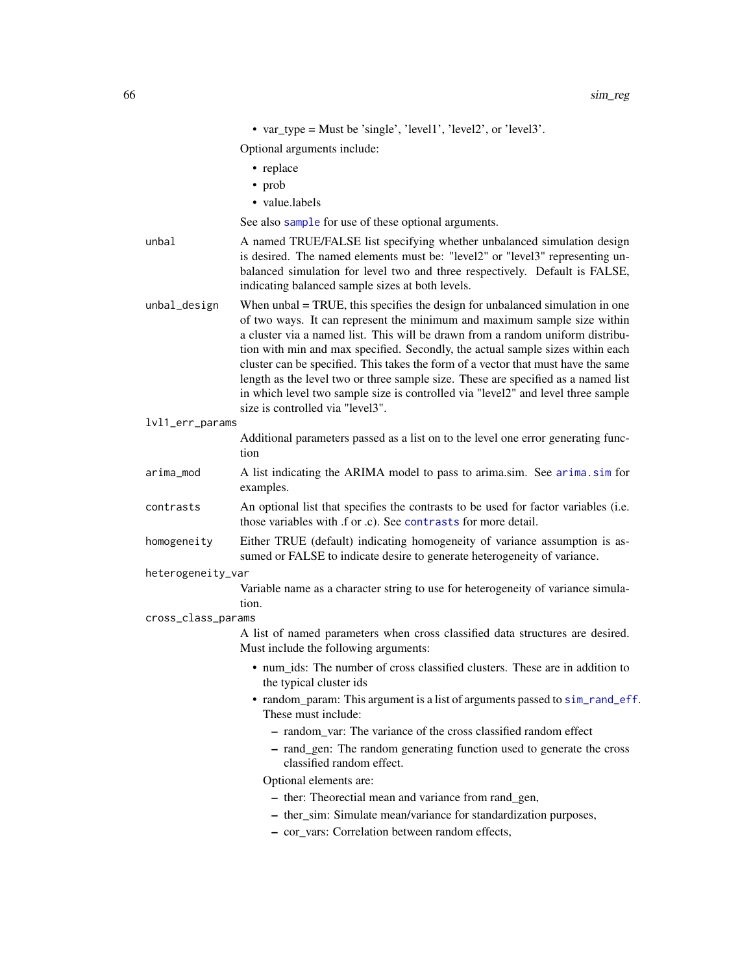|                    | • var_type = Must be 'single', 'level1', 'level2', or 'level3'.                                                                                                                                                                                                                                                                                                                                                                                                                                                                                                                                                                    |
|--------------------|------------------------------------------------------------------------------------------------------------------------------------------------------------------------------------------------------------------------------------------------------------------------------------------------------------------------------------------------------------------------------------------------------------------------------------------------------------------------------------------------------------------------------------------------------------------------------------------------------------------------------------|
|                    | Optional arguments include:                                                                                                                                                                                                                                                                                                                                                                                                                                                                                                                                                                                                        |
|                    | • replace                                                                                                                                                                                                                                                                                                                                                                                                                                                                                                                                                                                                                          |
|                    | • prob                                                                                                                                                                                                                                                                                                                                                                                                                                                                                                                                                                                                                             |
|                    | · value.labels                                                                                                                                                                                                                                                                                                                                                                                                                                                                                                                                                                                                                     |
|                    | See also sample for use of these optional arguments.                                                                                                                                                                                                                                                                                                                                                                                                                                                                                                                                                                               |
| unbal              | A named TRUE/FALSE list specifying whether unbalanced simulation design<br>is desired. The named elements must be: "level2" or "level3" representing un-<br>balanced simulation for level two and three respectively. Default is FALSE,<br>indicating balanced sample sizes at both levels.                                                                                                                                                                                                                                                                                                                                        |
| unbal_design       | When $unbal = TRUE$ , this specifies the design for unbalanced simulation in one<br>of two ways. It can represent the minimum and maximum sample size within<br>a cluster via a named list. This will be drawn from a random uniform distribu-<br>tion with min and max specified. Secondly, the actual sample sizes within each<br>cluster can be specified. This takes the form of a vector that must have the same<br>length as the level two or three sample size. These are specified as a named list<br>in which level two sample size is controlled via "level2" and level three sample<br>size is controlled via "level3". |
| lvl1_err_params    |                                                                                                                                                                                                                                                                                                                                                                                                                                                                                                                                                                                                                                    |
|                    | Additional parameters passed as a list on to the level one error generating func-<br>tion                                                                                                                                                                                                                                                                                                                                                                                                                                                                                                                                          |
| arima_mod          | A list indicating the ARIMA model to pass to arima.sim. See arima.sim for<br>examples.                                                                                                                                                                                                                                                                                                                                                                                                                                                                                                                                             |
| contrasts          | An optional list that specifies the contrasts to be used for factor variables (i.e.<br>those variables with .f or .c). See contrasts for more detail.                                                                                                                                                                                                                                                                                                                                                                                                                                                                              |
| homogeneity        | Either TRUE (default) indicating homogeneity of variance assumption is as-<br>sumed or FALSE to indicate desire to generate heterogeneity of variance.                                                                                                                                                                                                                                                                                                                                                                                                                                                                             |
| heterogeneity_var  |                                                                                                                                                                                                                                                                                                                                                                                                                                                                                                                                                                                                                                    |
|                    | Variable name as a character string to use for heterogeneity of variance simula-<br>tion.                                                                                                                                                                                                                                                                                                                                                                                                                                                                                                                                          |
| cross_class_params |                                                                                                                                                                                                                                                                                                                                                                                                                                                                                                                                                                                                                                    |
|                    | A list of named parameters when cross classified data structures are desired.<br>Must include the following arguments:                                                                                                                                                                                                                                                                                                                                                                                                                                                                                                             |
|                    | • num_ids: The number of cross classified clusters. These are in addition to<br>the typical cluster ids                                                                                                                                                                                                                                                                                                                                                                                                                                                                                                                            |
|                    | • random_param: This argument is a list of arguments passed to sim_rand_eff.<br>These must include:                                                                                                                                                                                                                                                                                                                                                                                                                                                                                                                                |
|                    | - random_var: The variance of the cross classified random effect                                                                                                                                                                                                                                                                                                                                                                                                                                                                                                                                                                   |
|                    | - rand_gen: The random generating function used to generate the cross<br>classified random effect.                                                                                                                                                                                                                                                                                                                                                                                                                                                                                                                                 |
|                    | Optional elements are:                                                                                                                                                                                                                                                                                                                                                                                                                                                                                                                                                                                                             |
|                    | - ther: Theorectial mean and variance from rand_gen,                                                                                                                                                                                                                                                                                                                                                                                                                                                                                                                                                                               |
|                    | - ther_sim: Simulate mean/variance for standardization purposes,<br>- cor_vars: Correlation between random effects,                                                                                                                                                                                                                                                                                                                                                                                                                                                                                                                |
|                    |                                                                                                                                                                                                                                                                                                                                                                                                                                                                                                                                                                                                                                    |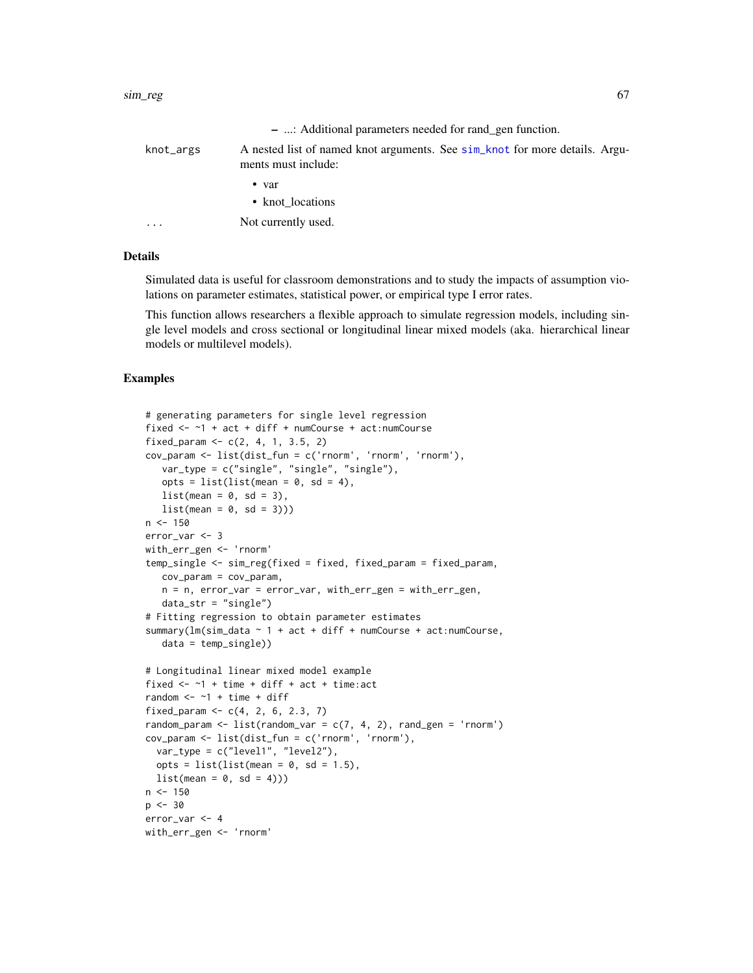|           | - : Additional parameters needed for rand gen function.                                            |
|-----------|----------------------------------------------------------------------------------------------------|
| knot_args | A nested list of named knot arguments. See sim_knot for more details. Argu-<br>ments must include: |
|           | $\bullet$ var                                                                                      |
|           | • knot locations                                                                                   |
| $\cdots$  | Not currently used.                                                                                |

Simulated data is useful for classroom demonstrations and to study the impacts of assumption violations on parameter estimates, statistical power, or empirical type I error rates.

This function allows researchers a flexible approach to simulate regression models, including single level models and cross sectional or longitudinal linear mixed models (aka. hierarchical linear models or multilevel models).

### Examples

```
# generating parameters for single level regression
fixed <- ~1 + act + diff + numCourse + act:numCourse
fixed_param <- c(2, 4, 1, 3.5, 2)cov_param <- list(dist_fun = c('rnorm', 'rnorm', 'rnorm'),
  var_type = c("single", "single", "single"),
   opts = list(list(mean = 0, sd = 4),list(\text{mean} = 0, \text{ sd} = 3),list(\text{mean} = 0, \text{ sd} = 3)))n < -150error_var <- 3
with_err_gen <- 'rnorm'
temp_single <- sim_reg(fixed = fixed, fixed_param = fixed_param,
   cov_param = cov_param,
   n = n, error_var = error_var, with_err_gen = with_err_gen,
   data\_str = "single")# Fitting regression to obtain parameter estimates
summary(lm(sim_data ~ 1 + act + diff + numCourse + act:numCourse,
   data = temp_single))
# Longitudinal linear mixed model example
fixed <- ~1 + time + diff + act + time:act
random <-1 + time + diff
fixed_param <- c(4, 2, 6, 2.3, 7)
random_param <- list(random_var = c(7, 4, 2), rand_gen = 'rnorm')
cov_param <- list(dist_fun = c('rnorm', 'rnorm'),
  var_type = c("level1", "level2"),
  opts = list(list(mean = 0, sd = 1.5),list(\text{mean} = 0, \text{ sd} = 4)))n < -150p <- 30
error_var <- 4
with_err_gen <- 'rnorm'
```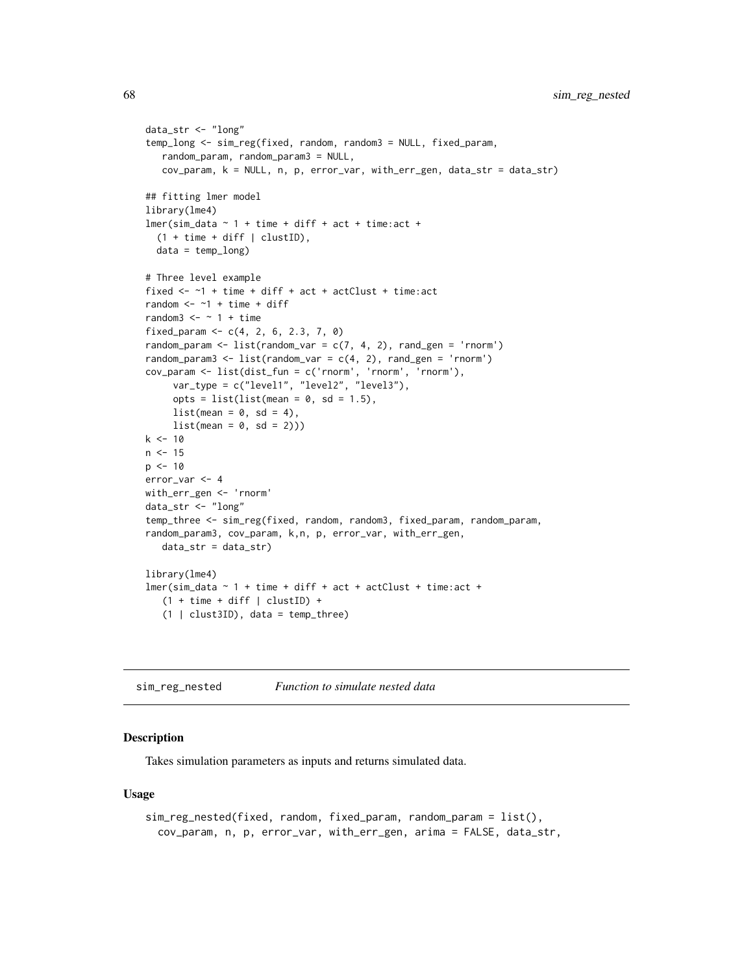```
data_str <- "long"
temp_long <- sim_reg(fixed, random, random3 = NULL, fixed_param,
   random_param, random_param3 = NULL,
   cov_param, k = NULL, n, p, error_var, with_err_gen, data_str = data_str)
## fitting lmer model
library(lme4)
lmer(sim_data ~ 1 + time + diff + act + time:act +(1 + time + diff | clusterID),data = temp_long)
# Three level example
fixed <- ~1 + time + diff + act + actClust + time:act
random <-1 + time + diff
random3 \le - \sim 1 + \text{time}fixed_param <- c(4, 2, 6, 2.3, 7, 0)
random_param <- list(random_var = c(7, 4, 2), rand_gen = 'rnorm')
random_param3 <- list(random_var = c(4, 2), rand_gen = 'rnorm')
cov_param <- list(dist_fun = c('rnorm', 'rnorm', 'rnorm'),
     var_type = c("level1", "level2", "level3"),
     opts = list(list(mean = 0, sd = 1.5),
     list(\text{mean} = 0, \text{ sd} = 4),list(\text{mean} = 0, \text{ sd} = 2)))k < -10n < -15p \le -10error_var <- 4
with_err_gen <- 'rnorm'
data_str <- "long"
temp_three <- sim_reg(fixed, random, random3, fixed_param, random_param,
random_param3, cov_param, k,n, p, error_var, with_err_gen,
   data_str = data_str)
library(lme4)
lmer(sim_data ~ 1 + time + diff + act + actClust + time:act +(1 + time + diff | clusterID) +(1 | clust3ID), data = temp_three)
```
sim\_reg\_nested *Function to simulate nested data*

## **Description**

Takes simulation parameters as inputs and returns simulated data.

```
sim_reg_nested(fixed, random, fixed_param, random_param = list(),
 cov_param, n, p, error_var, with_err_gen, arima = FALSE, data_str,
```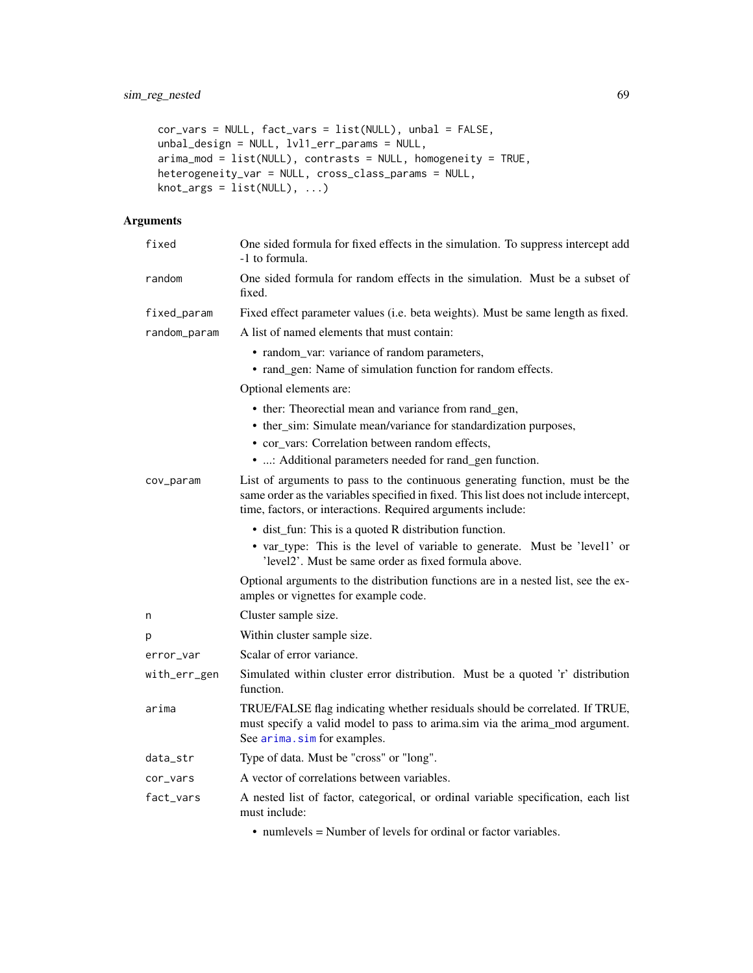```
cor_vars = NULL, fact_vars = list(NULL), unbal = FALSE,
unbal_design = NULL, lvl1_err_params = NULL,
arima_mod = list(NULL), contrasts = NULL, homogeneity = TRUE,
heterogeneity_var = NULL, cross_class_params = NULL,
knot_{args} = list(NULL), ...)
```

| fixed        | One sided formula for fixed effects in the simulation. To suppress intercept add<br>-1 to formula.                                                                                                                                     |
|--------------|----------------------------------------------------------------------------------------------------------------------------------------------------------------------------------------------------------------------------------------|
| random       | One sided formula for random effects in the simulation. Must be a subset of<br>fixed.                                                                                                                                                  |
| fixed_param  | Fixed effect parameter values (i.e. beta weights). Must be same length as fixed.                                                                                                                                                       |
| random_param | A list of named elements that must contain:                                                                                                                                                                                            |
|              | • random_var: variance of random parameters,<br>• rand_gen: Name of simulation function for random effects.                                                                                                                            |
|              | Optional elements are:                                                                                                                                                                                                                 |
|              | • ther: Theorectial mean and variance from rand_gen,<br>• ther_sim: Simulate mean/variance for standardization purposes,<br>• cor_vars: Correlation between random effects,<br>• : Additional parameters needed for rand_gen function. |
| cov_param    | List of arguments to pass to the continuous generating function, must be the<br>same order as the variables specified in fixed. This list does not include intercept,<br>time, factors, or interactions. Required arguments include:   |
|              | • dist_fun: This is a quoted R distribution function.<br>• var_type: This is the level of variable to generate. Must be 'level1' or<br>'level2'. Must be same order as fixed formula above.                                            |
|              | Optional arguments to the distribution functions are in a nested list, see the ex-<br>amples or vignettes for example code.                                                                                                            |
| n            | Cluster sample size.                                                                                                                                                                                                                   |
| р            | Within cluster sample size.                                                                                                                                                                                                            |
| error_var    | Scalar of error variance.                                                                                                                                                                                                              |
| with_err_gen | Simulated within cluster error distribution. Must be a quoted 'r' distribution<br>function.                                                                                                                                            |
| arima        | TRUE/FALSE flag indicating whether residuals should be correlated. If TRUE,<br>must specify a valid model to pass to arima.sim via the arima_mod argument.<br>See arima.sim for examples.                                              |
| data_str     | Type of data. Must be "cross" or "long".                                                                                                                                                                                               |
| cor_vars     | A vector of correlations between variables.                                                                                                                                                                                            |
| fact_vars    | A nested list of factor, categorical, or ordinal variable specification, each list<br>must include:                                                                                                                                    |
|              | • numlevels = Number of levels for ordinal or factor variables.                                                                                                                                                                        |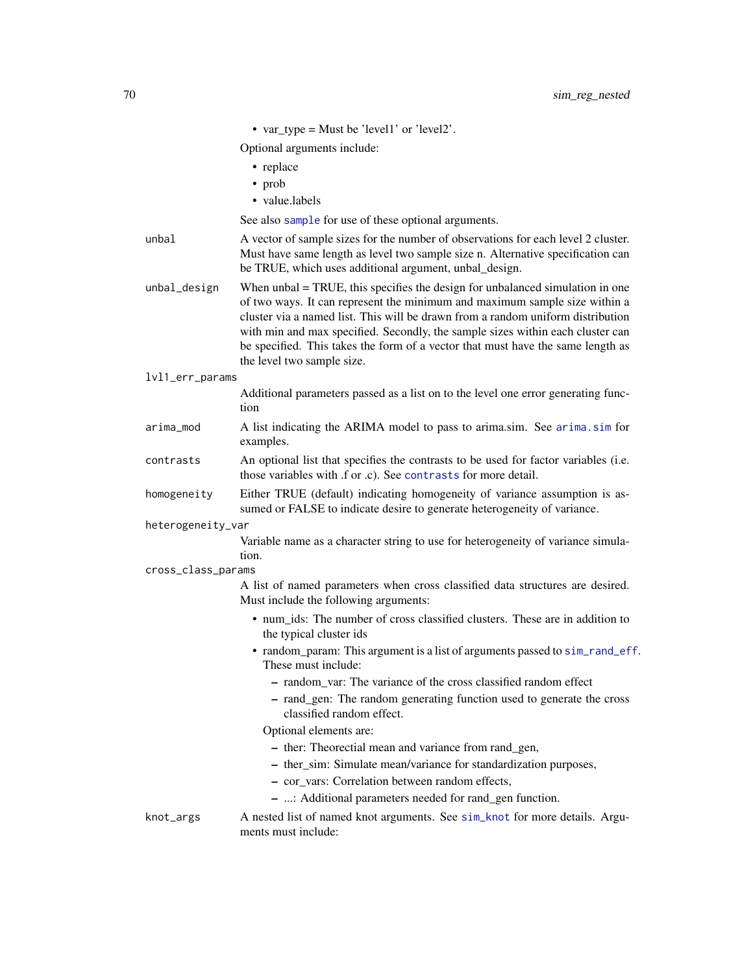|                    | • var_type = Must be 'level1' or 'level2'.                                                                                                                                                                                                                                                                                                                                                                                                           |
|--------------------|------------------------------------------------------------------------------------------------------------------------------------------------------------------------------------------------------------------------------------------------------------------------------------------------------------------------------------------------------------------------------------------------------------------------------------------------------|
|                    | Optional arguments include:                                                                                                                                                                                                                                                                                                                                                                                                                          |
|                    | • replace                                                                                                                                                                                                                                                                                                                                                                                                                                            |
|                    | • prob                                                                                                                                                                                                                                                                                                                                                                                                                                               |
|                    | • value.labels                                                                                                                                                                                                                                                                                                                                                                                                                                       |
|                    | See also sample for use of these optional arguments.                                                                                                                                                                                                                                                                                                                                                                                                 |
| unbal              | A vector of sample sizes for the number of observations for each level 2 cluster.<br>Must have same length as level two sample size n. Alternative specification can<br>be TRUE, which uses additional argument, unbal_design.                                                                                                                                                                                                                       |
| unbal_design       | When $unbal = TRUE$ , this specifies the design for unbalanced simulation in one<br>of two ways. It can represent the minimum and maximum sample size within a<br>cluster via a named list. This will be drawn from a random uniform distribution<br>with min and max specified. Secondly, the sample sizes within each cluster can<br>be specified. This takes the form of a vector that must have the same length as<br>the level two sample size. |
| lvl1_err_params    |                                                                                                                                                                                                                                                                                                                                                                                                                                                      |
|                    | Additional parameters passed as a list on to the level one error generating func-<br>tion                                                                                                                                                                                                                                                                                                                                                            |
| arima_mod          | A list indicating the ARIMA model to pass to arima.sim. See arima.sim for<br>examples.                                                                                                                                                                                                                                                                                                                                                               |
| contrasts          | An optional list that specifies the contrasts to be used for factor variables (i.e.<br>those variables with .f or .c). See contrasts for more detail.                                                                                                                                                                                                                                                                                                |
| homogeneity        | Either TRUE (default) indicating homogeneity of variance assumption is as-<br>sumed or FALSE to indicate desire to generate heterogeneity of variance.                                                                                                                                                                                                                                                                                               |
| heterogeneity_var  |                                                                                                                                                                                                                                                                                                                                                                                                                                                      |
|                    | Variable name as a character string to use for heterogeneity of variance simula-<br>tion.                                                                                                                                                                                                                                                                                                                                                            |
| cross_class_params |                                                                                                                                                                                                                                                                                                                                                                                                                                                      |
|                    | A list of named parameters when cross classified data structures are desired.<br>Must include the following arguments:                                                                                                                                                                                                                                                                                                                               |
|                    | • num_ids: The number of cross classified clusters. These are in addition to<br>the typical cluster ids                                                                                                                                                                                                                                                                                                                                              |
|                    | • random_param: This argument is a list of arguments passed to sim_rand_eff.<br>These must include:                                                                                                                                                                                                                                                                                                                                                  |
|                    | - random_var: The variance of the cross classified random effect                                                                                                                                                                                                                                                                                                                                                                                     |
|                    | - rand_gen: The random generating function used to generate the cross<br>classified random effect.                                                                                                                                                                                                                                                                                                                                                   |
|                    | Optional elements are:                                                                                                                                                                                                                                                                                                                                                                                                                               |
|                    | - ther: Theorectial mean and variance from rand_gen,                                                                                                                                                                                                                                                                                                                                                                                                 |
|                    | - ther_sim: Simulate mean/variance for standardization purposes,                                                                                                                                                                                                                                                                                                                                                                                     |
|                    | - cor_vars: Correlation between random effects,                                                                                                                                                                                                                                                                                                                                                                                                      |
|                    | - : Additional parameters needed for rand_gen function.                                                                                                                                                                                                                                                                                                                                                                                              |
| knot_args          | A nested list of named knot arguments. See sim_knot for more details. Argu-<br>ments must include:                                                                                                                                                                                                                                                                                                                                                   |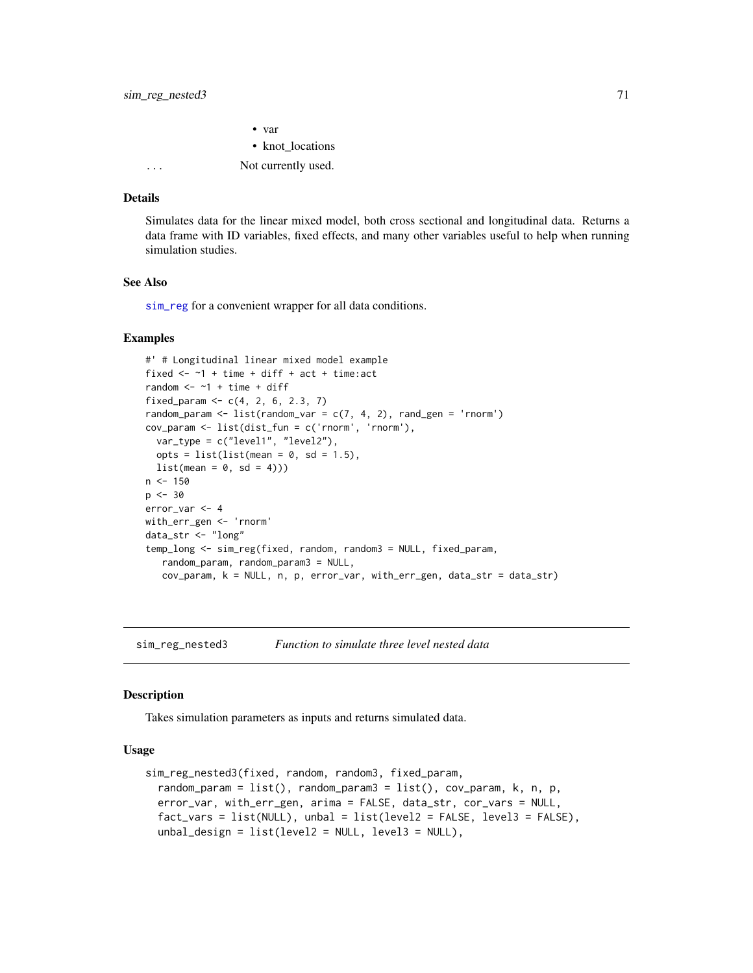• var • knot locations ... Not currently used.

### Details

Simulates data for the linear mixed model, both cross sectional and longitudinal data. Returns a data frame with ID variables, fixed effects, and many other variables useful to help when running simulation studies.

## See Also

[sim\\_reg](#page-63-0) for a convenient wrapper for all data conditions.

### Examples

```
#' # Longitudinal linear mixed model example
fixed \leq -1 + time + diff + act + time: act
random <-1 + time + diff
fixed_param <- c(4, 2, 6, 2.3, 7)random_param <- list(random_var = c(7, 4, 2), rand_gen = 'rnorm')
cov_param <- list(dist_fun = c('rnorm', 'rnorm'),
  var_type = c("level1", "level2"),
  opts = list(list(mean = 0, sd = 1.5),
  list(\text{mean} = 0, \text{ sd} = 4)))n < - 150p \le -30error_var <- 4
with_err_gen <- 'rnorm'
data_str <- "long"
temp_long <- sim_reg(fixed, random, random3 = NULL, fixed_param,
   random_param, random_param3 = NULL,
   cov_param, k = NULL, n, p, error_var, with_err_gen, data_str = data_str)
```
sim\_reg\_nested3 *Function to simulate three level nested data*

### **Description**

Takes simulation parameters as inputs and returns simulated data.

```
sim_reg_nested3(fixed, random, random3, fixed_param,
  random_param = list(), random_param3 = list(), cov_param, k, n, p,
  error_var, with_err_gen, arima = FALSE, data_str, cor_vars = NULL,
  fact_vars = list(NULL), unbal = list(level2 = FALSE, level3 = FALSE),
 unbal_design = list(level2 = NULL, level3 = NULL),
```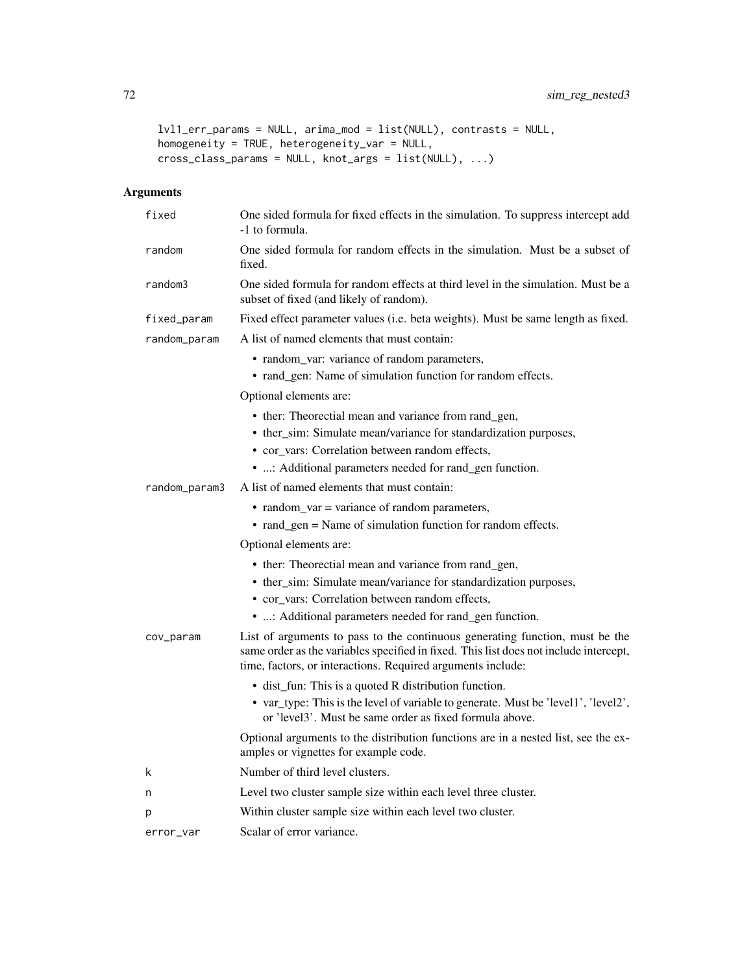```
lvl1_err_params = NULL, arima_mod = list(NULL), contrasts = NULL,
homogeneity = TRUE, heterogeneity_var = NULL,
cross_class_params = NULL, knot_args = list(NULL), ...)
```

| fixed         | One sided formula for fixed effects in the simulation. To suppress intercept add<br>-1 to formula.                                                                                                                                   |
|---------------|--------------------------------------------------------------------------------------------------------------------------------------------------------------------------------------------------------------------------------------|
| random        | One sided formula for random effects in the simulation. Must be a subset of<br>fixed.                                                                                                                                                |
| random3       | One sided formula for random effects at third level in the simulation. Must be a<br>subset of fixed (and likely of random).                                                                                                          |
| fixed_param   | Fixed effect parameter values (i.e. beta weights). Must be same length as fixed.                                                                                                                                                     |
| random_param  | A list of named elements that must contain:                                                                                                                                                                                          |
|               | • random_var: variance of random parameters,                                                                                                                                                                                         |
|               | • rand_gen: Name of simulation function for random effects.                                                                                                                                                                          |
|               | Optional elements are:                                                                                                                                                                                                               |
|               | • ther: Theorectial mean and variance from rand_gen,                                                                                                                                                                                 |
|               | • ther_sim: Simulate mean/variance for standardization purposes,                                                                                                                                                                     |
|               | • cor_vars: Correlation between random effects,                                                                                                                                                                                      |
|               | • : Additional parameters needed for rand_gen function.                                                                                                                                                                              |
| random_param3 | A list of named elements that must contain:                                                                                                                                                                                          |
|               | • random_var = variance of random parameters,                                                                                                                                                                                        |
|               | • rand_gen = Name of simulation function for random effects.                                                                                                                                                                         |
|               | Optional elements are:                                                                                                                                                                                                               |
|               | • ther: Theorectial mean and variance from rand_gen,                                                                                                                                                                                 |
|               | • ther_sim: Simulate mean/variance for standardization purposes,                                                                                                                                                                     |
|               | • cor_vars: Correlation between random effects,                                                                                                                                                                                      |
|               | • : Additional parameters needed for rand_gen function.                                                                                                                                                                              |
| cov_param     | List of arguments to pass to the continuous generating function, must be the<br>same order as the variables specified in fixed. This list does not include intercept,<br>time, factors, or interactions. Required arguments include: |
|               | • dist_fun: This is a quoted R distribution function.                                                                                                                                                                                |
|               | • var_type: This is the level of variable to generate. Must be 'level1', 'level2',<br>or 'level3'. Must be same order as fixed formula above.                                                                                        |
|               | Optional arguments to the distribution functions are in a nested list, see the ex-<br>amples or vignettes for example code.                                                                                                          |
| k             | Number of third level clusters.                                                                                                                                                                                                      |
| n             | Level two cluster sample size within each level three cluster.                                                                                                                                                                       |
| р             | Within cluster sample size within each level two cluster.                                                                                                                                                                            |
| error_var     | Scalar of error variance.                                                                                                                                                                                                            |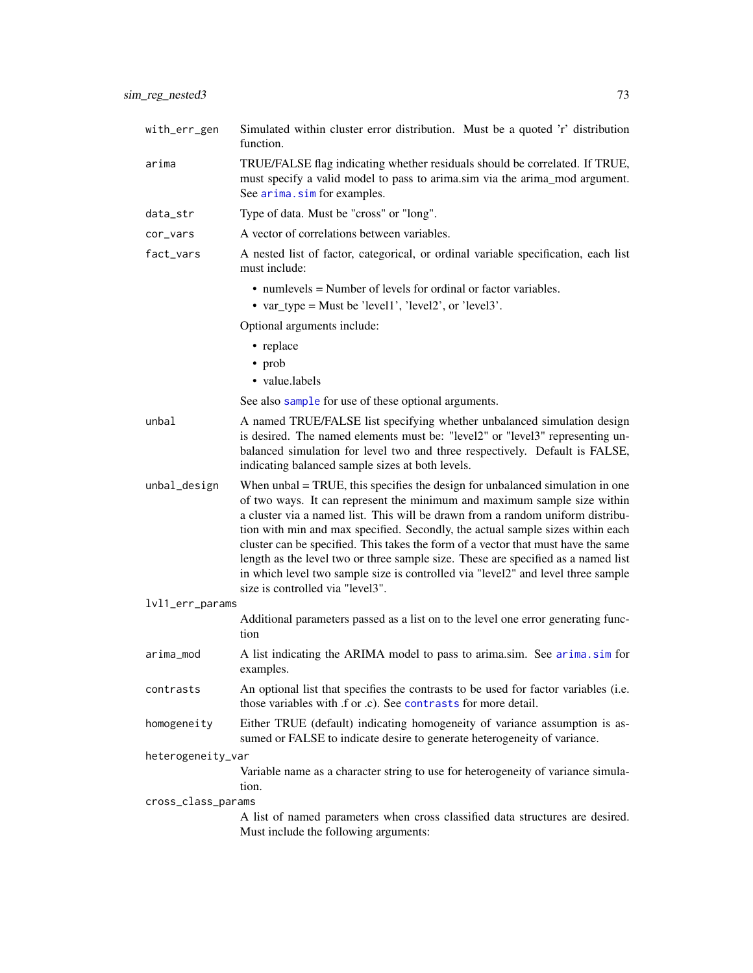<span id="page-72-0"></span>arima TRUE/FALSE flag indicating whether residuals should be correlated. If TRUE, must specify a valid model to pass to arima.sim via the arima mod argument. See [arima.sim](#page-0-0) for examples.

data\_str Type of data. Must be "cross" or "long".

function.

- cor\_vars A vector of correlations between variables.
- fact\_vars A nested list of factor, categorical, or ordinal variable specification, each list must include:
	- numlevels = Number of levels for ordinal or factor variables.
	- var\_type = Must be 'level1', 'level2', or 'level3'.

Optional arguments include:

- replace
- prob
- value.labels

See also [sample](#page-0-0) for use of these optional arguments.

- unbal A named TRUE/FALSE list specifying whether unbalanced simulation design is desired. The named elements must be: "level2" or "level3" representing unbalanced simulation for level two and three respectively. Default is FALSE, indicating balanced sample sizes at both levels.
- unbal\_design When unbal = TRUE, this specifies the design for unbalanced simulation in one of two ways. It can represent the minimum and maximum sample size within a cluster via a named list. This will be drawn from a random uniform distribution with min and max specified. Secondly, the actual sample sizes within each cluster can be specified. This takes the form of a vector that must have the same length as the level two or three sample size. These are specified as a named list in which level two sample size is controlled via "level2" and level three sample size is controlled via "level3".

#### lvl1\_err\_params

Additional parameters passed as a list on to the level one error generating function

- arima\_mod A list indicating the ARIMA model to pass to arima.sim. See [arima.sim](#page-0-0) for examples.
- contrasts An optional list that specifies the contrasts to be used for factor variables (i.e. those variables with .f or .c). See [contrasts](#page-0-0) for more detail.
- homogeneity Either TRUE (default) indicating homogeneity of variance assumption is assumed or FALSE to indicate desire to generate heterogeneity of variance.

# heterogeneity\_var

Variable name as a character string to use for heterogeneity of variance simulation.

#### cross\_class\_params

A list of named parameters when cross classified data structures are desired. Must include the following arguments: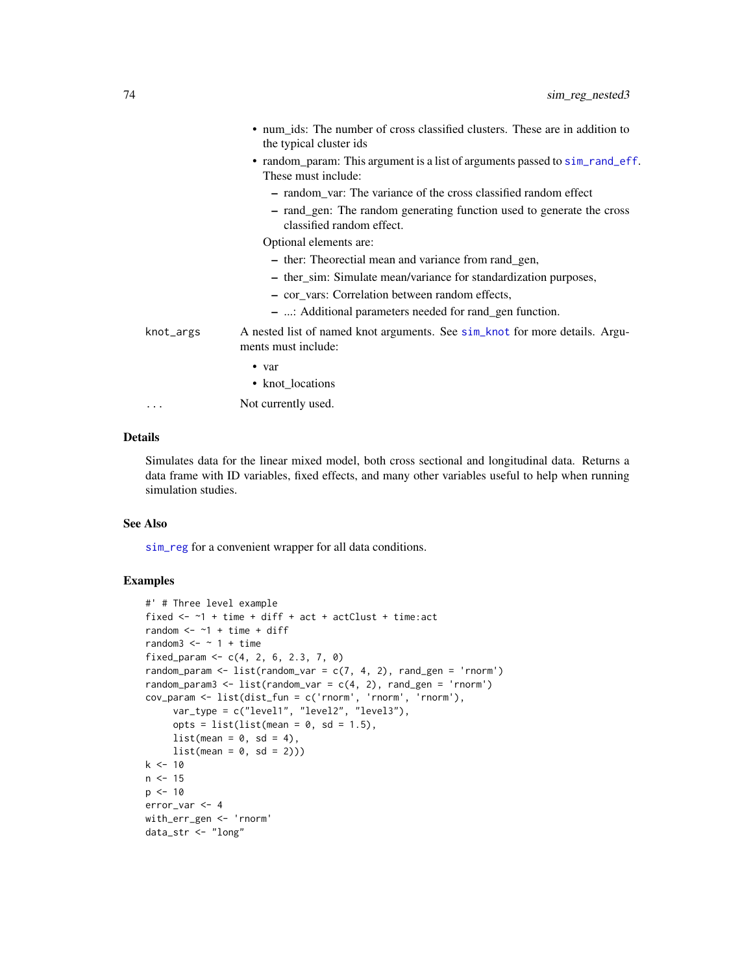<span id="page-73-0"></span>

|           | • num_ids: The number of cross classified clusters. These are in addition to<br>the typical cluster ids |
|-----------|---------------------------------------------------------------------------------------------------------|
|           | • random_param: This argument is a list of arguments passed to sim_rand_eff.<br>These must include:     |
|           | - random_var: The variance of the cross classified random effect                                        |
|           | - rand_gen: The random generating function used to generate the cross<br>classified random effect.      |
|           | Optional elements are:                                                                                  |
|           | - ther: Theorectial mean and variance from rand_gen,                                                    |
|           | - ther_sim: Simulate mean/variance for standardization purposes,                                        |
|           | - cor vars: Correlation between random effects,                                                         |
|           | - : Additional parameters needed for rand_gen function.                                                 |
| knot_args | A nested list of named knot arguments. See sim_knot for more details. Argu-<br>ments must include:      |
|           | $\bullet$ var                                                                                           |
|           | • knot_locations                                                                                        |
| .         | Not currently used.                                                                                     |

### Details

Simulates data for the linear mixed model, both cross sectional and longitudinal data. Returns a data frame with ID variables, fixed effects, and many other variables useful to help when running simulation studies.

## See Also

[sim\\_reg](#page-63-0) for a convenient wrapper for all data conditions.

## Examples

```
#' # Three level example
fixed \leq -1 + time + diff + act + actClust + time: act
random <- \sim 1 + time + diff
random3 \le - \sim 1 + \text{time}fixed_param <- c(4, 2, 6, 2.3, 7, 0)random_param \leq list(random_var = c(7, 4, 2), rand_gen = 'rnorm')
random_param3 <- list(random_var = c(4, 2), rand_gen = 'rnorm')
cov_param <- list(dist_fun = c('rnorm', 'rnorm', 'rnorm'),
     var_type = c("level1", "level2", "level3"),
     opts = list(list(mean = 0, sd = 1.5),
     list(mean = 0, sd = 4),list(mean = 0, sd = 2)))k < -10n < -15p \le -10error_var <- 4
with_err_gen <- 'rnorm'
data_str <- "long"
```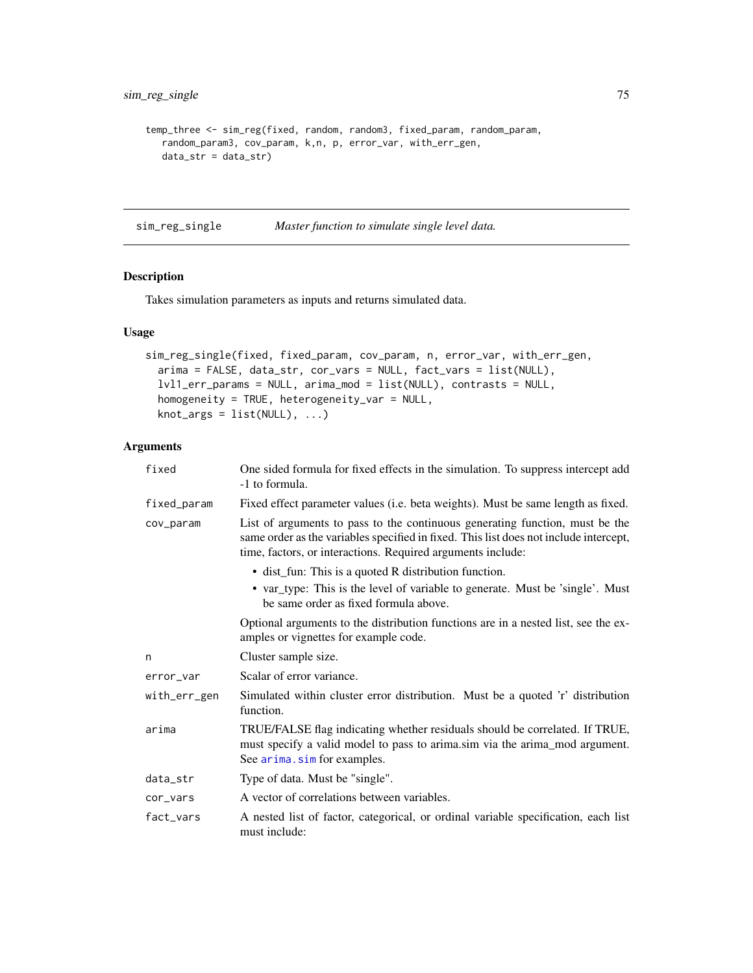```
temp_three <- sim_reg(fixed, random, random3, fixed_param, random_param,
  random_param3, cov_param, k,n, p, error_var, with_err_gen,
  data_str = data_str)
```
sim\_reg\_single *Master function to simulate single level data.*

# Description

Takes simulation parameters as inputs and returns simulated data.

## Usage

```
sim_reg_single(fixed, fixed_param, cov_param, n, error_var, with_err_gen,
 arima = FALSE, data_str, cor_vars = NULL, fact_vars = list(NULL),
 lvl1_err_params = NULL, arima_mod = list(NULL), contrasts = NULL,
 homogeneity = TRUE, heterogeneity_var = NULL,
 knot_{args} = list(NULL), ...
```
# Arguments

| fixed        | One sided formula for fixed effects in the simulation. To suppress intercept add<br>-1 to formula.                                                                                                                                   |
|--------------|--------------------------------------------------------------------------------------------------------------------------------------------------------------------------------------------------------------------------------------|
| fixed_param  | Fixed effect parameter values (i.e. beta weights). Must be same length as fixed.                                                                                                                                                     |
| cov_param    | List of arguments to pass to the continuous generating function, must be the<br>same order as the variables specified in fixed. This list does not include intercept,<br>time, factors, or interactions. Required arguments include: |
|              | • dist_fun: This is a quoted R distribution function.                                                                                                                                                                                |
|              | • var_type: This is the level of variable to generate. Must be 'single'. Must<br>be same order as fixed formula above.                                                                                                               |
|              | Optional arguments to the distribution functions are in a nested list, see the ex-<br>amples or vignettes for example code.                                                                                                          |
| n            | Cluster sample size.                                                                                                                                                                                                                 |
| error_var    | Scalar of error variance.                                                                                                                                                                                                            |
| with_err_gen | Simulated within cluster error distribution. Must be a quoted 'r' distribution<br>function.                                                                                                                                          |
| arima        | TRUE/FALSE flag indicating whether residuals should be correlated. If TRUE,<br>must specify a valid model to pass to arima.sim via the arima_mod argument.<br>See arima.sim for examples.                                            |
| data_str     | Type of data. Must be "single".                                                                                                                                                                                                      |
| cor_vars     | A vector of correlations between variables.                                                                                                                                                                                          |
| fact vars    | A nested list of factor, categorical, or ordinal variable specification, each list<br>must include:                                                                                                                                  |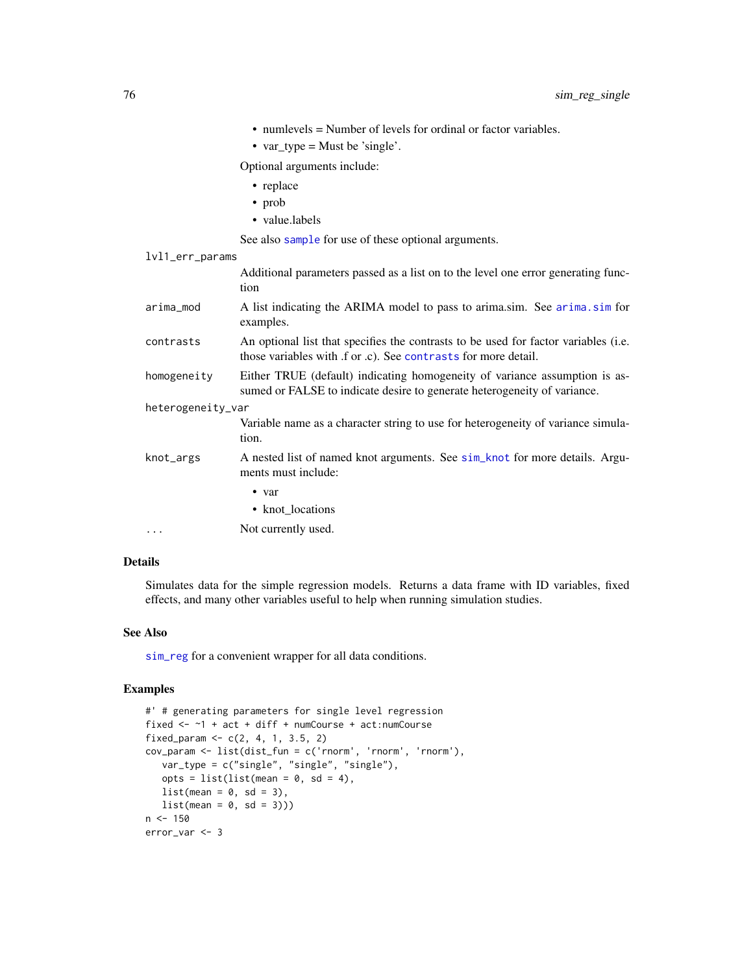- <span id="page-75-0"></span>• numlevels = Number of levels for ordinal or factor variables.
- var\_type = Must be 'single'.

Optional arguments include:

- replace
- prob
- value.labels

See also [sample](#page-0-0) for use of these optional arguments.

## lvl1\_err\_params

|                   | Additional parameters passed as a list on to the level one error generating func-<br>tion                                                              |  |
|-------------------|--------------------------------------------------------------------------------------------------------------------------------------------------------|--|
| arima_mod         | A list indicating the ARIMA model to pass to arima.sim. See arima.sim for<br>examples.                                                                 |  |
| contrasts         | An optional list that specifies the contrasts to be used for factor variables (i.e.<br>those variables with f or c). See contrasts for more detail.    |  |
| homogeneity       | Either TRUE (default) indicating homogeneity of variance assumption is as-<br>sumed or FALSE to indicate desire to generate heterogeneity of variance. |  |
| heterogeneity_var |                                                                                                                                                        |  |
|                   | Variable name as a character string to use for heterogeneity of variance simula-<br>tion.                                                              |  |
| knot_args         | A nested list of named knot arguments. See sim_knot for more details. Argu-<br>ments must include:                                                     |  |
|                   | $\bullet$ var                                                                                                                                          |  |
|                   | • knot locations                                                                                                                                       |  |
|                   |                                                                                                                                                        |  |

... Not currently used.

## Details

Simulates data for the simple regression models. Returns a data frame with ID variables, fixed effects, and many other variables useful to help when running simulation studies.

## See Also

[sim\\_reg](#page-63-0) for a convenient wrapper for all data conditions.

## Examples

```
#' # generating parameters for single level regression
fixed <- ~1 + act + diff + numCourse + act:numCourse
fixed_param <- c(2, 4, 1, 3.5, 2)cov_param <- list(dist_fun = c('rnorm', 'rnorm', 'rnorm'),
   var_type = c("single", "single", "single"),
   opts = list(list(mean = 0, sd = 4),list(\text{mean} = 0, \text{ sd} = 3),list(\text{mean} = 0, \text{ sd} = 3)))n < -150error_var <- 3
```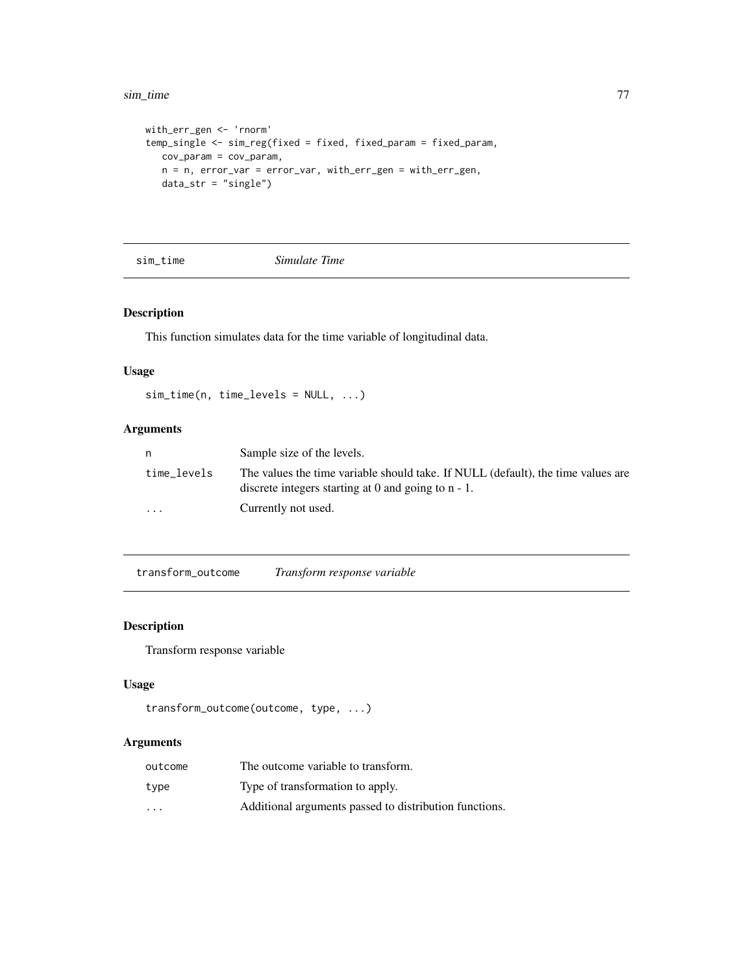#### <span id="page-76-0"></span>sim\_time 77

```
with_err_gen <- 'rnorm'
temp_single <- sim_reg(fixed = fixed, fixed_param = fixed_param,
  cov_param = cov_param,
  n = n, error_var = error_var, with_err_gen = with_err_gen,
  data_str = "single")
```
sim\_time *Simulate Time*

# Description

This function simulates data for the time variable of longitudinal data.

# Usage

 $sim_time(n, time\_levels = NULL, ...)$ 

# Arguments

| n           | Sample size of the levels.                                                                                                                 |
|-------------|--------------------------------------------------------------------------------------------------------------------------------------------|
| time levels | The values the time variable should take. If NULL (default), the time values are<br>discrete integers starting at 0 and going to $n - 1$ . |
| $\cdots$    | Currently not used.                                                                                                                        |

transform\_outcome *Transform response variable*

## Description

Transform response variable

## Usage

```
transform_outcome(outcome, type, ...)
```
# Arguments

| outcome  | The outcome variable to transform.                     |
|----------|--------------------------------------------------------|
| type     | Type of transformation to apply.                       |
| $\cdots$ | Additional arguments passed to distribution functions. |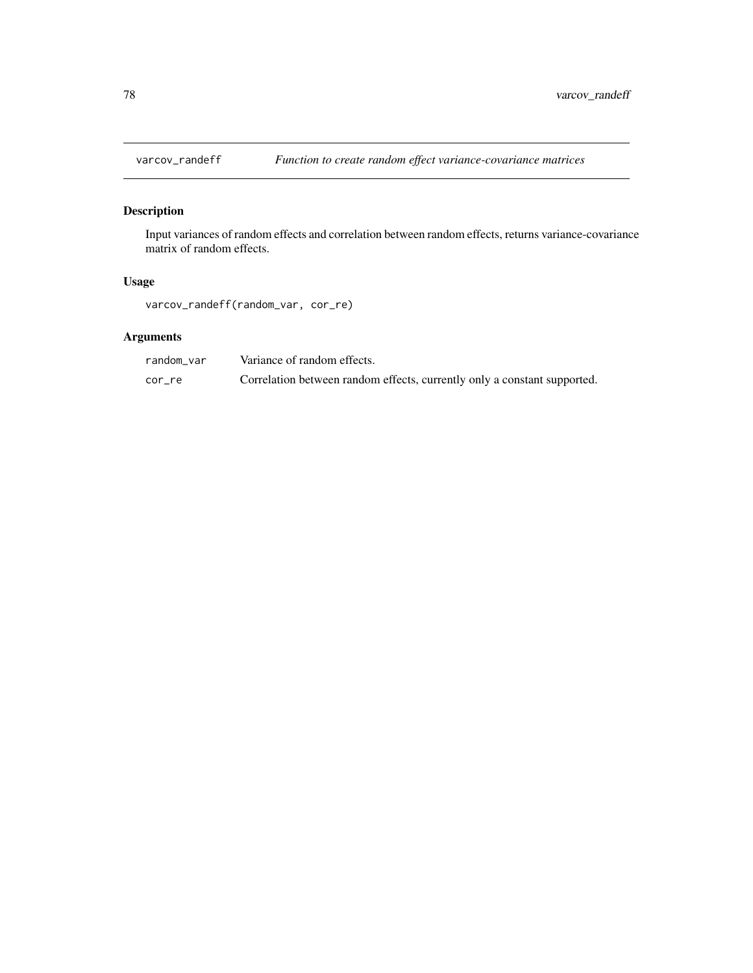<span id="page-77-0"></span>

# Description

Input variances of random effects and correlation between random effects, returns variance-covariance matrix of random effects.

## Usage

varcov\_randeff(random\_var, cor\_re)

# Arguments

| random var | Variance of random effects.                                              |
|------------|--------------------------------------------------------------------------|
| cor re     | Correlation between random effects, currently only a constant supported. |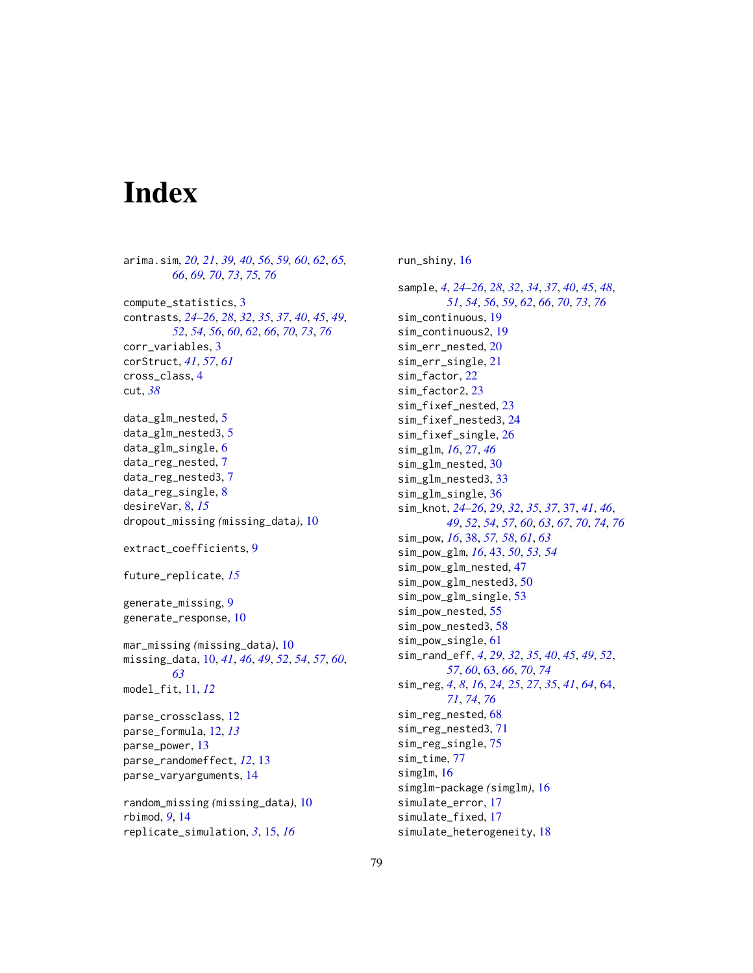# **Index**

arima.sim, *[20,](#page-19-0) [21](#page-20-0)*, *[39,](#page-38-0) [40](#page-39-0)*, *[56](#page-55-0)*, *[59,](#page-58-0) [60](#page-59-0)*, *[62](#page-61-0)*, *[65,](#page-64-0) [66](#page-65-0)*, *[69,](#page-68-0) [70](#page-69-0)*, *[73](#page-72-0)*, *[75,](#page-74-0) [76](#page-75-0)* compute\_statistics, [3](#page-2-0) contrasts, *[24](#page-23-0)[–26](#page-25-0)*, *[28](#page-27-0)*, *[32](#page-31-0)*, *[35](#page-34-0)*, *[37](#page-36-1)*, *[40](#page-39-0)*, *[45](#page-44-0)*, *[49](#page-48-0)*, *[52](#page-51-0)*, *[54](#page-53-0)*, *[56](#page-55-0)*, *[60](#page-59-0)*, *[62](#page-61-0)*, *[66](#page-65-0)*, *[70](#page-69-0)*, *[73](#page-72-0)*, *[76](#page-75-0)* corr\_variables, [3](#page-2-0) corStruct, *[41](#page-40-0)*, *[57](#page-56-0)*, *[61](#page-60-0)* cross\_class, [4](#page-3-0) cut, *[38](#page-37-0)* data\_glm\_nested, [5](#page-4-0) data\_glm\_nested3, [5](#page-4-0) data\_glm\_single, [6](#page-5-0) data\_reg\_nested, [7](#page-6-0) data\_reg\_nested3, [7](#page-6-0) data\_reg\_single, [8](#page-7-0) desireVar, [8,](#page-7-0) *[15](#page-14-0)* dropout\_missing *(*missing\_data*)*, [10](#page-9-0) extract\_coefficients, [9](#page-8-0) future\_replicate, *[15](#page-14-0)* generate\_missing, [9](#page-8-0) generate\_response, [10](#page-9-0) mar\_missing *(*missing\_data*)*, [10](#page-9-0) missing\_data, [10,](#page-9-0) *[41](#page-40-0)*, *[46](#page-45-0)*, *[49](#page-48-0)*, *[52](#page-51-0)*, *[54](#page-53-0)*, *[57](#page-56-0)*, *[60](#page-59-0)*, *[63](#page-62-1)* model\_fit, [11,](#page-10-0) *[12](#page-11-0)* parse\_crossclass, [12](#page-11-0) parse\_formula, [12,](#page-11-0) *[13](#page-12-0)* parse\_power, [13](#page-12-0) parse\_randomeffect, *[12](#page-11-0)*, [13](#page-12-0) parse\_varyarguments, [14](#page-13-0) random\_missing *(*missing\_data*)*, [10](#page-9-0) rbimod, *[9](#page-8-0)*, [14](#page-13-0) replicate\_simulation, *[3](#page-2-0)*, [15,](#page-14-0) *[16](#page-15-0)*

run\_shiny, [16](#page-15-0)

sample, *[4](#page-3-0)*, *[24](#page-23-0)[–26](#page-25-0)*, *[28](#page-27-0)*, *[32](#page-31-0)*, *[34](#page-33-0)*, *[37](#page-36-1)*, *[40](#page-39-0)*, *[45](#page-44-0)*, *[48](#page-47-0)*, *[51](#page-50-0)*, *[54](#page-53-0)*, *[56](#page-55-0)*, *[59](#page-58-0)*, *[62](#page-61-0)*, *[66](#page-65-0)*, *[70](#page-69-0)*, *[73](#page-72-0)*, *[76](#page-75-0)* sim\_continuous, [19](#page-18-0) sim\_continuous2, [19](#page-18-0) sim\_err\_nested, [20](#page-19-0) sim\_err\_single, [21](#page-20-0) sim\_factor, [22](#page-21-0) sim\_factor2, [23](#page-22-0) sim\_fixef\_nested, [23](#page-22-0) sim\_fixef\_nested3, [24](#page-23-0) sim\_fixef\_single, [26](#page-25-0) sim\_glm, *[16](#page-15-0)*, [27,](#page-26-0) *[46](#page-45-0)* sim\_glm\_nested, [30](#page-29-0) sim\_glm\_nested3, [33](#page-32-0) sim\_glm\_single, [36](#page-35-0) sim\_knot, *[24](#page-23-0)[–26](#page-25-0)*, *[29](#page-28-0)*, *[32](#page-31-0)*, *[35](#page-34-0)*, *[37](#page-36-1)*, [37,](#page-36-1) *[41](#page-40-0)*, *[46](#page-45-0)*, *[49](#page-48-0)*, *[52](#page-51-0)*, *[54](#page-53-0)*, *[57](#page-56-0)*, *[60](#page-59-0)*, *[63](#page-62-1)*, *[67](#page-66-0)*, *[70](#page-69-0)*, *[74](#page-73-0)*, *[76](#page-75-0)* sim\_pow, *[16](#page-15-0)*, [38,](#page-37-0) *[57,](#page-56-0) [58](#page-57-0)*, *[61](#page-60-0)*, *[63](#page-62-1)* sim\_pow\_glm, *[16](#page-15-0)*, [43,](#page-42-0) *[50](#page-49-0)*, *[53,](#page-52-0) [54](#page-53-0)* sim\_pow\_glm\_nested, [47](#page-46-0) sim\_pow\_glm\_nested3, [50](#page-49-0) sim\_pow\_glm\_single, [53](#page-52-0) sim\_pow\_nested, [55](#page-54-0) sim\_pow\_nested3, [58](#page-57-0) sim\_pow\_single, [61](#page-60-0) sim\_rand\_eff, *[4](#page-3-0)*, *[29](#page-28-0)*, *[32](#page-31-0)*, *[35](#page-34-0)*, *[40](#page-39-0)*, *[45](#page-44-0)*, *[49](#page-48-0)*, *[52](#page-51-0)*, *[57](#page-56-0)*, *[60](#page-59-0)*, [63,](#page-62-1) *[66](#page-65-0)*, *[70](#page-69-0)*, *[74](#page-73-0)* sim\_reg, *[4](#page-3-0)*, *[8](#page-7-0)*, *[16](#page-15-0)*, *[24,](#page-23-0) [25](#page-24-0)*, *[27](#page-26-0)*, *[35](#page-34-0)*, *[41](#page-40-0)*, *[64](#page-63-1)*, [64,](#page-63-1) *[71](#page-70-0)*, *[74](#page-73-0)*, *[76](#page-75-0)* sim\_reg\_nested, [68](#page-67-0) sim\_reg\_nested3, [71](#page-70-0) sim\_reg\_single, [75](#page-74-0) sim\_time, [77](#page-76-0) simglm, [16](#page-15-0) simglm-package *(*simglm*)*, [16](#page-15-0) simulate\_error, [17](#page-16-0) simulate\_fixed, [17](#page-16-0) simulate\_heterogeneity, [18](#page-17-0)